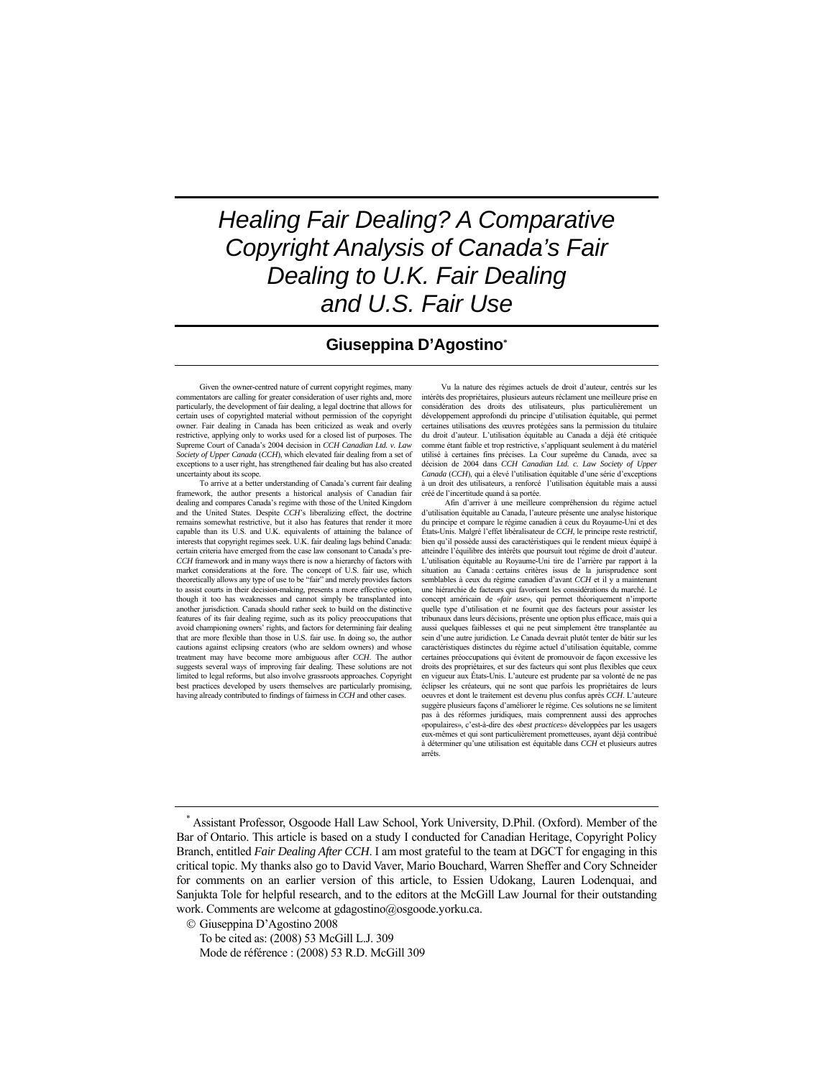# *Healing Fair Dealing? A Comparative Copyright Analysis of Canada's Fair Dealing to U.K. Fair Dealing and U.S. Fair Use*

## **Giuseppina D'Agostino\***

Given the owner-centred nature of current copyright regimes, many commentators are calling for greater consideration of user rights and, more particularly, the development of fair dealing, a legal doctrine that allows for certain uses of copyrighted material without permission of the copyright owner. Fair dealing in Canada has been criticized as weak and overly restrictive, applying only to works used for a closed list of purposes. The Supreme Court of Canada's 2004 decision in *CCH Canadian Ltd. v. Law Society of Upper Canada* (*CCH*), which elevated fair dealing from a set of exceptions to a user right, has strengthened fair dealing but has also created uncertainty about its scope.

 To arrive at a better understanding of Canada's current fair dealing framework, the author presents a historical analysis of Canadian fair dealing and compares Canada's regime with those of the United Kingdom and the United States. Despite *CCH*'s liberalizing effect, the doctrine remains somewhat restrictive, but it also has features that render it more capable than its U.S. and U.K. equivalents of attaining the balance of interests that copyright regimes seek. U.K. fair dealing lags behind Canada: certain criteria have emerged from the case law consonant to Canada's pre-*CCH* framework and in many ways there is now a hierarchy of factors with market considerations at the fore. The concept of U.S. fair use, which theoretically allows any type of use to be "fair" and merely provides factors to assist courts in their decision-making, presents a more effective option, though it too has weaknesses and cannot simply be transplanted into another jurisdiction. Canada should rather seek to build on the distinctive features of its fair dealing regime, such as its policy preoccupations that avoid championing owners' rights, and factors for determining fair dealing that are more flexible than those in U.S. fair use. In doing so, the author cautions against eclipsing creators (who are seldom owners) and whose treatment may have become more ambiguous after *CCH*. The author suggests several ways of improving fair dealing. These solutions are not limited to legal reforms, but also involve grassroots approaches. Copyright best practices developed by users themselves are particularly promising, having already contributed to findings of fairness in *CCH* and other cases.

Vu la nature des régimes actuels de droit d'auteur, centrés sur les intérêts des propriétaires, plusieurs auteurs réclament une meilleure prise en considération des droits des utilisateurs, plus particulièrement un développement approfondi du principe d'utilisation équitable, qui permet certaines utilisations des œuvres protégées sans la permission du titulaire du droit d'auteur. L'utilisation équitable au Canada a déjà été critiquée comme étant faible et trop restrictive, s'appliquant seulement à du matériel utilisé à certaines fins précises. La Cour suprême du Canada, avec sa décision de 2004 dans *CCH Canadian Ltd. c. Law Society of Upper Canada* (*CCH*), qui a élevé l'utilisation équitable d'une série d'exceptions à un droit des utilisateurs, a renforcé l'utilisation équitable mais a aussi créé de l'incertitude quand à sa portée.

 Afin d'arriver à une meilleure compréhension du régime actuel d'utilisation équitable au Canada, l'auteure présente une analyse historique du principe et compare le régime canadien à ceux du Royaume-Uni et des États-Unis. Malgré l'effet libéralisateur de *CCH*, le principe reste restrictif, bien qu'il possède aussi des caractéristiques qui le rendent mieux équipé à atteindre l'équilibre des intérêts que poursuit tout régime de droit d'auteur. L'utilisation équitable au Royaume-Uni tire de l'arrière par rapport à la situation au Canada : certains critères issus de la jurisprudence sont semblables à ceux du régime canadien d'avant *CCH* et il y a maintenant une hiérarchie de facteurs qui favorisent les considérations du marché. Le concept américain de «*fair use*», qui permet théoriquement n'importe quelle type d'utilisation et ne fournit que des facteurs pour assister les tribunaux dans leurs décisions, présente une option plus efficace, mais qui a aussi quelques faiblesses et qui ne peut simplement être transplantée au sein d'une autre juridiction. Le Canada devrait plutôt tenter de bâtir sur les caractéristiques distinctes du régime actuel d'utilisation équitable, comme certaines préoccupations qui évitent de promouvoir de façon excessive les droits des propriétaires, et sur des facteurs qui sont plus flexibles que ceux en vigueur aux États-Unis. L'auteure est prudente par sa volonté de ne pas éclipser les créateurs, qui ne sont que parfois les propriétaires de leurs oeuvres et dont le traitement est devenu plus confus après *CCH*. L'auteure suggère plusieurs façons d'améliorer le régime. Ces solutions ne se limitent pas à des réformes juridiques, mais comprennent aussi des approches «populaires», c'est-à-dire des «*best practices*» développées par les usagers eux-mêmes et qui sont particulièrement prometteuses, ayant déjà contribué à déterminer qu'une utilisation est équitable dans *CCH* et plusieurs autres arrêts.

© Giuseppina D'Agostino 2008

 To be cited as: (2008) 53 McGill L.J. 309 Mode de référence : (2008) 53 R.D. McGill 309

<sup>\*</sup> Assistant Professor, Osgoode Hall Law School, York University, D.Phil. (Oxford). Member of the Bar of Ontario. This article is based on a study I conducted for Canadian Heritage, Copyright Policy Branch, entitled *Fair Dealing After CCH*. I am most grateful to the team at DGCT for engaging in this critical topic. My thanks also go to David Vaver, Mario Bouchard, Warren Sheffer and Cory Schneider for comments on an earlier version of this article, to Essien Udokang, Lauren Lodenquai, and Sanjukta Tole for helpful research, and to the editors at the McGill Law Journal for their outstanding work. Comments are welcome at gdagostino@osgoode.yorku.ca.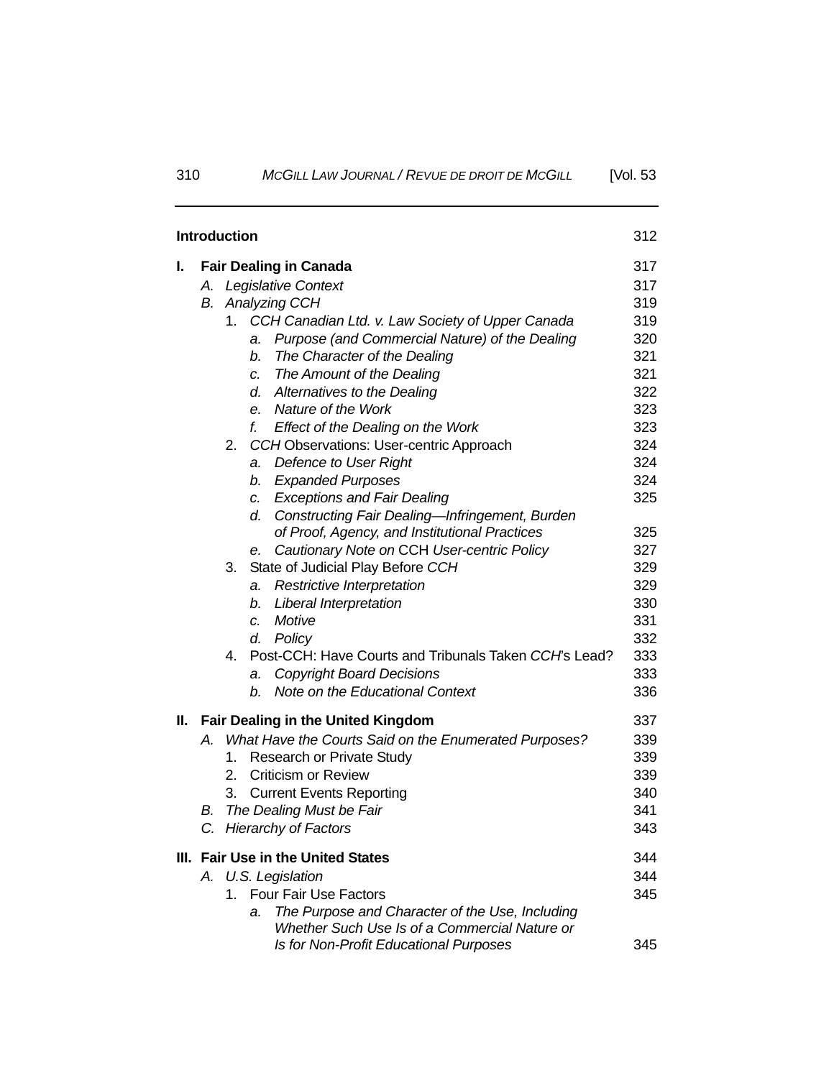|    | <b>Introduction</b>                       |    |                                                                                       | 312        |  |  |
|----|-------------------------------------------|----|---------------------------------------------------------------------------------------|------------|--|--|
| I. |                                           |    | <b>Fair Dealing in Canada</b>                                                         | 317        |  |  |
|    |                                           |    | A. Legislative Context                                                                | 317        |  |  |
|    | В.                                        |    | Analyzing CCH                                                                         | 319        |  |  |
|    |                                           | 1. | CCH Canadian Ltd. v. Law Society of Upper Canada                                      | 319        |  |  |
|    |                                           |    | Purpose (and Commercial Nature) of the Dealing<br>a.                                  | 320        |  |  |
|    |                                           |    | The Character of the Dealing<br>b.                                                    | 321        |  |  |
|    |                                           |    | The Amount of the Dealing<br>$c_{\cdot}$                                              | 321        |  |  |
|    |                                           |    | Alternatives to the Dealing<br>d.                                                     | 322        |  |  |
|    |                                           |    | Nature of the Work<br>e.                                                              | 323        |  |  |
|    |                                           |    | f.<br>Effect of the Dealing on the Work                                               | 323        |  |  |
|    |                                           | 2. | CCH Observations: User-centric Approach                                               | 324        |  |  |
|    |                                           |    | Defence to User Right<br>a.                                                           | 324        |  |  |
|    |                                           |    | <b>Expanded Purposes</b><br>b.                                                        | 324        |  |  |
|    |                                           |    | c. Exceptions and Fair Dealing                                                        | 325        |  |  |
|    |                                           |    | Constructing Fair Dealing-Infringement, Burden<br>d.                                  |            |  |  |
|    |                                           |    | of Proof, Agency, and Institutional Practices                                         | 325<br>327 |  |  |
|    |                                           | 3. | Cautionary Note on CCH User-centric Policy<br>е.<br>State of Judicial Play Before CCH | 329        |  |  |
|    |                                           |    | Restrictive Interpretation<br>a.                                                      | 329        |  |  |
|    |                                           |    | Liberal Interpretation<br>b.                                                          | 330        |  |  |
|    |                                           |    | Motive<br>$\mathcal{C}$ .                                                             | 331        |  |  |
|    |                                           |    | Policy<br>d.                                                                          | 332        |  |  |
|    |                                           | 4. | Post-CCH: Have Courts and Tribunals Taken CCH's Lead?                                 | 333        |  |  |
|    |                                           |    | <b>Copyright Board Decisions</b><br>a.                                                | 333        |  |  |
|    |                                           |    | Note on the Educational Context<br>b.                                                 | 336        |  |  |
| Ш. | <b>Fair Dealing in the United Kingdom</b> |    |                                                                                       |            |  |  |
|    | Α.                                        |    | What Have the Courts Said on the Enumerated Purposes?                                 | 339        |  |  |
|    |                                           | 1. | <b>Research or Private Study</b>                                                      | 339        |  |  |
|    |                                           | 2. | <b>Criticism or Review</b>                                                            | 339        |  |  |
|    |                                           | 3. | <b>Current Events Reporting</b>                                                       | 340        |  |  |
|    | В.                                        |    | The Dealing Must be Fair                                                              | 341        |  |  |
|    |                                           |    | C. Hierarchy of Factors                                                               | 343        |  |  |
|    | III. Fair Use in the United States        |    |                                                                                       |            |  |  |
|    | A. U.S. Legislation                       |    |                                                                                       |            |  |  |
|    |                                           | 1. | <b>Four Fair Use Factors</b>                                                          | 345        |  |  |
|    |                                           |    | The Purpose and Character of the Use, Including<br>a.                                 |            |  |  |
|    |                                           |    | Whether Such Use Is of a Commercial Nature or                                         |            |  |  |
|    |                                           |    | Is for Non-Profit Educational Purposes                                                | 345        |  |  |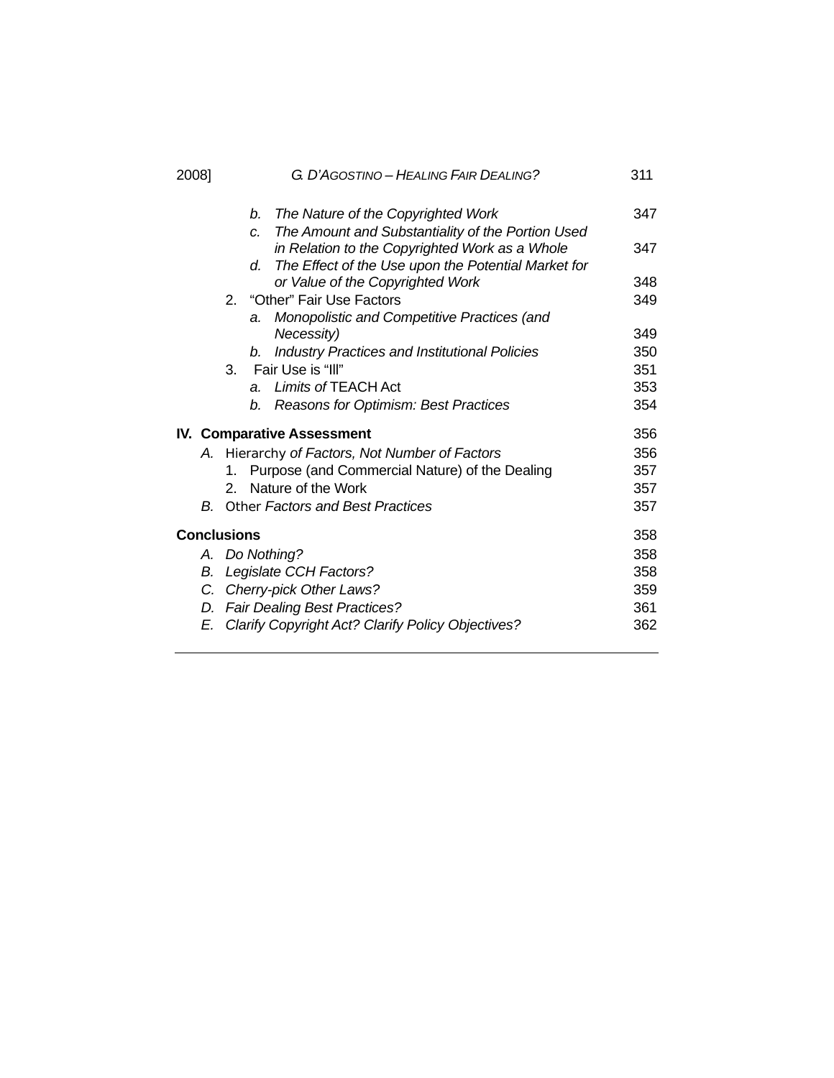| 2008] |                                                            | G. D'AGOSTINO – HEALING FAIR DEALING? |                  |                                                      |     |  |  |  |
|-------|------------------------------------------------------------|---------------------------------------|------------------|------------------------------------------------------|-----|--|--|--|
|       |                                                            |                                       |                  | b. The Nature of the Copyrighted Work                | 347 |  |  |  |
|       |                                                            |                                       | $\overline{C}$ . | The Amount and Substantiality of the Portion Used    |     |  |  |  |
|       |                                                            |                                       |                  | in Relation to the Copyrighted Work as a Whole       | 347 |  |  |  |
|       |                                                            |                                       | d.               | The Effect of the Use upon the Potential Market for  |     |  |  |  |
|       |                                                            |                                       |                  | or Value of the Copyrighted Work                     | 348 |  |  |  |
|       |                                                            |                                       |                  | 2. "Other" Fair Use Factors                          | 349 |  |  |  |
|       |                                                            |                                       | a.               | Monopolistic and Competitive Practices (and          |     |  |  |  |
|       |                                                            |                                       |                  | Necessity)                                           | 349 |  |  |  |
|       |                                                            |                                       | b.               | <b>Industry Practices and Institutional Policies</b> | 350 |  |  |  |
|       |                                                            | 3.                                    |                  | Fair Use is "III"                                    | 351 |  |  |  |
|       |                                                            |                                       | $a_{\cdot}$      | Limits of TEACH Act                                  | 353 |  |  |  |
|       |                                                            |                                       | b.               | Reasons for Optimism: Best Practices                 | 354 |  |  |  |
|       |                                                            | <b>IV. Comparative Assessment</b>     |                  |                                                      |     |  |  |  |
|       |                                                            |                                       |                  | A. Hierarchy of Factors, Not Number of Factors       | 356 |  |  |  |
|       |                                                            | 1.                                    |                  | Purpose (and Commercial Nature) of the Dealing       | 357 |  |  |  |
|       |                                                            | 2.                                    |                  | Nature of the Work                                   | 357 |  |  |  |
|       |                                                            |                                       |                  | <b>B.</b> Other Factors and Best Practices           | 357 |  |  |  |
|       | <b>Conclusions</b>                                         |                                       |                  |                                                      |     |  |  |  |
|       |                                                            | A. Do Nothing?                        |                  |                                                      |     |  |  |  |
|       | Legislate CCH Factors?<br>В.<br>C. Cherry-pick Other Laws? |                                       |                  |                                                      |     |  |  |  |
|       |                                                            |                                       |                  |                                                      |     |  |  |  |
|       |                                                            | D. Fair Dealing Best Practices?       |                  |                                                      |     |  |  |  |
|       | E.                                                         |                                       |                  | Clarify Copyright Act? Clarify Policy Objectives?    | 362 |  |  |  |
|       |                                                            |                                       |                  |                                                      |     |  |  |  |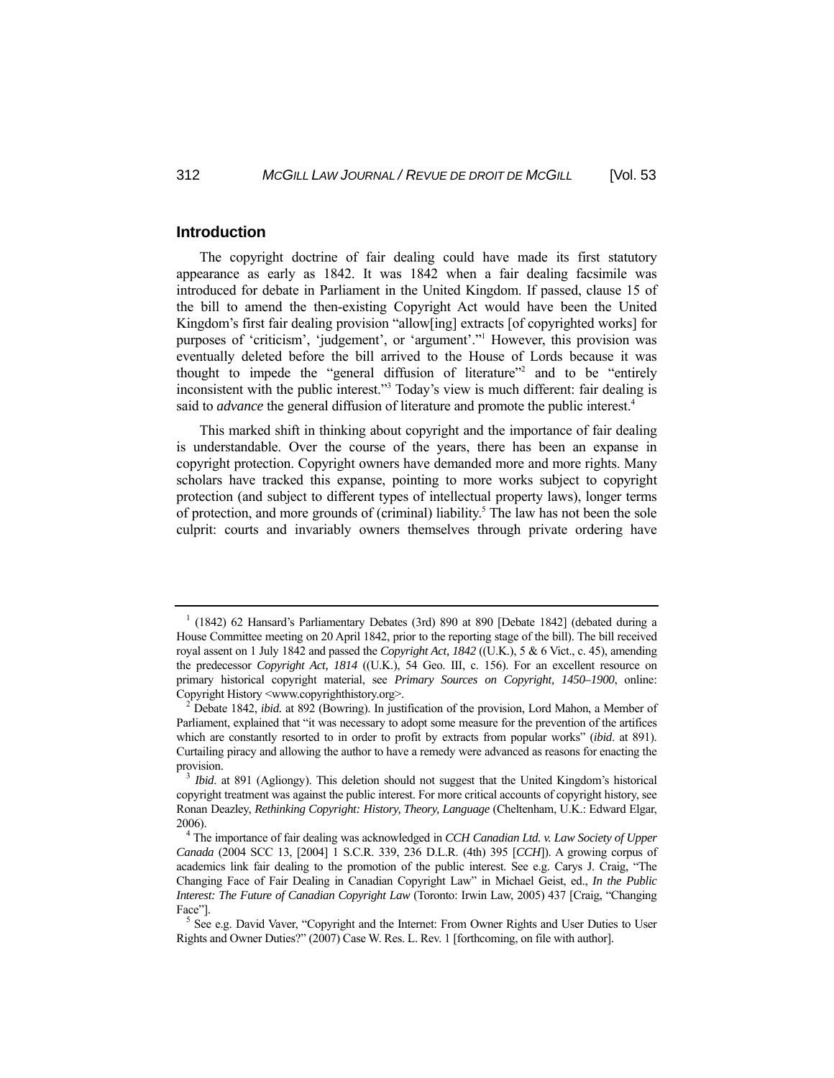#### **Introduction**

 The copyright doctrine of fair dealing could have made its first statutory appearance as early as 1842. It was 1842 when a fair dealing facsimile was introduced for debate in Parliament in the United Kingdom. If passed, clause 15 of the bill to amend the then-existing Copyright Act would have been the United Kingdom's first fair dealing provision "allow[ing] extracts [of copyrighted works] for purposes of 'criticism', 'judgement', or 'argument'."<sup>1</sup> However, this provision was eventually deleted before the bill arrived to the House of Lords because it was thought to impede the "general diffusion of literature"2 and to be "entirely inconsistent with the public interest."3 Today's view is much different: fair dealing is said to *advance* the general diffusion of literature and promote the public interest.<sup>4</sup>

 This marked shift in thinking about copyright and the importance of fair dealing is understandable. Over the course of the years, there has been an expanse in copyright protection. Copyright owners have demanded more and more rights. Many scholars have tracked this expanse, pointing to more works subject to copyright protection (and subject to different types of intellectual property laws), longer terms of protection, and more grounds of (criminal) liability.<sup>5</sup> The law has not been the sole culprit: courts and invariably owners themselves through private ordering have

<sup>&</sup>lt;sup>1</sup> (1842) 62 Hansard's Parliamentary Debates (3rd) 890 at 890 [Debate 1842] (debated during a House Committee meeting on 20 April 1842, prior to the reporting stage of the bill). The bill received royal assent on 1 July 1842 and passed the *Copyright Act, 1842* ((U.K.), 5 & 6 Vict., c. 45), amending the predecessor *Copyright Act, 1814* ((U.K.), 54 Geo. III, c. 156). For an excellent resource on primary historical copyright material, see *Primary Sources on Copyright, 1450–1900*, online: Copyright History <www.copyrighthistory.org>.

Debate 1842, *ibid.* at 892 (Bowring). In justification of the provision, Lord Mahon, a Member of Parliament, explained that "it was necessary to adopt some measure for the prevention of the artifices which are constantly resorted to in order to profit by extracts from popular works" (*ibid*. at 891). Curtailing piracy and allowing the author to have a remedy were advanced as reasons for enacting the provision.<br><sup>3</sup> *Ibid.* at 891 (Agliongy). This deletion should not suggest that the United Kingdom's historical

copyright treatment was against the public interest. For more critical accounts of copyright history, see Ronan Deazley, *Rethinking Copyright: History, Theory, Language* (Cheltenham, U.K.: Edward Elgar, 2006).

The importance of fair dealing was acknowledged in *CCH Canadian Ltd. v. Law Society of Upper Canada* (2004 SCC 13, [2004] 1 S.C.R. 339, 236 D.L.R. (4th) 395 [*CCH*]). A growing corpus of academics link fair dealing to the promotion of the public interest. See e.g. Carys J. Craig, "The Changing Face of Fair Dealing in Canadian Copyright Law" in Michael Geist, ed., *In the Public Interest: The Future of Canadian Copyright Law* (Toronto: Irwin Law, 2005) 437 [Craig, "Changing Face"<sup>1</sup>

 $<sup>5</sup>$  See e.g. David Vaver, "Copyright and the Internet: From Owner Rights and User Duties to User</sup> Rights and Owner Duties?" (2007) Case W. Res. L. Rev. 1 [forthcoming, on file with author].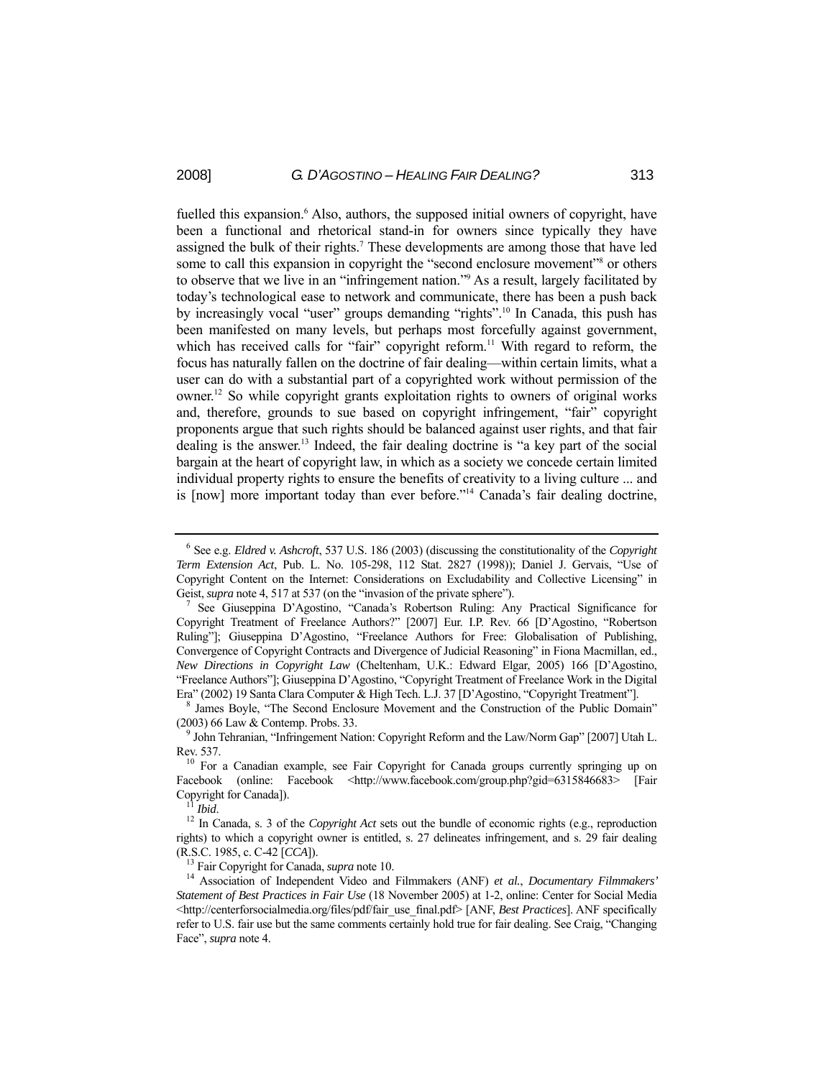fuelled this expansion.<sup>6</sup> Also, authors, the supposed initial owners of copyright, have been a functional and rhetorical stand-in for owners since typically they have assigned the bulk of their rights.<sup>7</sup> These developments are among those that have led some to call this expansion in copyright the "second enclosure movement"<sup>8</sup> or others to observe that we live in an "infringement nation."9 As a result, largely facilitated by today's technological ease to network and communicate, there has been a push back by increasingly vocal "user" groups demanding "rights".10 In Canada, this push has been manifested on many levels, but perhaps most forcefully against government, which has received calls for "fair" copyright reform.<sup>11</sup> With regard to reform, the focus has naturally fallen on the doctrine of fair dealing—within certain limits, what a user can do with a substantial part of a copyrighted work without permission of the owner.12 So while copyright grants exploitation rights to owners of original works and, therefore, grounds to sue based on copyright infringement, "fair" copyright proponents argue that such rights should be balanced against user rights, and that fair dealing is the answer.<sup>13</sup> Indeed, the fair dealing doctrine is "a key part of the social bargain at the heart of copyright law, in which as a society we concede certain limited individual property rights to ensure the benefits of creativity to a living culture ... and is [now] more important today than ever before."<sup>14</sup> Canada's fair dealing doctrine,

<sup>6</sup> See e.g. *Eldred v. Ashcroft*, 537 U.S. 186 (2003) (discussing the constitutionality of the *Copyright Term Extension Act*, Pub. L. No. 105-298, 112 Stat. 2827 (1998)); Daniel J. Gervais, "Use of Copyright Content on the Internet: Considerations on Excludability and Collective Licensing" in Geist, *supra* note 4, 517 at 537 (on the "invasion of the private sphere").

<sup>&</sup>lt;sup>7</sup> See Giuseppina D'Agostino, "Canada's Robertson Ruling: Any Practical Significance for Copyright Treatment of Freelance Authors?" [2007] Eur. I.P. Rev. 66 [D'Agostino, "Robertson Ruling"]; Giuseppina D'Agostino, "Freelance Authors for Free: Globalisation of Publishing, Convergence of Copyright Contracts and Divergence of Judicial Reasoning" in Fiona Macmillan, ed., *New Directions in Copyright Law* (Cheltenham, U.K.: Edward Elgar, 2005) 166 [D'Agostino, "Freelance Authors"]; Giuseppina D'Agostino, "Copyright Treatment of Freelance Work in the Digital Era" (2002) 19 Santa Clara Computer & High Tech. L.J. 37 [D'Agostino, "Copyright Treatment"]. 8

James Boyle, "The Second Enclosure Movement and the Construction of the Public Domain" (2003) 66 Law & Contemp. Probs. 33.

<sup>&</sup>lt;sup>9</sup> John Tehranian, "Infringement Nation: Copyright Reform and the Law/Norm Gap" [2007] Utah L. Rev. 537.<br><sup>10</sup> For a Canadian example, see Fair Copyright for Canada groups currently springing up on

Facebook (online: Facebook <http://www.facebook.com/group.php?gid=6315846683> [Fair Copyright for Canada]).<br><sup>11</sup> *Ibid*. <sup>12</sup> In Canada, s. 3 of the *Copyright Act* sets out the bundle of economic rights (e.g., reproduction

rights) to which a copyright owner is entitled, s. 27 delineates infringement, and s. 29 fair dealing (R.S.C. 1985, c. C-42 [*CCA*]). 13 Fair Copyright for Canada, *supra* note 10. 14 Association of Independent Video and Filmmakers (ANF) *et al.*, *Documentary Filmmakers'* 

*Statement of Best Practices in Fair Use* (18 November 2005) at 1-2, online: Center for Social Media  $\langle$ http://centerforsocialmedia.org/files/pdf/fair\_use\_final.pdf> [ANF, *Best Practices*]. ANF specifically refer to U.S. fair use but the same comments certainly hold true for fair dealing. See Craig, "Changing Face", *supra* note 4.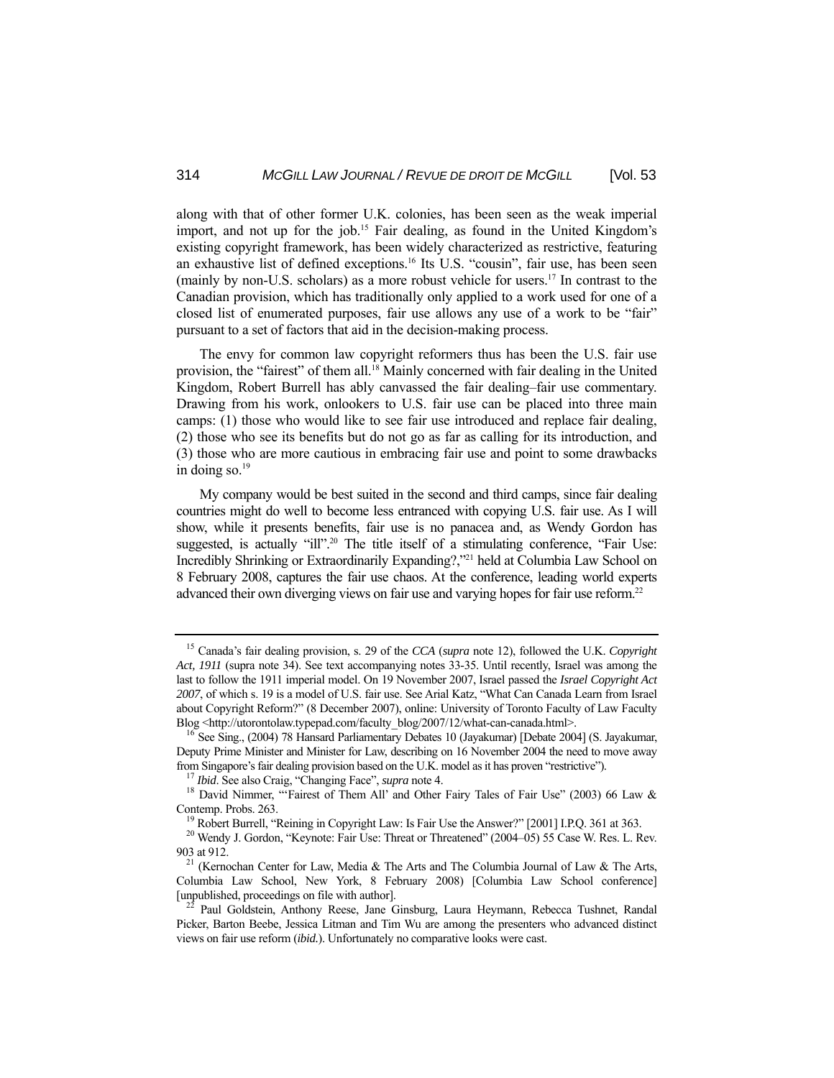along with that of other former U.K. colonies, has been seen as the weak imperial import, and not up for the job.<sup>15</sup> Fair dealing, as found in the United Kingdom's existing copyright framework, has been widely characterized as restrictive, featuring an exhaustive list of defined exceptions.16 Its U.S. "cousin", fair use, has been seen (mainly by non-U.S. scholars) as a more robust vehicle for users.<sup>17</sup> In contrast to the Canadian provision, which has traditionally only applied to a work used for one of a closed list of enumerated purposes, fair use allows any use of a work to be "fair" pursuant to a set of factors that aid in the decision-making process.

 The envy for common law copyright reformers thus has been the U.S. fair use provision, the "fairest" of them all.<sup>18</sup> Mainly concerned with fair dealing in the United Kingdom, Robert Burrell has ably canvassed the fair dealing–fair use commentary. Drawing from his work, onlookers to U.S. fair use can be placed into three main camps: (1) those who would like to see fair use introduced and replace fair dealing, (2) those who see its benefits but do not go as far as calling for its introduction, and (3) those who are more cautious in embracing fair use and point to some drawbacks in doing so. $19$ 

 My company would be best suited in the second and third camps, since fair dealing countries might do well to become less entranced with copying U.S. fair use. As I will show, while it presents benefits, fair use is no panacea and, as Wendy Gordon has suggested, is actually "ill".<sup>20</sup> The title itself of a stimulating conference, "Fair Use: Incredibly Shrinking or Extraordinarily Expanding?,"21 held at Columbia Law School on 8 February 2008, captures the fair use chaos. At the conference, leading world experts advanced their own diverging views on fair use and varying hopes for fair use reform.<sup>22</sup>

<sup>15</sup> Canada's fair dealing provision, s. 29 of the *CCA* (*supra* note 12), followed the U.K. *Copyright Act, 1911* (supra note 34). See text accompanying notes 33-35. Until recently, Israel was among the last to follow the 1911 imperial model. On 19 November 2007, Israel passed the *Israel Copyright Act 2007*, of which s. 19 is a model of U.S. fair use. See Arial Katz, "What Can Canada Learn from Israel about Copyright Reform?" (8 December 2007), online: University of Toronto Faculty of Law Faculty Blog <http://utorontolaw.typepad.com/faculty\_blog/2007/12/what-can-canada.html>. 16 See Sing., (2004) 78 Hansard Parliamentary Debates 10 (Jayakumar) [Debate 2004] (S. Jayakumar,

Deputy Prime Minister and Minister for Law, describing on 16 November 2004 the need to move away from Singapore's fair dealing provision based on the U.K. model as it has proven "restrictive").

<sup>&</sup>lt;sup>17</sup> *Ibid.* See also Craig, "Changing Face", *supra* note 4.<br><sup>18</sup> David Nimmer, "Fairest of Them All' and Other Fairy Tales of Fair Use" (2003) 66 Law & Contemp. Probs. 263.<br><sup>19</sup> Robert Burrell, "Reining in Copyright Law: Is Fair Use the Answer?" [2001] I.P.Q. 361 at 363.<br><sup>20</sup> Wendy J. Gordon, "Keynote: Fair Use: Threat or Threatened" (2004–05) 55 Case W. Res. L. Rev.

<sup>903</sup> at 912.<br><sup>21</sup> (Kernochan Center for Law, Media & The Arts and The Columbia Journal of Law & The Arts,

Columbia Law School, New York, 8 February 2008) [Columbia Law School conference] [unpublished, proceedings on file with author]. 22 Paul Goldstein, Anthony Reese, Jane Ginsburg, Laura Heymann, Rebecca Tushnet, Randal

Picker, Barton Beebe, Jessica Litman and Tim Wu are among the presenters who advanced distinct views on fair use reform (*ibid.*). Unfortunately no comparative looks were cast.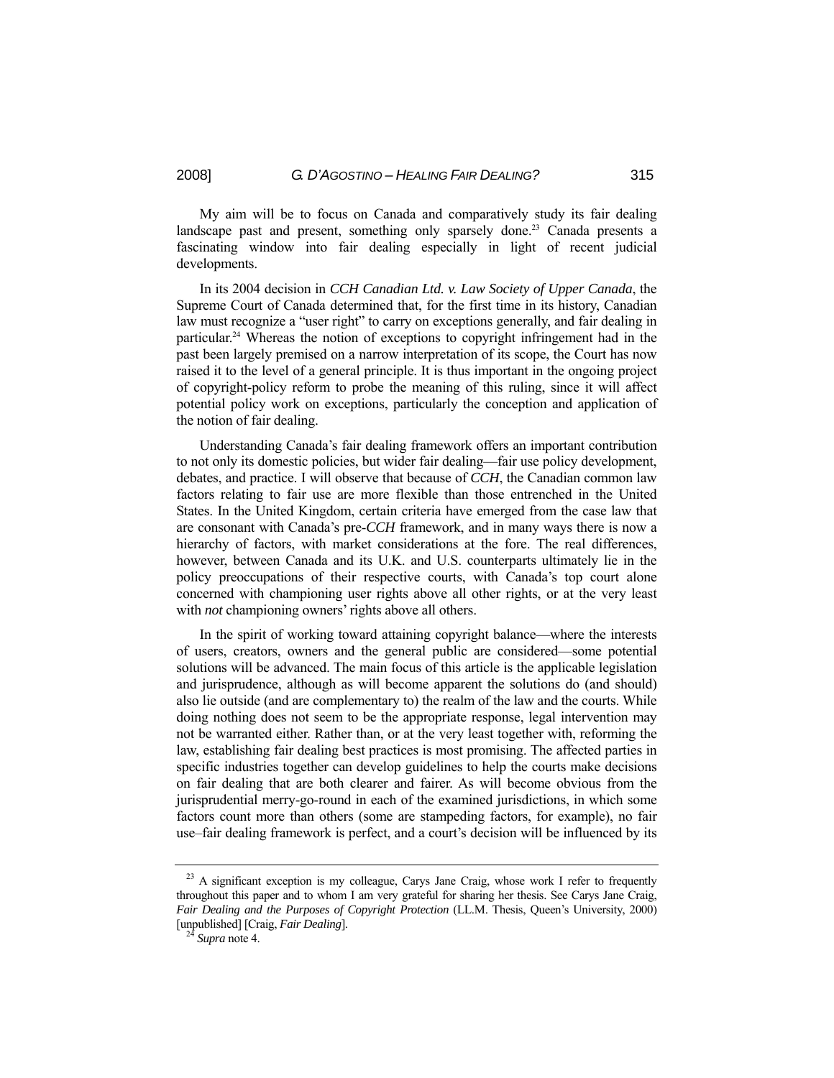My aim will be to focus on Canada and comparatively study its fair dealing landscape past and present, something only sparsely done.<sup>23</sup> Canada presents a fascinating window into fair dealing especially in light of recent judicial developments.

 In its 2004 decision in *CCH Canadian Ltd. v. Law Society of Upper Canada*, the Supreme Court of Canada determined that, for the first time in its history, Canadian law must recognize a "user right" to carry on exceptions generally, and fair dealing in particular.24 Whereas the notion of exceptions to copyright infringement had in the past been largely premised on a narrow interpretation of its scope, the Court has now raised it to the level of a general principle. It is thus important in the ongoing project of copyright-policy reform to probe the meaning of this ruling, since it will affect potential policy work on exceptions, particularly the conception and application of the notion of fair dealing.

 Understanding Canada's fair dealing framework offers an important contribution to not only its domestic policies, but wider fair dealing—fair use policy development, debates, and practice. I will observe that because of *CCH*, the Canadian common law factors relating to fair use are more flexible than those entrenched in the United States. In the United Kingdom, certain criteria have emerged from the case law that are consonant with Canada's pre-*CCH* framework, and in many ways there is now a hierarchy of factors, with market considerations at the fore. The real differences, however, between Canada and its U.K. and U.S. counterparts ultimately lie in the policy preoccupations of their respective courts, with Canada's top court alone concerned with championing user rights above all other rights, or at the very least with *not* championing owners' rights above all others.

 In the spirit of working toward attaining copyright balance—where the interests of users, creators, owners and the general public are considered—some potential solutions will be advanced. The main focus of this article is the applicable legislation and jurisprudence, although as will become apparent the solutions do (and should) also lie outside (and are complementary to) the realm of the law and the courts. While doing nothing does not seem to be the appropriate response, legal intervention may not be warranted either. Rather than, or at the very least together with, reforming the law, establishing fair dealing best practices is most promising. The affected parties in specific industries together can develop guidelines to help the courts make decisions on fair dealing that are both clearer and fairer. As will become obvious from the jurisprudential merry-go-round in each of the examined jurisdictions, in which some factors count more than others (some are stampeding factors, for example), no fair use–fair dealing framework is perfect, and a court's decision will be influenced by its

<sup>&</sup>lt;sup>23</sup> A significant exception is my colleague, Carys Jane Craig, whose work I refer to frequently throughout this paper and to whom I am very grateful for sharing her thesis. See Carys Jane Craig, *Fair Dealing and the Purposes of Copyright Protection* (LL.M. Thesis, Queen's University, 2000) [unpublished] [Craig, *Fair Dealing*]. 24 *Supra* note 4.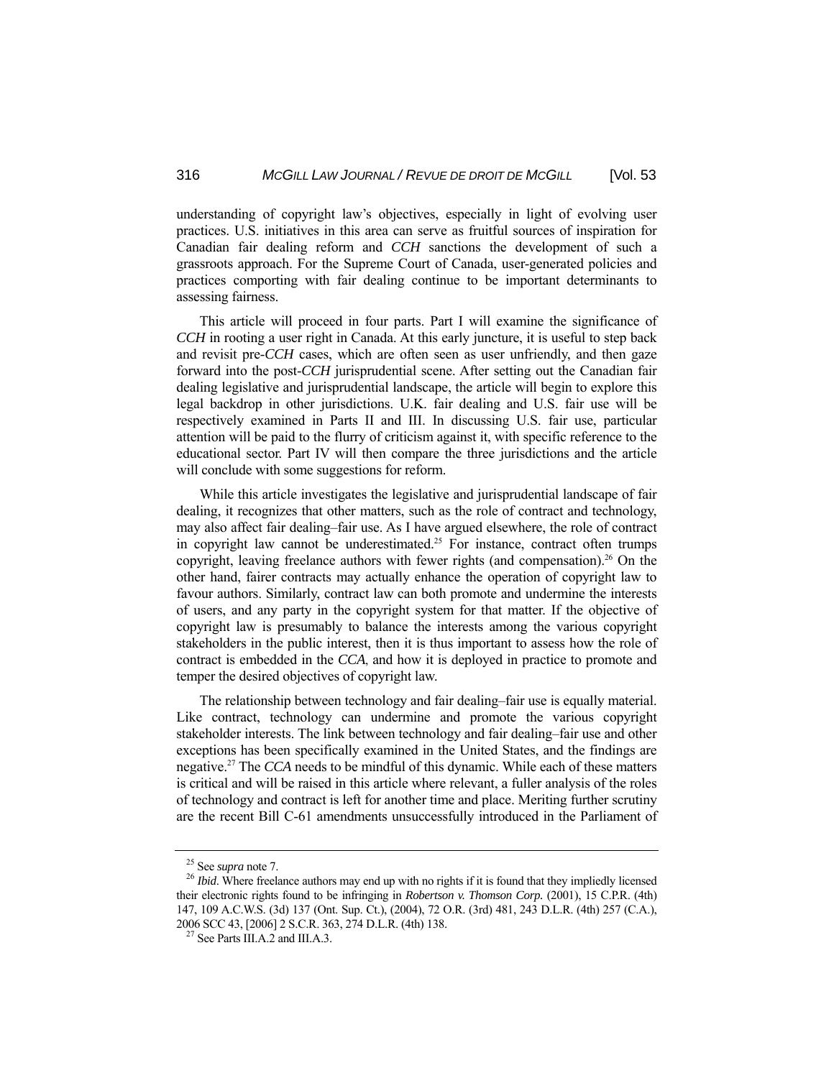understanding of copyright law's objectives, especially in light of evolving user practices. U.S. initiatives in this area can serve as fruitful sources of inspiration for Canadian fair dealing reform and *CCH* sanctions the development of such a grassroots approach. For the Supreme Court of Canada, user-generated policies and practices comporting with fair dealing continue to be important determinants to assessing fairness.

 This article will proceed in four parts. Part I will examine the significance of *CCH* in rooting a user right in Canada. At this early juncture, it is useful to step back and revisit pre-*CCH* cases, which are often seen as user unfriendly, and then gaze forward into the post-*CCH* jurisprudential scene. After setting out the Canadian fair dealing legislative and jurisprudential landscape, the article will begin to explore this legal backdrop in other jurisdictions. U.K. fair dealing and U.S. fair use will be respectively examined in Parts II and III. In discussing U.S. fair use, particular attention will be paid to the flurry of criticism against it, with specific reference to the educational sector. Part IV will then compare the three jurisdictions and the article will conclude with some suggestions for reform.

 While this article investigates the legislative and jurisprudential landscape of fair dealing, it recognizes that other matters, such as the role of contract and technology, may also affect fair dealing–fair use. As I have argued elsewhere, the role of contract in copyright law cannot be underestimated.<sup>25</sup> For instance, contract often trumps copyright, leaving freelance authors with fewer rights (and compensation).<sup>26</sup> On the other hand, fairer contracts may actually enhance the operation of copyright law to favour authors. Similarly, contract law can both promote and undermine the interests of users, and any party in the copyright system for that matter. If the objective of copyright law is presumably to balance the interests among the various copyright stakeholders in the public interest, then it is thus important to assess how the role of contract is embedded in the *CCA*, and how it is deployed in practice to promote and temper the desired objectives of copyright law.

 The relationship between technology and fair dealing–fair use is equally material. Like contract, technology can undermine and promote the various copyright stakeholder interests. The link between technology and fair dealing–fair use and other exceptions has been specifically examined in the United States, and the findings are negative.27 The *CCA* needs to be mindful of this dynamic. While each of these matters is critical and will be raised in this article where relevant, a fuller analysis of the roles of technology and contract is left for another time and place. Meriting further scrutiny are the recent Bill C-61 amendments unsuccessfully introduced in the Parliament of

<sup>&</sup>lt;sup>25</sup> See *supra* note 7.<br><sup>26</sup> *Ibid*. Where freelance authors may end up with no rights if it is found that they impliedly licensed their electronic rights found to be infringing in *Robertson v. Thomson Corp.* (2001), 15 C.P.R. (4th) 147, 109 A.C.W.S. (3d) 137 (Ont. Sup. Ct.), (2004), 72 O.R. (3rd) 481, 243 D.L.R. (4th) 257 (C.A.), 2006 SCC 43, [2006] 2 S.C.R. 363, 274 D.L.R. (4th) 138. <sup>27</sup> See Parts III.A.2 and III.A.3.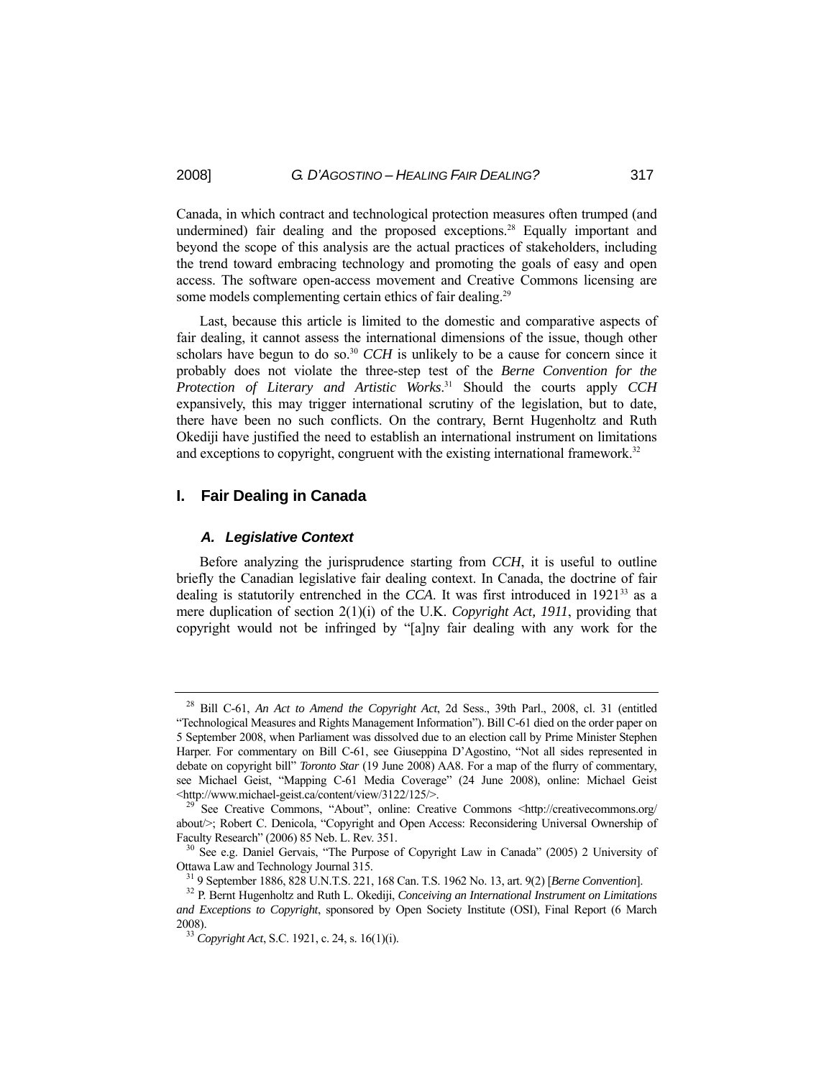Canada, in which contract and technological protection measures often trumped (and undermined) fair dealing and the proposed exceptions.<sup>28</sup> Equally important and beyond the scope of this analysis are the actual practices of stakeholders, including the trend toward embracing technology and promoting the goals of easy and open access. The software open-access movement and Creative Commons licensing are some models complementing certain ethics of fair dealing.<sup>29</sup>

 Last, because this article is limited to the domestic and comparative aspects of fair dealing, it cannot assess the international dimensions of the issue, though other scholars have begun to do so.<sup>30</sup> *CCH* is unlikely to be a cause for concern since it probably does not violate the three-step test of the *Berne Convention for the Protection of Literary and Artistic Works*. 31 Should the courts apply *CCH* expansively, this may trigger international scrutiny of the legislation, but to date, there have been no such conflicts. On the contrary, Bernt Hugenholtz and Ruth Okediji have justified the need to establish an international instrument on limitations and exceptions to copyright, congruent with the existing international framework.<sup>32</sup>

## **I. Fair Dealing in Canada**

#### *A. Legislative Context*

 Before analyzing the jurisprudence starting from *CCH*, it is useful to outline briefly the Canadian legislative fair dealing context. In Canada, the doctrine of fair dealing is statutorily entrenched in the *CCA*. It was first introduced in  $1921^{33}$  as a mere duplication of section 2(1)(i) of the U.K. *Copyright Act, 1911*, providing that copyright would not be infringed by "[a]ny fair dealing with any work for the

<sup>28</sup> Bill C-61, *An Act to Amend the Copyright Act*, 2d Sess., 39th Parl., 2008, cl. 31 (entitled "Technological Measures and Rights Management Information"). Bill C-61 died on the order paper on 5 September 2008, when Parliament was dissolved due to an election call by Prime Minister Stephen Harper. For commentary on Bill C-61, see Giuseppina D'Agostino, "Not all sides represented in debate on copyright bill" *Toronto Star* (19 June 2008) AA8. For a map of the flurry of commentary, see Michael Geist, "Mapping C-61 Media Coverage" (24 June 2008), online: Michael Geist <http://www.michael-geist.ca/content/view/3122/125/>. 29 See Creative Commons, "About", online: Creative Commons <http://creativecommons.org/

about/>; Robert C. Denicola, "Copyright and Open Access: Reconsidering Universal Ownership of

Faculty Research" (2006) 85 Neb. L. Rev. 351. 30<br><sup>30</sup> See e.g. Daniel Gervais, "The Purpose of Copyright Law in Canada" (2005) 2 University of Ottawa Law and Technology Journal 315.

 $31$  9 September 1886, 828 U.N.T.S. 221, 168 Can. T.S. 1962 No. 13, art. 9(2) [*Berne Convention*].<br> $32$  P. Bernt Hugenholtz and Ruth L. Okediji, *Conceiving an International Instrument on Limitations and Exceptions to Copyright*, sponsored by Open Society Institute (OSI), Final Report (6 March 2008). 33 *Copyright Act*, S.C. 1921, c. 24, s. 16(1)(i).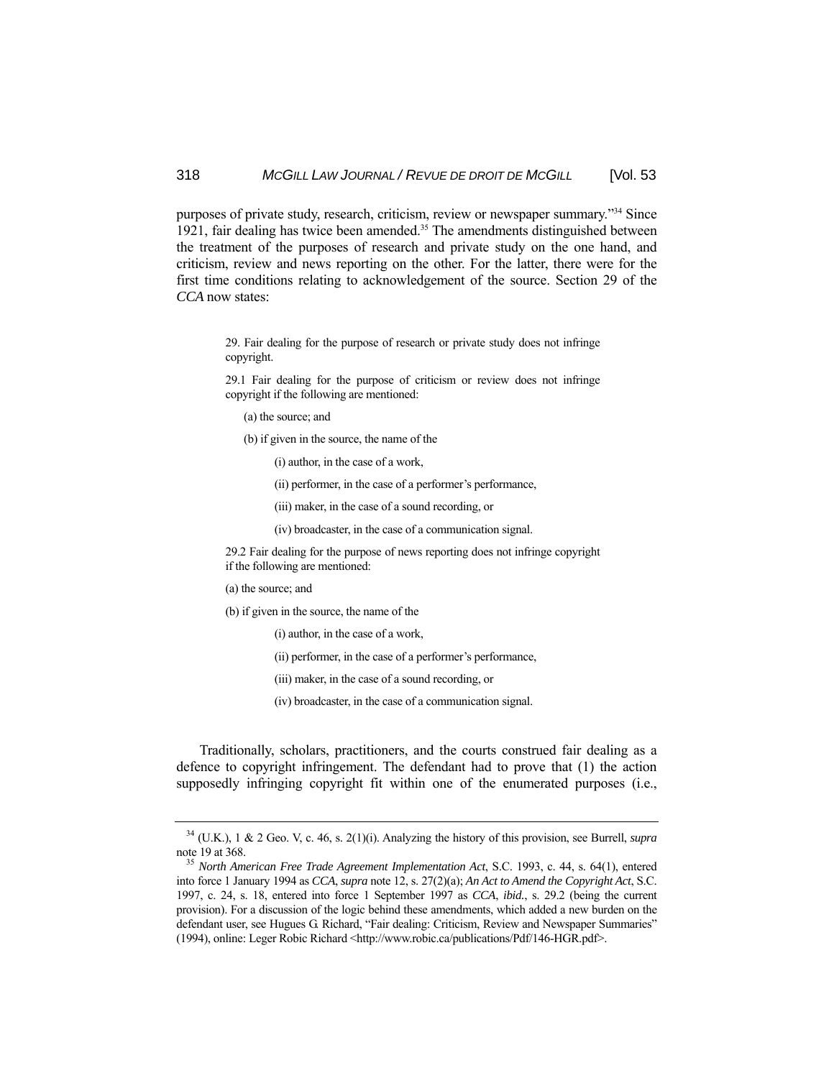purposes of private study, research, criticism, review or newspaper summary."34 Since 1921, fair dealing has twice been amended.<sup>35</sup> The amendments distinguished between the treatment of the purposes of research and private study on the one hand, and criticism, review and news reporting on the other. For the latter, there were for the first time conditions relating to acknowledgement of the source. Section 29 of the *CCA* now states:

> 29. Fair dealing for the purpose of research or private study does not infringe copyright.

> 29.1 Fair dealing for the purpose of criticism or review does not infringe copyright if the following are mentioned:

(a) the source; and

(b) if given in the source, the name of the

(i) author, in the case of a work,

- (ii) performer, in the case of a performer's performance,
- (iii) maker, in the case of a sound recording, or
- (iv) broadcaster, in the case of a communication signal.

29.2 Fair dealing for the purpose of news reporting does not infringe copyright if the following are mentioned:

- (a) the source; and
- (b) if given in the source, the name of the
	- (i) author, in the case of a work,
	- (ii) performer, in the case of a performer's performance,
	- (iii) maker, in the case of a sound recording, or
	- (iv) broadcaster, in the case of a communication signal.

 Traditionally, scholars, practitioners, and the courts construed fair dealing as a defence to copyright infringement. The defendant had to prove that (1) the action supposedly infringing copyright fit within one of the enumerated purposes (i.e.,

 $34$  (U.K.), 1 & 2 Geo. V, c. 46, s. 2(1)(i). Analyzing the history of this provision, see Burrell, *supra* note 19 at 368.<br><sup>35</sup> *North American Free Trade Agreement Implementation Act*, S.C. 1993, c. 44, s. 64(1), entered

into force 1 January 1994 as *CCA*, *supra* note 12, s. 27(2)(a); *An Act to Amend the Copyright Act*, S.C. 1997, c. 24, s. 18, entered into force 1 September 1997 as *CCA*, *ibid.*, s. 29.2 (being the current provision). For a discussion of the logic behind these amendments, which added a new burden on the defendant user, see Hugues G. Richard, "Fair dealing: Criticism, Review and Newspaper Summaries" (1994), online: Leger Robic Richard <http://www.robic.ca/publications/Pdf/146-HGR.pdf>.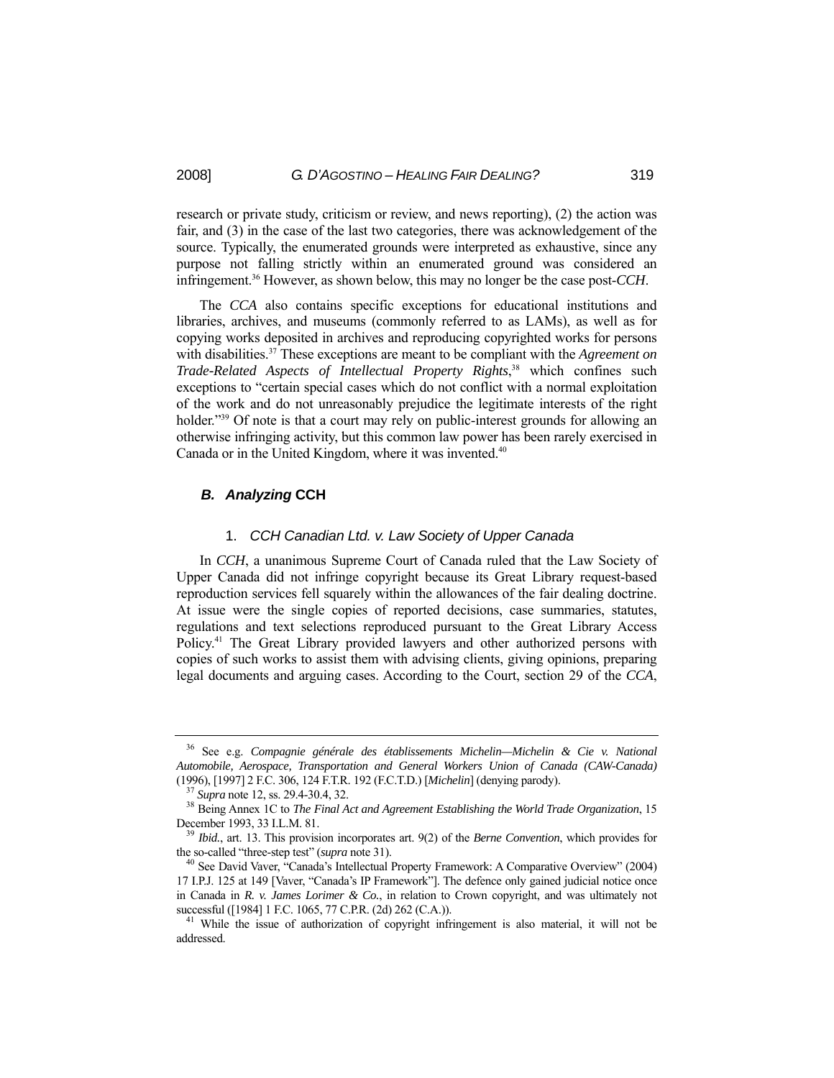research or private study, criticism or review, and news reporting), (2) the action was fair, and (3) in the case of the last two categories, there was acknowledgement of the source. Typically, the enumerated grounds were interpreted as exhaustive, since any purpose not falling strictly within an enumerated ground was considered an infringement.36 However, as shown below, this may no longer be the case post-*CCH*.

 The *CCA* also contains specific exceptions for educational institutions and libraries, archives, and museums (commonly referred to as LAMs), as well as for copying works deposited in archives and reproducing copyrighted works for persons with disabilities.37 These exceptions are meant to be compliant with the *Agreement on Trade-Related Aspects of Intellectual Property Rights*, 38 which confines such exceptions to "certain special cases which do not conflict with a normal exploitation of the work and do not unreasonably prejudice the legitimate interests of the right holder."<sup>39</sup> Of note is that a court may rely on public-interest grounds for allowing an otherwise infringing activity, but this common law power has been rarely exercised in Canada or in the United Kingdom, where it was invented.<sup>40</sup>

## *B. Analyzing* **CCH**

#### 1. *CCH Canadian Ltd. v. Law Society of Upper Canada*

 In *CCH*, a unanimous Supreme Court of Canada ruled that the Law Society of Upper Canada did not infringe copyright because its Great Library request-based reproduction services fell squarely within the allowances of the fair dealing doctrine. At issue were the single copies of reported decisions, case summaries, statutes, regulations and text selections reproduced pursuant to the Great Library Access Policy.41 The Great Library provided lawyers and other authorized persons with copies of such works to assist them with advising clients, giving opinions, preparing legal documents and arguing cases. According to the Court, section 29 of the *CCA*,

<sup>36</sup> See e.g. *Compagnie générale des établissements Michelin—Michelin & Cie v. National Automobile, Aerospace, Transportation and General Workers Union of Canada (CAW-Canada)*  (1996), [1997] 2 F.C. 306, 124 F.T.R. 192 (F.C.T.D.) [Michelin] (denying parody).<br><sup>37</sup> Supra note 12, ss. 29.4-30.4, 32.<br><sup>38</sup> Being Annex 1C to *The Final Act and Agreement Establishing the World Trade Organization*, 15

December 1993, 33 I.L.M. 81.<br><sup>39</sup> *Ibid.*, art. 13. This provision incorporates art. 9(2) of the *Berne Convention*, which provides for

the so-called "three-step test" (*supra* note 31).<br><sup>40</sup> See David Vaver, "Canada's Intellectual Property Framework: A Comparative Overview" (2004)

<sup>17</sup> I.P.J. 125 at 149 [Vaver, "Canada's IP Framework"]. The defence only gained judicial notice once in Canada in *R. v. James Lorimer & Co.*, in relation to Crown copyright, and was ultimately not successful ([1984] 1 F.C. 1065, 77 C.P.R. (2d) 262 (C.A.)).  $^{41}$  While the issue of authorization of copyright infringement is also material, it will not be

addressed.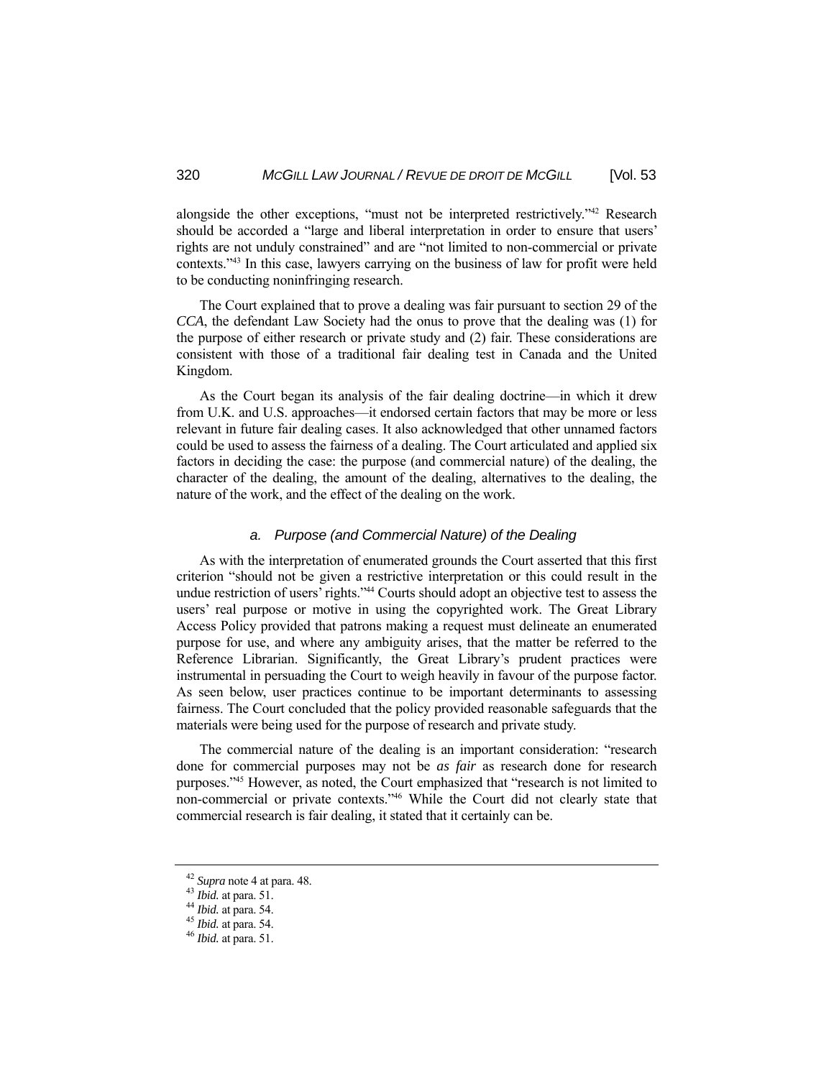alongside the other exceptions, "must not be interpreted restrictively."42 Research should be accorded a "large and liberal interpretation in order to ensure that users' rights are not unduly constrained" and are "not limited to non-commercial or private contexts."43 In this case, lawyers carrying on the business of law for profit were held to be conducting noninfringing research.

 The Court explained that to prove a dealing was fair pursuant to section 29 of the *CCA*, the defendant Law Society had the onus to prove that the dealing was (1) for the purpose of either research or private study and (2) fair. These considerations are consistent with those of a traditional fair dealing test in Canada and the United Kingdom.

 As the Court began its analysis of the fair dealing doctrine—in which it drew from U.K. and U.S. approaches—it endorsed certain factors that may be more or less relevant in future fair dealing cases. It also acknowledged that other unnamed factors could be used to assess the fairness of a dealing. The Court articulated and applied six factors in deciding the case: the purpose (and commercial nature) of the dealing, the character of the dealing, the amount of the dealing, alternatives to the dealing, the nature of the work, and the effect of the dealing on the work.

#### *a. Purpose (and Commercial Nature) of the Dealing*

 As with the interpretation of enumerated grounds the Court asserted that this first criterion "should not be given a restrictive interpretation or this could result in the undue restriction of users' rights."44 Courts should adopt an objective test to assess the users' real purpose or motive in using the copyrighted work. The Great Library Access Policy provided that patrons making a request must delineate an enumerated purpose for use, and where any ambiguity arises, that the matter be referred to the Reference Librarian. Significantly, the Great Library's prudent practices were instrumental in persuading the Court to weigh heavily in favour of the purpose factor. As seen below, user practices continue to be important determinants to assessing fairness. The Court concluded that the policy provided reasonable safeguards that the materials were being used for the purpose of research and private study.

 The commercial nature of the dealing is an important consideration: "research done for commercial purposes may not be *as fair* as research done for research purposes."45 However, as noted, the Court emphasized that "research is not limited to non-commercial or private contexts."46 While the Court did not clearly state that commercial research is fair dealing, it stated that it certainly can be.

<sup>42</sup> *Supra* note 4 at para. 48. 43 *Ibid.* at para. 51. 44 *Ibid.* at para. 54. 45 *Ibid.* at para. 54. 46 *Ibid.* at para. 51.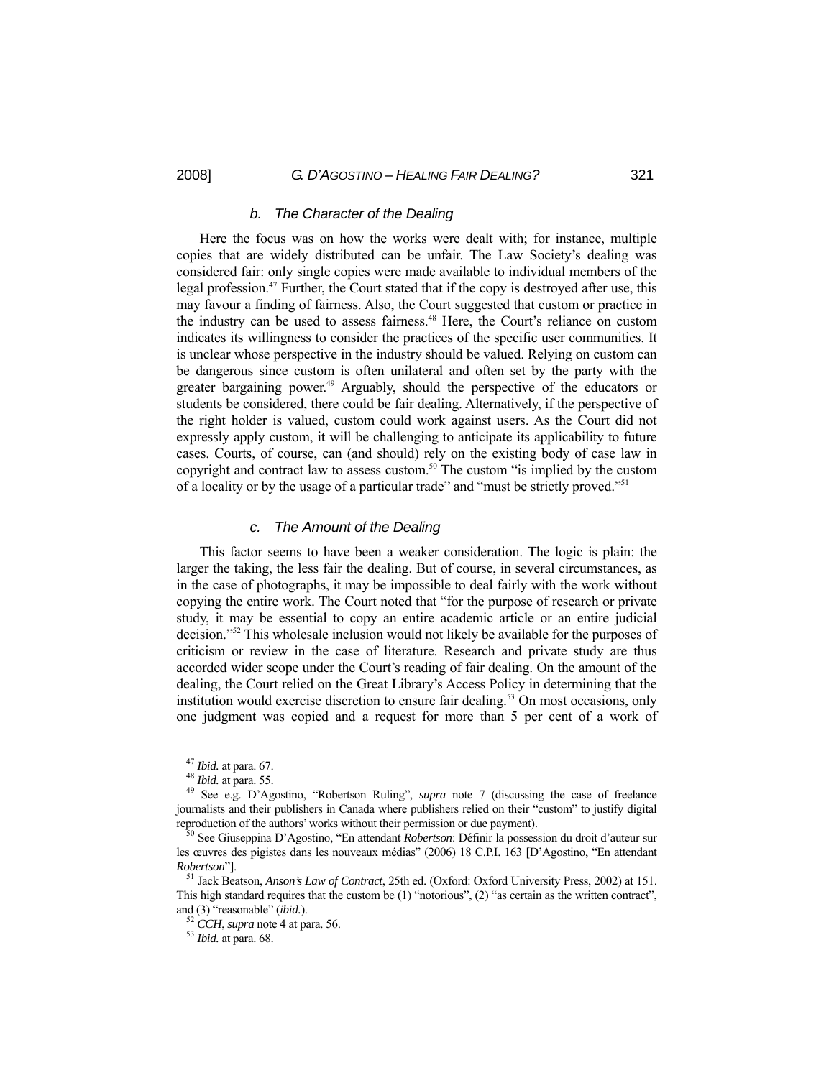#### *b. The Character of the Dealing*

 Here the focus was on how the works were dealt with; for instance, multiple copies that are widely distributed can be unfair. The Law Society's dealing was considered fair: only single copies were made available to individual members of the legal profession.<sup>47</sup> Further, the Court stated that if the copy is destroyed after use, this may favour a finding of fairness. Also, the Court suggested that custom or practice in the industry can be used to assess fairness.<sup>48</sup> Here, the Court's reliance on custom indicates its willingness to consider the practices of the specific user communities. It is unclear whose perspective in the industry should be valued. Relying on custom can be dangerous since custom is often unilateral and often set by the party with the greater bargaining power.<sup>49</sup> Arguably, should the perspective of the educators or students be considered, there could be fair dealing. Alternatively, if the perspective of the right holder is valued, custom could work against users. As the Court did not expressly apply custom, it will be challenging to anticipate its applicability to future cases. Courts, of course, can (and should) rely on the existing body of case law in copyright and contract law to assess custom.<sup>50</sup> The custom "is implied by the custom" of a locality or by the usage of a particular trade" and "must be strictly proved."51

## *c. The Amount of the Dealing*

 This factor seems to have been a weaker consideration. The logic is plain: the larger the taking, the less fair the dealing. But of course, in several circumstances, as in the case of photographs, it may be impossible to deal fairly with the work without copying the entire work. The Court noted that "for the purpose of research or private study, it may be essential to copy an entire academic article or an entire judicial decision."52 This wholesale inclusion would not likely be available for the purposes of criticism or review in the case of literature. Research and private study are thus accorded wider scope under the Court's reading of fair dealing. On the amount of the dealing, the Court relied on the Great Library's Access Policy in determining that the institution would exercise discretion to ensure fair dealing.<sup>53</sup> On most occasions, only one judgment was copied and a request for more than 5 per cent of a work of

<sup>47</sup> *Ibid.* at para. 67. 48 *Ibid.* at para. 55. 49 See e.g. D'Agostino, "Robertson Ruling", *supra* note 7 (discussing the case of freelance journalists and their publishers in Canada where publishers relied on their "custom" to justify digital reproduction of the authors' works without their permission or due payment). 50 See Giuseppina D'Agostino, "En attendant *Robertson*: Définir la possession du droit d'auteur sur

les œuvres des pigistes dans les nouveaux médias" (2006) 18 C.P.I. 163 [D'Agostino, "En attendant *Robertson*"]. 51 Jack Beatson, *Anson's Law of Contract*, 25th ed. (Oxford: Oxford University Press, 2002) at 151.

This high standard requires that the custom be (1) "notorious", (2) "as certain as the written contract", and (3) "reasonable" (*ibid.*). 52 *CCH*, *supra* note 4 at para. 56. 53 *Ibid.* at para. 68.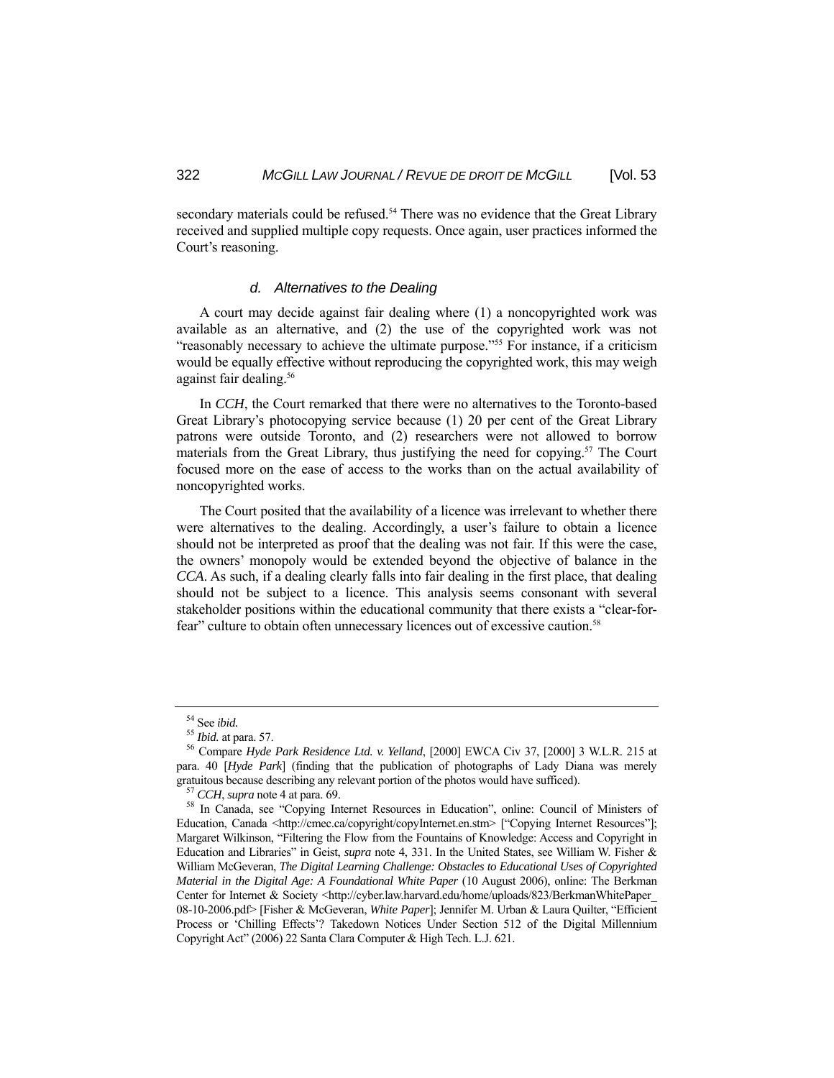secondary materials could be refused.<sup>54</sup> There was no evidence that the Great Library received and supplied multiple copy requests. Once again, user practices informed the Court's reasoning.

#### *d. Alternatives to the Dealing*

 A court may decide against fair dealing where (1) a noncopyrighted work was available as an alternative, and (2) the use of the copyrighted work was not "reasonably necessary to achieve the ultimate purpose."55 For instance, if a criticism would be equally effective without reproducing the copyrighted work, this may weigh against fair dealing.<sup>56</sup>

 In *CCH*, the Court remarked that there were no alternatives to the Toronto-based Great Library's photocopying service because (1) 20 per cent of the Great Library patrons were outside Toronto, and (2) researchers were not allowed to borrow materials from the Great Library, thus justifying the need for copying.<sup>57</sup> The Court focused more on the ease of access to the works than on the actual availability of noncopyrighted works.

 The Court posited that the availability of a licence was irrelevant to whether there were alternatives to the dealing. Accordingly, a user's failure to obtain a licence should not be interpreted as proof that the dealing was not fair. If this were the case, the owners' monopoly would be extended beyond the objective of balance in the *CCA*. As such, if a dealing clearly falls into fair dealing in the first place, that dealing should not be subject to a licence. This analysis seems consonant with several stakeholder positions within the educational community that there exists a "clear-forfear" culture to obtain often unnecessary licences out of excessive caution.<sup>58</sup>

<sup>&</sup>lt;sup>54</sup> See *ibid.*<br><sup>55</sup> *Ibid.* at para. 57.<br><sup>56</sup> Compare *Hyde Park Residence Ltd. v. Yelland*, [2000] EWCA Civ 37, [2000] 3 W.L.R. 215 at para. 40 [*Hyde Park*] (finding that the publication of photographs of Lady Diana was merely gratuitous because describing any relevant portion of the photos would have sufficed).<br><sup>57</sup> CCH, supra note 4 at para. 69.<br><sup>58</sup> In Canada, see "Copying Internet Resources in Education", online: Council of Ministers of

Education, Canada <http://cmec.ca/copyright/copyInternet.en.stm> ["Copying Internet Resources"]; Margaret Wilkinson, "Filtering the Flow from the Fountains of Knowledge: Access and Copyright in Education and Libraries" in Geist, *supra* note 4, 331. In the United States, see William W. Fisher & William McGeveran, *The Digital Learning Challenge: Obstacles to Educational Uses of Copyrighted Material in the Digital Age: A Foundational White Paper* (10 August 2006), online: The Berkman Center for Internet & Society <http://cyber.law.harvard.edu/home/uploads/823/BerkmanWhitePaper\_ 08-10-2006.pdf> [Fisher & McGeveran, *White Paper*]; Jennifer M. Urban & Laura Quilter, "Efficient Process or 'Chilling Effects'? Takedown Notices Under Section 512 of the Digital Millennium Copyright Act" (2006) 22 Santa Clara Computer & High Tech. L.J. 621.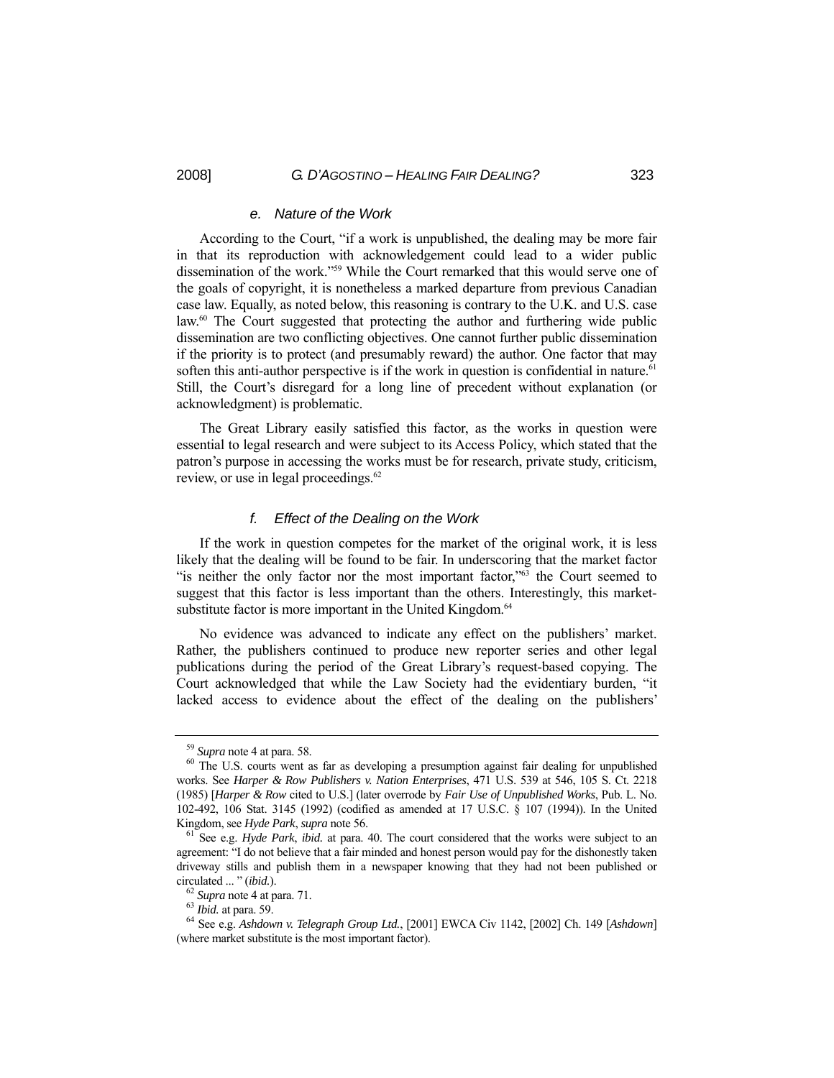#### *e. Nature of the Work*

 According to the Court, "if a work is unpublished, the dealing may be more fair in that its reproduction with acknowledgement could lead to a wider public dissemination of the work."59 While the Court remarked that this would serve one of the goals of copyright, it is nonetheless a marked departure from previous Canadian case law. Equally, as noted below, this reasoning is contrary to the U.K. and U.S. case law.<sup>60</sup> The Court suggested that protecting the author and furthering wide public dissemination are two conflicting objectives. One cannot further public dissemination if the priority is to protect (and presumably reward) the author. One factor that may soften this anti-author perspective is if the work in question is confidential in nature.<sup>61</sup> Still, the Court's disregard for a long line of precedent without explanation (or acknowledgment) is problematic.

 The Great Library easily satisfied this factor, as the works in question were essential to legal research and were subject to its Access Policy, which stated that the patron's purpose in accessing the works must be for research, private study, criticism, review, or use in legal proceedings.<sup>62</sup>

#### *f. Effect of the Dealing on the Work*

 If the work in question competes for the market of the original work, it is less likely that the dealing will be found to be fair. In underscoring that the market factor "is neither the only factor nor the most important factor,"<sup>63</sup> the Court seemed to suggest that this factor is less important than the others. Interestingly, this marketsubstitute factor is more important in the United Kingdom.<sup>64</sup>

 No evidence was advanced to indicate any effect on the publishers' market. Rather, the publishers continued to produce new reporter series and other legal publications during the period of the Great Library's request-based copying. The Court acknowledged that while the Law Society had the evidentiary burden, "it lacked access to evidence about the effect of the dealing on the publishers'

<sup>&</sup>lt;sup>59</sup> *Supra* note 4 at para. 58. **60** The U.S. courts went as far as developing a presumption against fair dealing for unpublished works. See *Harper & Row Publishers v. Nation Enterprises*, 471 U.S. 539 at 546, 105 S. Ct. 2218 (1985) [*Harper & Row* cited to U.S.] (later overrode by *Fair Use of Unpublished Works*, Pub. L. No. 102-492, 106 Stat. 3145 (1992) (codified as amended at 17 U.S.C. § 107 (1994)). In the United Kingdom, see *Hyde Park*, *supra* note 56.<br><sup>61</sup> See e.g. *Hyde Park*, *ibid.* at para. 40. The court considered that the works were subject to an

agreement: "I do not believe that a fair minded and honest person would pay for the dishonestly taken driveway stills and publish them in a newspaper knowing that they had not been published or circulated ... " (*ibid.*).<br><sup>62</sup> *Supra* note 4 at para. 71.<br><sup>63</sup> *Ibid.* at para. 59.<br><sup>64</sup> See e.g. *Ashdown v. Telegraph Group Ltd.*, [2001] EWCA Civ 1142, [2002] Ch. 149 [*Ashdown*]

<sup>(</sup>where market substitute is the most important factor).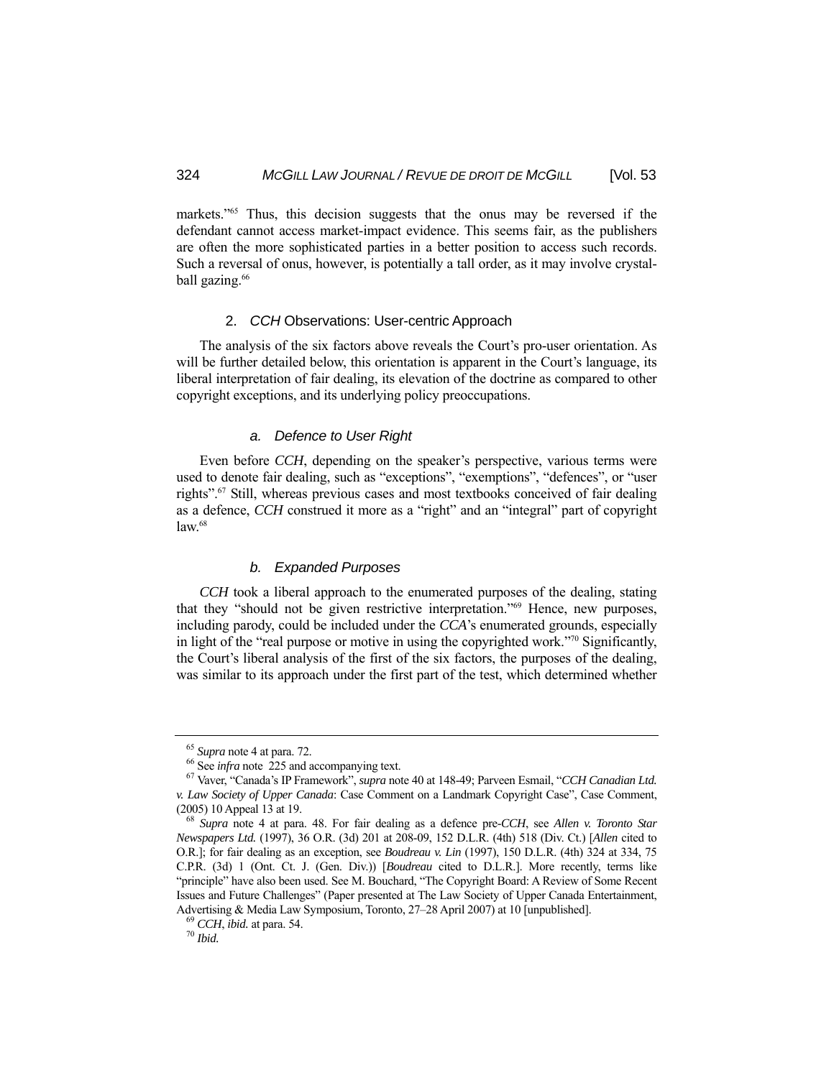markets."<sup>65</sup> Thus, this decision suggests that the onus may be reversed if the defendant cannot access market-impact evidence. This seems fair, as the publishers are often the more sophisticated parties in a better position to access such records. Such a reversal of onus, however, is potentially a tall order, as it may involve crystalball gazing.<sup>66</sup>

## 2. *CCH* Observations: User-centric Approach

 The analysis of the six factors above reveals the Court's pro-user orientation. As will be further detailed below, this orientation is apparent in the Court's language, its liberal interpretation of fair dealing, its elevation of the doctrine as compared to other copyright exceptions, and its underlying policy preoccupations.

#### *a. Defence to User Right*

 Even before *CCH*, depending on the speaker's perspective, various terms were used to denote fair dealing, such as "exceptions", "exemptions", "defences", or "user rights".67 Still, whereas previous cases and most textbooks conceived of fair dealing as a defence, *CCH* construed it more as a "right" and an "integral" part of copyright law.<sup>68</sup>

## *b. Expanded Purposes*

 *CCH* took a liberal approach to the enumerated purposes of the dealing, stating that they "should not be given restrictive interpretation."69 Hence, new purposes, including parody, could be included under the *CCA*'s enumerated grounds, especially in light of the "real purpose or motive in using the copyrighted work."70 Significantly, the Court's liberal analysis of the first of the six factors, the purposes of the dealing, was similar to its approach under the first part of the test, which determined whether

<sup>65</sup> *Supra* note 4 at para. 72. 66 See *infra* note 225 and accompanying text. 67 Vaver, "Canada's IP Framework", *supra* note 40 at 148-49; Parveen Esmail, "*CCH Canadian Ltd. v. Law Society of Upper Canada*: Case Comment on a Landmark Copyright Case", Case Comment, (2005) 10 Appeal 13 at 19. 68 *Supra* note 4 at para. 48. For fair dealing as a defence pre-*CCH*, see *Allen v. Toronto Star* 

*Newspapers Ltd.* (1997), 36 O.R. (3d) 201 at 208-09, 152 D.L.R. (4th) 518 (Div. Ct.) [*Allen* cited to O.R.]; for fair dealing as an exception, see *Boudreau v. Lin* (1997), 150 D.L.R. (4th) 324 at 334, 75 C.P.R. (3d) 1 (Ont. Ct. J. (Gen. Div.)) [*Boudreau* cited to D.L.R.]. More recently, terms like "principle" have also been used. See M. Bouchard, "The Copyright Board: A Review of Some Recent Issues and Future Challenges" (Paper presented at The Law Society of Upper Canada Entertainment, Advertising & Media Law Symposium, Toronto, 27–28 April 2007) at 10 [unpublished]. 69 *CCH*, *ibid.* at para. 54. 70 *Ibid.*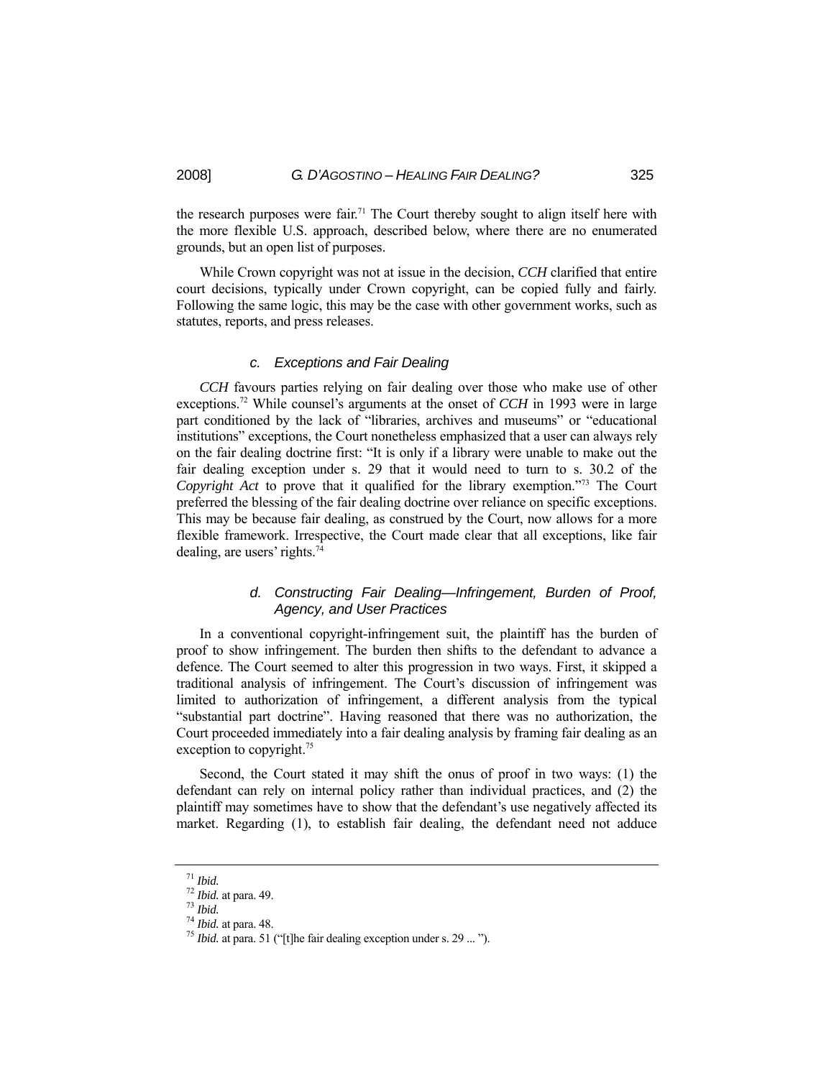the research purposes were fair.<sup>71</sup> The Court thereby sought to align itself here with the more flexible U.S. approach, described below, where there are no enumerated grounds, but an open list of purposes.

 While Crown copyright was not at issue in the decision, *CCH* clarified that entire court decisions, typically under Crown copyright, can be copied fully and fairly. Following the same logic, this may be the case with other government works, such as statutes, reports, and press releases.

#### *c. Exceptions and Fair Dealing*

 *CCH* favours parties relying on fair dealing over those who make use of other exceptions.<sup>72</sup> While counsel's arguments at the onset of *CCH* in 1993 were in large part conditioned by the lack of "libraries, archives and museums" or "educational institutions" exceptions, the Court nonetheless emphasized that a user can always rely on the fair dealing doctrine first: "It is only if a library were unable to make out the fair dealing exception under s. 29 that it would need to turn to s. 30.2 of the *Copyright Act* to prove that it qualified for the library exemption."73 The Court preferred the blessing of the fair dealing doctrine over reliance on specific exceptions. This may be because fair dealing, as construed by the Court, now allows for a more flexible framework. Irrespective, the Court made clear that all exceptions, like fair dealing, are users' rights.74

## *d. Constructing Fair Dealing—Infringement, Burden of Proof, Agency, and User Practices*

 In a conventional copyright-infringement suit, the plaintiff has the burden of proof to show infringement. The burden then shifts to the defendant to advance a defence. The Court seemed to alter this progression in two ways. First, it skipped a traditional analysis of infringement. The Court's discussion of infringement was limited to authorization of infringement, a different analysis from the typical "substantial part doctrine". Having reasoned that there was no authorization, the Court proceeded immediately into a fair dealing analysis by framing fair dealing as an exception to copyright.<sup>75</sup>

 Second, the Court stated it may shift the onus of proof in two ways: (1) the defendant can rely on internal policy rather than individual practices, and (2) the plaintiff may sometimes have to show that the defendant's use negatively affected its market. Regarding (1), to establish fair dealing, the defendant need not adduce

<sup>71</sup> *Ibid.* <sup>72</sup> *Ibid.* at para. 49. 73 *Ibid.* <sup>74</sup> *Ibid.* at para. 48. 75 *Ibid.* at para. 51 ("[t]he fair dealing exception under s. 29 ... ").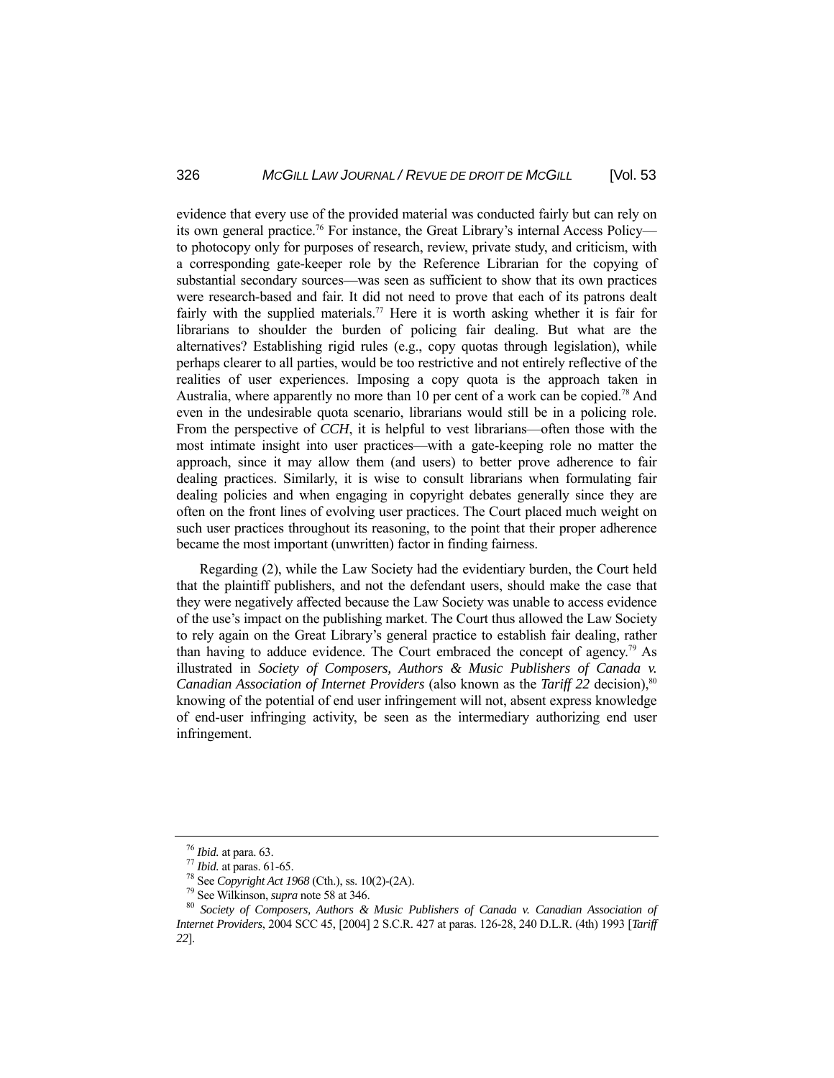evidence that every use of the provided material was conducted fairly but can rely on its own general practice.<sup>76</sup> For instance, the Great Library's internal Access Policy to photocopy only for purposes of research, review, private study, and criticism, with a corresponding gate-keeper role by the Reference Librarian for the copying of substantial secondary sources—was seen as sufficient to show that its own practices were research-based and fair. It did not need to prove that each of its patrons dealt fairly with the supplied materials.<sup>77</sup> Here it is worth asking whether it is fair for librarians to shoulder the burden of policing fair dealing. But what are the alternatives? Establishing rigid rules (e.g., copy quotas through legislation), while perhaps clearer to all parties, would be too restrictive and not entirely reflective of the realities of user experiences. Imposing a copy quota is the approach taken in Australia, where apparently no more than 10 per cent of a work can be copied.<sup>78</sup> And even in the undesirable quota scenario, librarians would still be in a policing role. From the perspective of *CCH*, it is helpful to vest librarians—often those with the most intimate insight into user practices—with a gate-keeping role no matter the approach, since it may allow them (and users) to better prove adherence to fair dealing practices. Similarly, it is wise to consult librarians when formulating fair dealing policies and when engaging in copyright debates generally since they are often on the front lines of evolving user practices. The Court placed much weight on such user practices throughout its reasoning, to the point that their proper adherence became the most important (unwritten) factor in finding fairness.

 Regarding (2), while the Law Society had the evidentiary burden, the Court held that the plaintiff publishers, and not the defendant users, should make the case that they were negatively affected because the Law Society was unable to access evidence of the use's impact on the publishing market. The Court thus allowed the Law Society to rely again on the Great Library's general practice to establish fair dealing, rather than having to adduce evidence. The Court embraced the concept of agency.<sup>79</sup> As illustrated in *Society of Composers, Authors & Music Publishers of Canada v. Canadian Association of Internet Providers (also known as the <i>Tariff 22 decision*),<sup>80</sup> knowing of the potential of end user infringement will not, absent express knowledge of end-user infringing activity, be seen as the intermediary authorizing end user infringement.

<sup>&</sup>lt;sup>76</sup> Ibid. at para. 63.<br>
<sup>77</sup> Ibid. at paras. 61-65.<br>
<sup>78</sup> See Copyright Act 1968 (Cth.), ss. 10(2)-(2A).<br>
<sup>79</sup> See Wilkinson, *supra* note 58 at 346.<br>
<sup>80</sup> Society of Composers, Authors & Music Publishers of Canada v. Ca *Internet Providers*, 2004 SCC 45, [2004] 2 S.C.R. 427 at paras. 126-28, 240 D.L.R. (4th) 1993 [*Tariff 22*].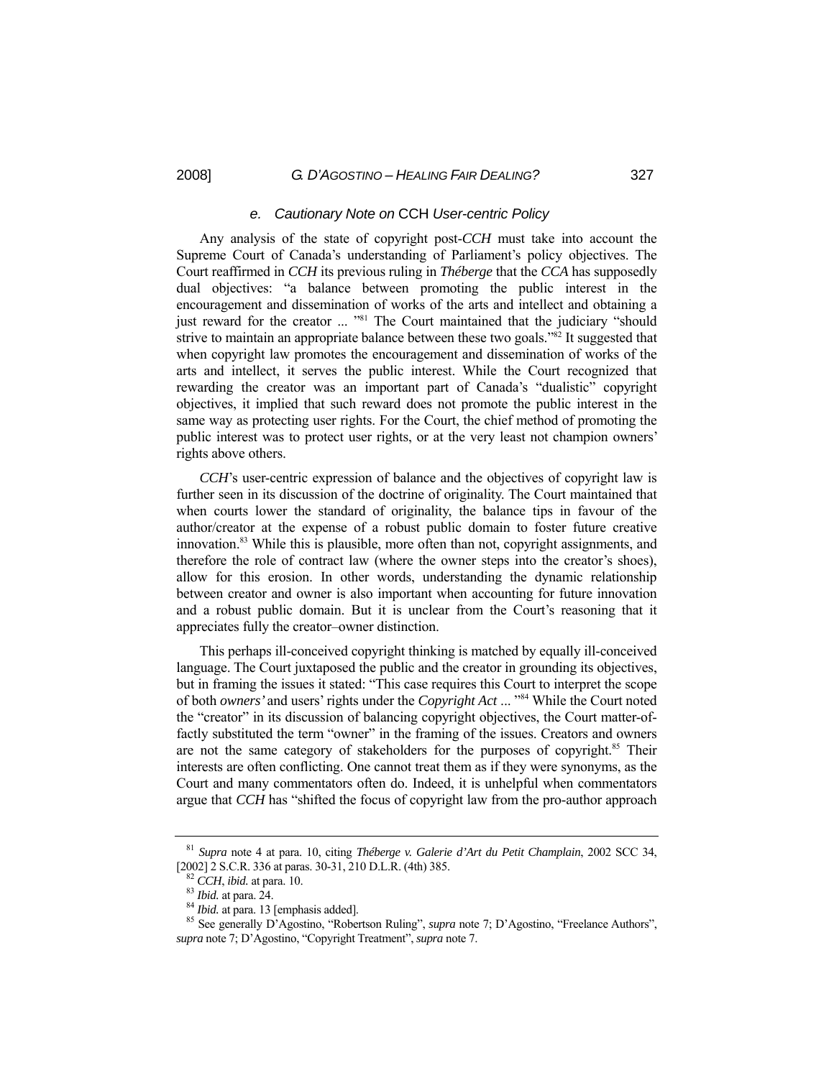#### *e. Cautionary Note on* CCH *User-centric Policy*

 Any analysis of the state of copyright post-*CCH* must take into account the Supreme Court of Canada's understanding of Parliament's policy objectives. The Court reaffirmed in *CCH* its previous ruling in *Théberge* that the *CCA* has supposedly dual objectives: "a balance between promoting the public interest in the encouragement and dissemination of works of the arts and intellect and obtaining a just reward for the creator ... "<sup>81</sup> The Court maintained that the judiciary "should strive to maintain an appropriate balance between these two goals."<sup>82</sup> It suggested that when copyright law promotes the encouragement and dissemination of works of the arts and intellect, it serves the public interest. While the Court recognized that rewarding the creator was an important part of Canada's "dualistic" copyright objectives, it implied that such reward does not promote the public interest in the same way as protecting user rights. For the Court, the chief method of promoting the public interest was to protect user rights, or at the very least not champion owners' rights above others.

 *CCH*'s user-centric expression of balance and the objectives of copyright law is further seen in its discussion of the doctrine of originality. The Court maintained that when courts lower the standard of originality, the balance tips in favour of the author/creator at the expense of a robust public domain to foster future creative innovation.<sup>83</sup> While this is plausible, more often than not, copyright assignments, and therefore the role of contract law (where the owner steps into the creator's shoes), allow for this erosion. In other words, understanding the dynamic relationship between creator and owner is also important when accounting for future innovation and a robust public domain. But it is unclear from the Court's reasoning that it appreciates fully the creator–owner distinction.

 This perhaps ill-conceived copyright thinking is matched by equally ill-conceived language. The Court juxtaposed the public and the creator in grounding its objectives, but in framing the issues it stated: "This case requires this Court to interpret the scope of both *owners'* and users' rights under the *Copyright Act* ... "84 While the Court noted the "creator" in its discussion of balancing copyright objectives, the Court matter-offactly substituted the term "owner" in the framing of the issues. Creators and owners are not the same category of stakeholders for the purposes of copyright.<sup>85</sup> Their interests are often conflicting. One cannot treat them as if they were synonyms, as the Court and many commentators often do. Indeed, it is unhelpful when commentators argue that *CCH* has "shifted the focus of copyright law from the pro-author approach

<sup>81</sup> *Supra* note 4 at para. 10, citing *Théberge v. Galerie d'Art du Petit Champlain*, 2002 SCC 34, [2002] 2 S.C.R. 336 at paras. 30-31, 210 D.L.R. (4th) 385.<br><sup>82</sup> CCH, ibid. at para. 10.<br><sup>83</sup> Ibid. at para. 24.<br><sup>84</sup> Ibid. at para. 13 [emphasis added].<br><sup>85</sup> See generally D'Agostino, "Robertson Ruling", *supra* note 7; D

*supra* note 7; D'Agostino, "Copyright Treatment", *supra* note 7.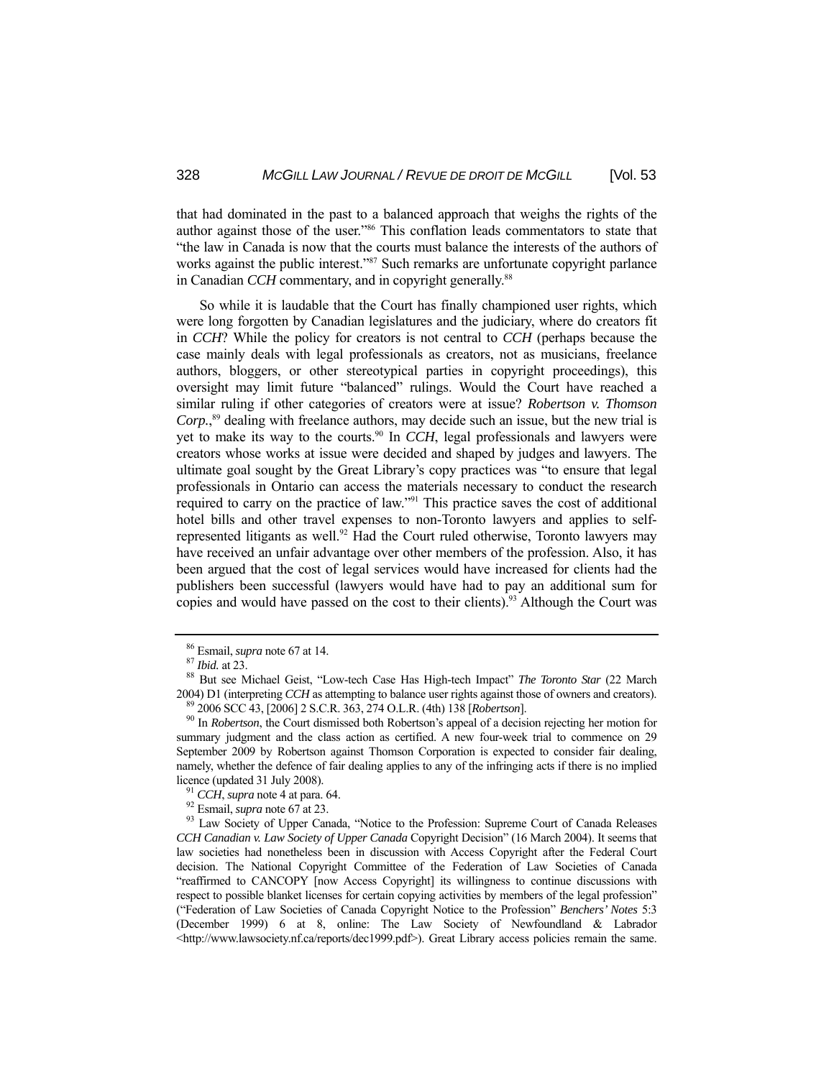that had dominated in the past to a balanced approach that weighs the rights of the author against those of the user."86 This conflation leads commentators to state that "the law in Canada is now that the courts must balance the interests of the authors of works against the public interest."<sup>87</sup> Such remarks are unfortunate copyright parlance in Canadian *CCH* commentary, and in copyright generally.<sup>88</sup>

 So while it is laudable that the Court has finally championed user rights, which were long forgotten by Canadian legislatures and the judiciary, where do creators fit in *CCH*? While the policy for creators is not central to *CCH* (perhaps because the case mainly deals with legal professionals as creators, not as musicians, freelance authors, bloggers, or other stereotypical parties in copyright proceedings), this oversight may limit future "balanced" rulings. Would the Court have reached a similar ruling if other categories of creators were at issue? *Robertson v. Thomson Corp.*, 89 dealing with freelance authors, may decide such an issue, but the new trial is yet to make its way to the courts.<sup>90</sup> In *CCH*, legal professionals and lawyers were creators whose works at issue were decided and shaped by judges and lawyers. The ultimate goal sought by the Great Library's copy practices was "to ensure that legal professionals in Ontario can access the materials necessary to conduct the research required to carry on the practice of law."91 This practice saves the cost of additional hotel bills and other travel expenses to non-Toronto lawyers and applies to selfrepresented litigants as well.<sup>92</sup> Had the Court ruled otherwise, Toronto lawyers may have received an unfair advantage over other members of the profession. Also, it has been argued that the cost of legal services would have increased for clients had the publishers been successful (lawyers would have had to pay an additional sum for copies and would have passed on the cost to their clients).<sup>93</sup> Although the Court was

<sup>&</sup>lt;sup>86</sup> Esmail, *supra* note 67 at 14.<br><sup>87</sup> *Ibid.* at 23.<br><sup>88</sup> But see Michael Geist, "Low-tech Case Has High-tech Impact" *The Toronto Star* (22 March 2004) D1 (interpreting *CCH* as attempting to balance user rights against those of owners and creators).<br><sup>89</sup> 2006 SCC 43, [2006] 2 S.C.R. 363, 274 O.L.R. (4th) 138 [*Robertson*].<br><sup>90</sup> In *Robertson*, the Court dismissed b

summary judgment and the class action as certified. A new four-week trial to commence on 29 September 2009 by Robertson against Thomson Corporation is expected to consider fair dealing, namely, whether the defence of fair dealing applies to any of the infringing acts if there is no implied licence (updated 31 July 2008).<br><sup>91</sup> *CCH*, *supra* note 4 at para. 64.<br><sup>92</sup> Esmail, *supra* note 67 at 23.<br><sup>93</sup> Law Society of Upper Canada, "Notice to the Profession: Supreme Court of Canada Releases

*CCH Canadian v. Law Society of Upper Canada* Copyright Decision" (16 March 2004). It seems that law societies had nonetheless been in discussion with Access Copyright after the Federal Court decision. The National Copyright Committee of the Federation of Law Societies of Canada "reaffirmed to CANCOPY [now Access Copyright] its willingness to continue discussions with respect to possible blanket licenses for certain copying activities by members of the legal profession" ("Federation of Law Societies of Canada Copyright Notice to the Profession" *Benchers' Notes* 5:3 (December 1999) 6 at 8, online: The Law Society of Newfoundland & Labrador <http://www.lawsociety.nf.ca/reports/dec1999.pdf>). Great Library access policies remain the same.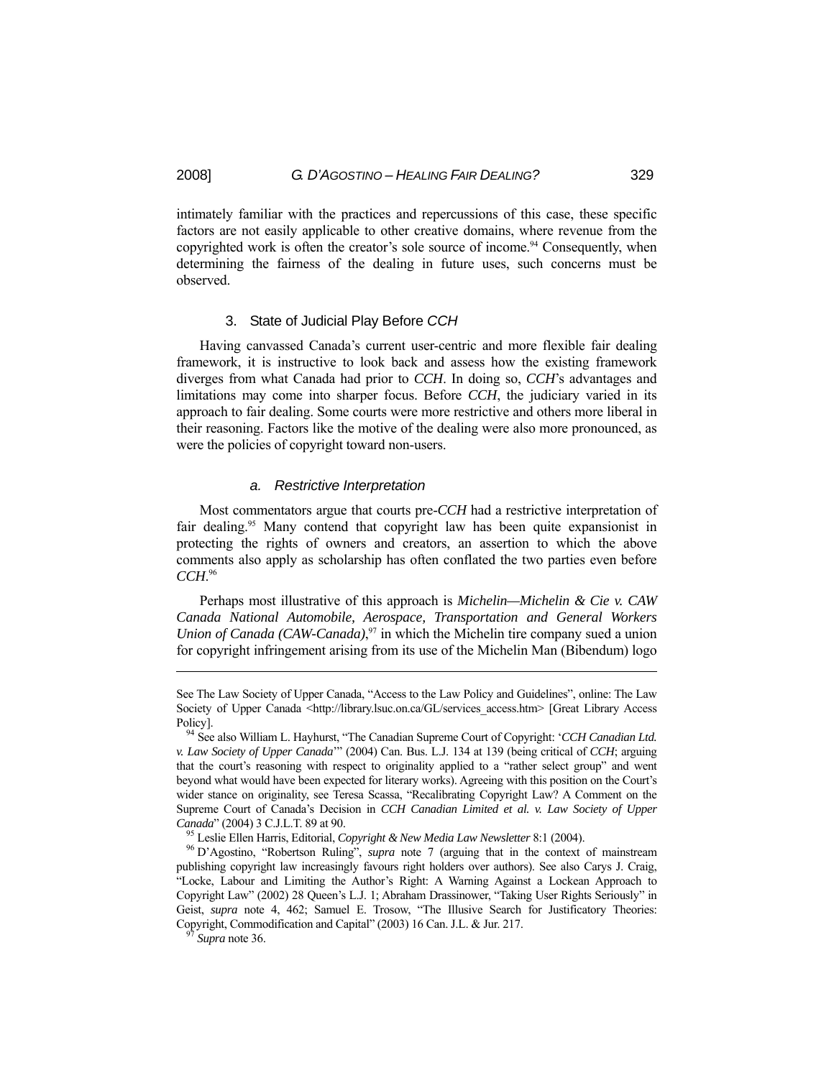intimately familiar with the practices and repercussions of this case, these specific factors are not easily applicable to other creative domains, where revenue from the copyrighted work is often the creator's sole source of income.<sup>94</sup> Consequently, when determining the fairness of the dealing in future uses, such concerns must be observed.

#### 3. State of Judicial Play Before *CCH*

 Having canvassed Canada's current user-centric and more flexible fair dealing framework, it is instructive to look back and assess how the existing framework diverges from what Canada had prior to *CCH*. In doing so, *CCH*'s advantages and limitations may come into sharper focus. Before *CCH*, the judiciary varied in its approach to fair dealing. Some courts were more restrictive and others more liberal in their reasoning. Factors like the motive of the dealing were also more pronounced, as were the policies of copyright toward non-users.

#### *a. Restrictive Interpretation*

 Most commentators argue that courts pre-*CCH* had a restrictive interpretation of fair dealing.95 Many contend that copyright law has been quite expansionist in protecting the rights of owners and creators, an assertion to which the above comments also apply as scholarship has often conflated the two parties even before *CCH*. 96

 Perhaps most illustrative of this approach is *Michelin—Michelin & Cie v. CAW Canada National Automobile, Aerospace, Transportation and General Workers Union of Canada (CAW-Canada)*, 97 in which the Michelin tire company sued a union for copyright infringement arising from its use of the Michelin Man (Bibendum) logo

-

See The Law Society of Upper Canada, "Access to the Law Policy and Guidelines", online: The Law Society of Upper Canada <http://library.lsuc.on.ca/GL/services\_access.htm> [Great Library Access Policy]. 94 See also William L. Hayhurst, "The Canadian Supreme Court of Copyright: '*CCH Canadian Ltd.* 

*v. Law Society of Upper Canada*'" (2004) Can. Bus. L.J. 134 at 139 (being critical of *CCH*; arguing that the court's reasoning with respect to originality applied to a "rather select group" and went beyond what would have been expected for literary works). Agreeing with this position on the Court's wider stance on originality, see Teresa Scassa, "Recalibrating Copyright Law? A Comment on the Supreme Court of Canada's Decision in *CCH Canadian Limited et al. v. Law Society of Upper*  Canada" (2004) 3 C.J.L.T. 89 at 90.<br><sup>95</sup> Leslie Ellen Harris, Editorial, *Copyright & New Media Law Newsletter* 8:1 (2004).<br><sup>96</sup> D'Agostino, "Robertson Ruling", *supra* note 7 (arguing that in the context of mainstream

publishing copyright law increasingly favours right holders over authors). See also Carys J. Craig, "Locke, Labour and Limiting the Author's Right: A Warning Against a Lockean Approach to Copyright Law" (2002) 28 Queen's L.J. 1; Abraham Drassinower, "Taking User Rights Seriously" in Geist, *supra* note 4, 462; Samuel E. Trosow, "The Illusive Search for Justificatory Theories: Copyright, Commodification and Capital" (2003) 16 Can. J.L. & Jur. 217. 97 *Supra* note 36.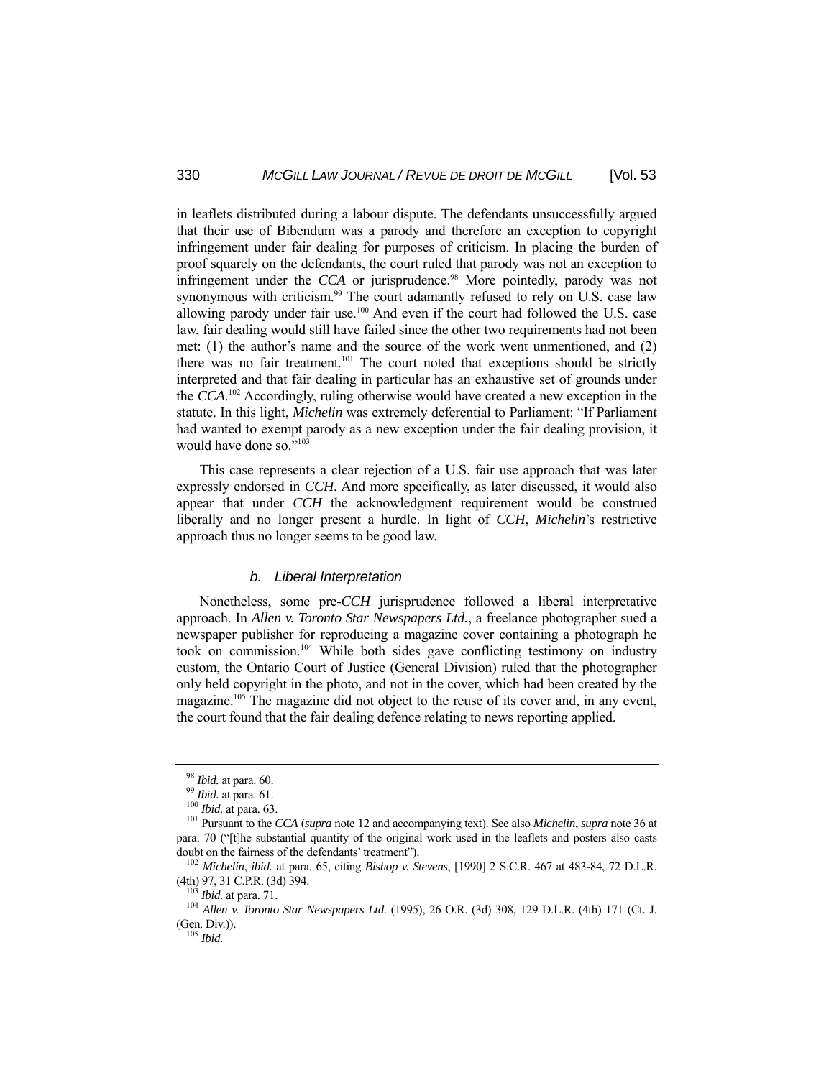in leaflets distributed during a labour dispute. The defendants unsuccessfully argued that their use of Bibendum was a parody and therefore an exception to copyright infringement under fair dealing for purposes of criticism. In placing the burden of proof squarely on the defendants, the court ruled that parody was not an exception to infringement under the *CCA* or jurisprudence.<sup>98</sup> More pointedly, parody was not synonymous with criticism.<sup>99</sup> The court adamantly refused to rely on U.S. case law allowing parody under fair use.<sup>100</sup> And even if the court had followed the U.S. case law, fair dealing would still have failed since the other two requirements had not been met: (1) the author's name and the source of the work went unmentioned, and (2) there was no fair treatment.<sup>101</sup> The court noted that exceptions should be strictly interpreted and that fair dealing in particular has an exhaustive set of grounds under the *CCA*. 102 Accordingly, ruling otherwise would have created a new exception in the statute. In this light, *Michelin* was extremely deferential to Parliament: "If Parliament had wanted to exempt parody as a new exception under the fair dealing provision, it would have done so."103

 This case represents a clear rejection of a U.S. fair use approach that was later expressly endorsed in *CCH*. And more specifically, as later discussed, it would also appear that under *CCH* the acknowledgment requirement would be construed liberally and no longer present a hurdle. In light of *CCH*, *Michelin*'s restrictive approach thus no longer seems to be good law.

#### *b. Liberal Interpretation*

 Nonetheless, some pre-*CCH* jurisprudence followed a liberal interpretative approach. In *Allen v. Toronto Star Newspapers Ltd.*, a freelance photographer sued a newspaper publisher for reproducing a magazine cover containing a photograph he took on commission.104 While both sides gave conflicting testimony on industry custom, the Ontario Court of Justice (General Division) ruled that the photographer only held copyright in the photo, and not in the cover, which had been created by the magazine.105 The magazine did not object to the reuse of its cover and, in any event, the court found that the fair dealing defence relating to news reporting applied.

<sup>98</sup> *Ibid.* at para. 60. 99 *Ibid.* at para. 61. 100 *Ibid.* at para. 63. 101 Pursuant to the *CCA* (*supra* note 12 and accompanying text). See also *Michelin*, *supra* note 36 at para. 70 ("[t]he substantial quantity of the original work used in the leaflets and posters also casts

doubt on the fairness of the defendants' treatment").<br>
<sup>102</sup> *Michelin*, *ibid.* at para. 65, citing *Bishop v. Stevens*, [1990] 2 S.C.R. 467 at 483-84, 72 D.L.R.<br>
<sup>103</sup> *Ibid.* at para. 71.

<sup>&</sup>lt;sup>104</sup> Allen v. Toronto Star Newspapers Ltd. (1995), 26 O.R. (3d) 308, 129 D.L.R. (4th) 171 (Ct. J. (Gen. Div.)). 105 *Ibid.*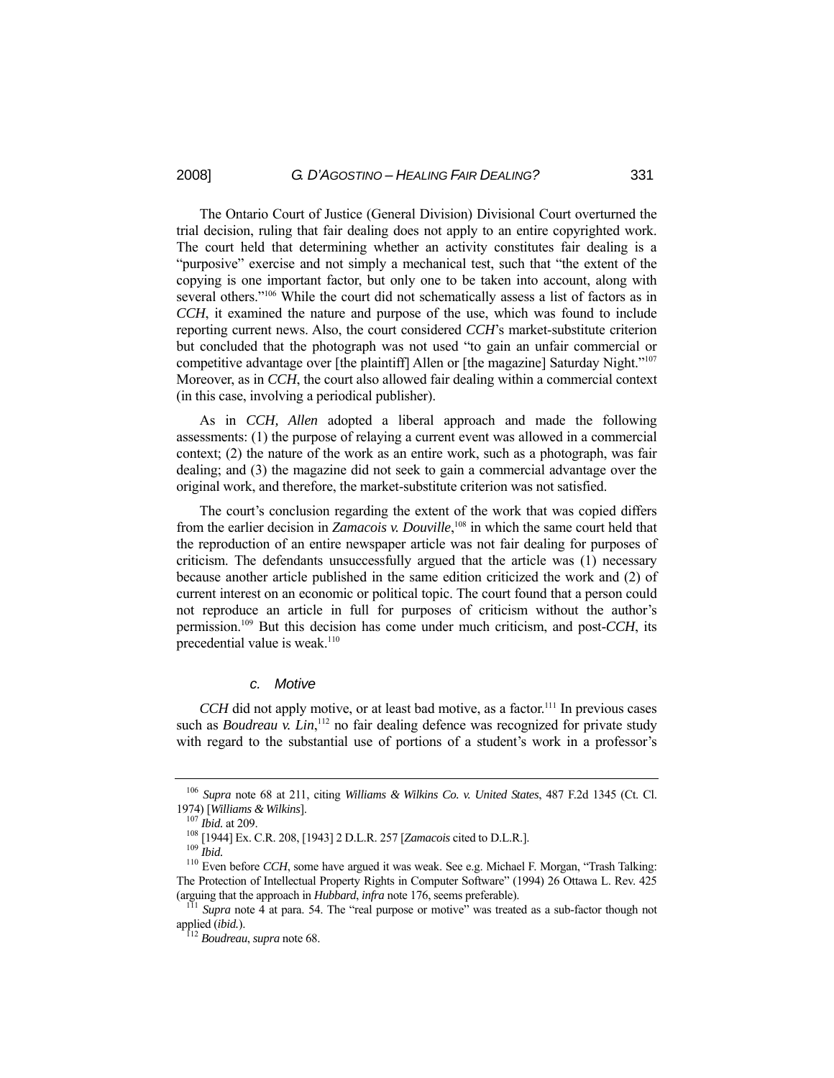The Ontario Court of Justice (General Division) Divisional Court overturned the trial decision, ruling that fair dealing does not apply to an entire copyrighted work. The court held that determining whether an activity constitutes fair dealing is a "purposive" exercise and not simply a mechanical test, such that "the extent of the copying is one important factor, but only one to be taken into account, along with several others."<sup>106</sup> While the court did not schematically assess a list of factors as in *CCH*, it examined the nature and purpose of the use, which was found to include reporting current news. Also, the court considered *CCH*'s market-substitute criterion but concluded that the photograph was not used "to gain an unfair commercial or competitive advantage over [the plaintiff] Allen or [the magazine] Saturday Night."107 Moreover, as in *CCH*, the court also allowed fair dealing within a commercial context (in this case, involving a periodical publisher).

 As in *CCH, Allen* adopted a liberal approach and made the following assessments: (1) the purpose of relaying a current event was allowed in a commercial context; (2) the nature of the work as an entire work, such as a photograph, was fair dealing; and (3) the magazine did not seek to gain a commercial advantage over the original work, and therefore, the market-substitute criterion was not satisfied.

 The court's conclusion regarding the extent of the work that was copied differs from the earlier decision in *Zamacois v. Douville*, 108 in which the same court held that the reproduction of an entire newspaper article was not fair dealing for purposes of criticism. The defendants unsuccessfully argued that the article was (1) necessary because another article published in the same edition criticized the work and (2) of current interest on an economic or political topic. The court found that a person could not reproduce an article in full for purposes of criticism without the author's permission.109 But this decision has come under much criticism, and post-*CCH*, its precedential value is weak.<sup>110</sup>

## *c. Motive*

*CCH* did not apply motive, or at least bad motive, as a factor.<sup>111</sup> In previous cases such as *Boudreau v. Lin*,<sup>112</sup> no fair dealing defence was recognized for private study with regard to the substantial use of portions of a student's work in a professor's

<sup>106</sup> *Supra* note 68 at 211, citing *Williams & Wilkins Co. v. United States*, 487 F.2d 1345 (Ct. Cl. 1974) [Williams & Wilkins].<br><sup>107</sup> *Ibid.* at 209.<br><sup>108</sup> [1944] Ex. C.R. 208, [1943] 2 D.L.R. 257 [*Zamacois* cited to D.L.R.].<br><sup>109</sup> *Ibid.*<br><sup>110</sup> Even before *CCH*, some have argued it was weak. See e.g. Michael F. Morga

The Protection of Intellectual Property Rights in Computer Software" (1994) 26 Ottawa L. Rev. 425

<sup>(</sup>arguing that the approach in *Hubbard*, *infra* note 176, seems preferable).<br><sup>111</sup> *Supra* note 4 at para. 54. The "real purpose or motive" was treated as a sub-factor though not applied (*ibid.*).

<sup>&</sup>lt;sup>[12</sup> *Boudreau*, *supra* note 68.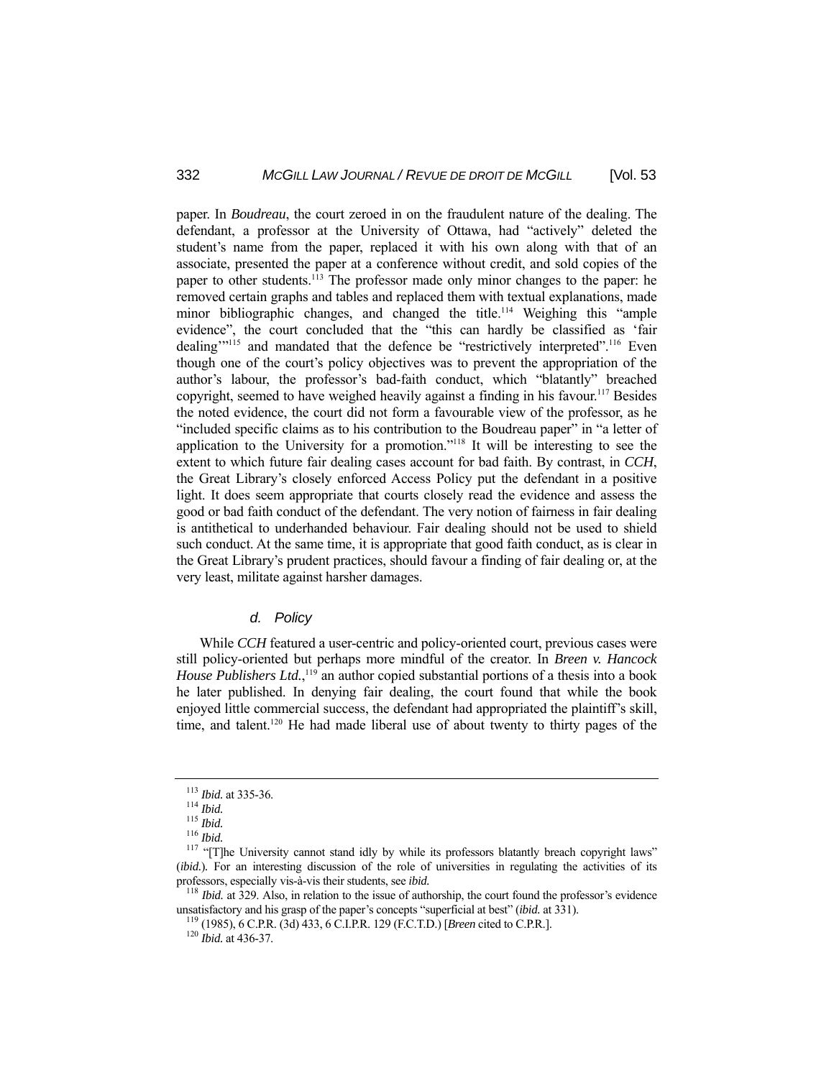paper. In *Boudreau*, the court zeroed in on the fraudulent nature of the dealing. The defendant, a professor at the University of Ottawa, had "actively" deleted the student's name from the paper, replaced it with his own along with that of an associate, presented the paper at a conference without credit, and sold copies of the paper to other students.<sup>113</sup> The professor made only minor changes to the paper: he removed certain graphs and tables and replaced them with textual explanations, made minor bibliographic changes, and changed the title.<sup>114</sup> Weighing this "ample evidence", the court concluded that the "this can hardly be classified as 'fair dealing"<sup>115</sup> and mandated that the defence be "restrictively interpreted".<sup>116</sup> Even though one of the court's policy objectives was to prevent the appropriation of the author's labour, the professor's bad-faith conduct, which "blatantly" breached copyright, seemed to have weighed heavily against a finding in his favour.<sup>117</sup> Besides the noted evidence, the court did not form a favourable view of the professor, as he "included specific claims as to his contribution to the Boudreau paper" in "a letter of application to the University for a promotion."118 It will be interesting to see the extent to which future fair dealing cases account for bad faith. By contrast, in *CCH*, the Great Library's closely enforced Access Policy put the defendant in a positive light. It does seem appropriate that courts closely read the evidence and assess the good or bad faith conduct of the defendant. The very notion of fairness in fair dealing is antithetical to underhanded behaviour. Fair dealing should not be used to shield such conduct. At the same time, it is appropriate that good faith conduct, as is clear in the Great Library's prudent practices, should favour a finding of fair dealing or, at the very least, militate against harsher damages.

#### *d. Policy*

 While *CCH* featured a user-centric and policy-oriented court, previous cases were still policy-oriented but perhaps more mindful of the creator. In *Breen v. Hancock*  House Publishers Ltd.,<sup>119</sup> an author copied substantial portions of a thesis into a book he later published. In denying fair dealing, the court found that while the book enjoyed little commercial success, the defendant had appropriated the plaintiff's skill, time, and talent.<sup>120</sup> He had made liberal use of about twenty to thirty pages of the

<sup>113</sup> *Ibid.* at 335-36.<br>
<sup>114</sup> *Ibid.*<br>
<sup>115</sup> *Ibid.*<br>
<sup>116</sup> *Ibid.*<br>
<sup>117</sup> "[T]he University cannot stand idly by while its professors blatantly breach copyright laws" (*ibid.*). For an interesting discussion of the role of universities in regulating the activities of its professors, especially vis-à-vis their students, see *ibid.*<br><sup>118</sup> *Ibid.* at 329. Also, in relation to the issue of authorship, the court found the professor's evidence

unsatisfactory and his grasp of the paper's concepts "superficial at best" (*ibid.* at 331). 119 (1985), 6 C.P.R. (3d) 433, 6 C.I.P.R. 129 (F.C.T.D.) [*Breen* cited to C.P.R.]. 120 *Ibid.* at 436-37.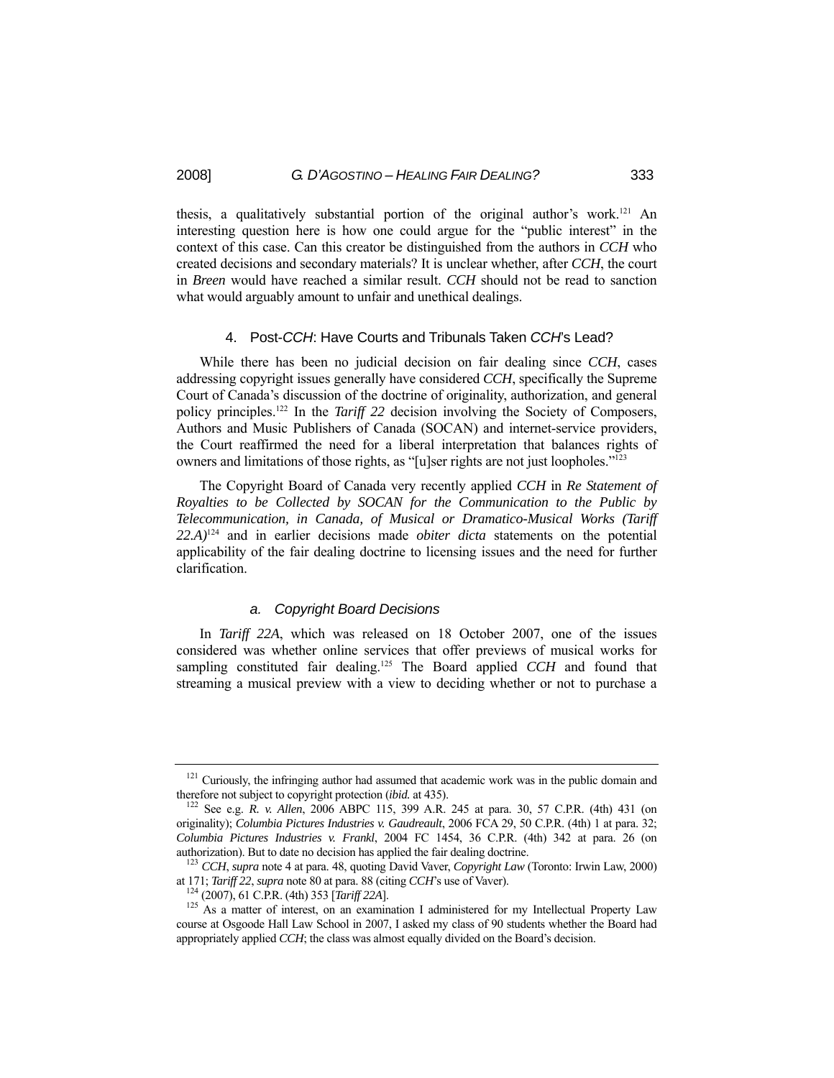thesis, a qualitatively substantial portion of the original author's work.121 An interesting question here is how one could argue for the "public interest" in the context of this case. Can this creator be distinguished from the authors in *CCH* who created decisions and secondary materials? It is unclear whether, after *CCH*, the court in *Breen* would have reached a similar result. *CCH* should not be read to sanction what would arguably amount to unfair and unethical dealings.

#### 4. Post-*CCH*: Have Courts and Tribunals Taken *CCH*'s Lead?

 While there has been no judicial decision on fair dealing since *CCH*, cases addressing copyright issues generally have considered *CCH*, specifically the Supreme Court of Canada's discussion of the doctrine of originality, authorization, and general policy principles.<sup>122</sup> In the *Tariff 22* decision involving the Society of Composers, Authors and Music Publishers of Canada (SOCAN) and internet-service providers, the Court reaffirmed the need for a liberal interpretation that balances rights of owners and limitations of those rights, as "[u]ser rights are not just loopholes."<sup>123</sup>

 The Copyright Board of Canada very recently applied *CCH* in *Re Statement of Royalties to be Collected by SOCAN for the Communication to the Public by Telecommunication, in Canada, of Musical or Dramatico-Musical Works (Tariff 22.A)*124 and in earlier decisions made *obiter dicta* statements on the potential applicability of the fair dealing doctrine to licensing issues and the need for further clarification.

#### *a. Copyright Board Decisions*

 In *Tariff 22A*, which was released on 18 October 2007, one of the issues considered was whether online services that offer previews of musical works for sampling constituted fair dealing.<sup>125</sup> The Board applied *CCH* and found that streaming a musical preview with a view to deciding whether or not to purchase a

<sup>&</sup>lt;sup>121</sup> Curiously, the infringing author had assumed that academic work was in the public domain and therefore not subject to copyright protection *(ibid. at* 435).

<sup>&</sup>lt;sup>122</sup> See e.g. *R. v. Allen*, 2006 ABPC 115, 399 A.R. 245 at para. 30, 57 C.P.R. (4th) 431 (on originality); *Columbia Pictures Industries v. Gaudreault*, 2006 FCA 29, 50 C.P.R. (4th) 1 at para. 32; *Columbia Pictures Industries v. Frankl*, 2004 FC 1454, 36 C.P.R. (4th) 342 at para. 26 (on authorization). But to date no decision has applied the fair dealing doctrine. 123 *CCH*, *supra* note 4 at para. 48, quoting David Vaver, *Copyright Law* (Toronto: Irwin Law, 2000)

at 171; *Tariff* 22, *supra* note 80 at para. 88 (citing *CCH*'s use of Vaver).<br><sup>124</sup> (2007), 61 C.P.R. (4th) 353 [*Tariff* 22A].<br><sup>125</sup> As a matter of interest, on an examination I administered for my Intellectual Propert

course at Osgoode Hall Law School in 2007, I asked my class of 90 students whether the Board had appropriately applied *CCH*; the class was almost equally divided on the Board's decision.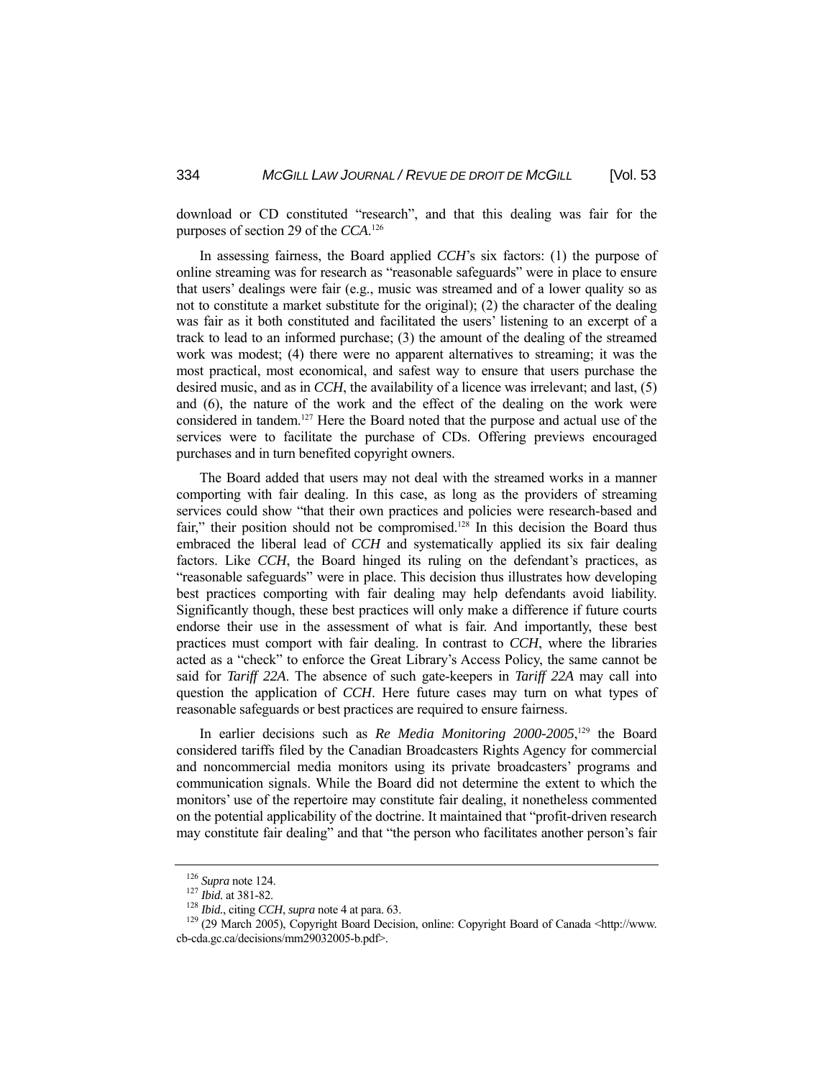download or CD constituted "research", and that this dealing was fair for the purposes of section 29 of the *CCA*. 126

 In assessing fairness, the Board applied *CCH*'s six factors: (1) the purpose of online streaming was for research as "reasonable safeguards" were in place to ensure that users' dealings were fair (e.g., music was streamed and of a lower quality so as not to constitute a market substitute for the original); (2) the character of the dealing was fair as it both constituted and facilitated the users' listening to an excerpt of a track to lead to an informed purchase; (3) the amount of the dealing of the streamed work was modest; (4) there were no apparent alternatives to streaming; it was the most practical, most economical, and safest way to ensure that users purchase the desired music, and as in *CCH*, the availability of a licence was irrelevant; and last, (5) and (6), the nature of the work and the effect of the dealing on the work were considered in tandem.127 Here the Board noted that the purpose and actual use of the services were to facilitate the purchase of CDs. Offering previews encouraged purchases and in turn benefited copyright owners.

 The Board added that users may not deal with the streamed works in a manner comporting with fair dealing. In this case, as long as the providers of streaming services could show "that their own practices and policies were research-based and fair," their position should not be compromised.<sup>128</sup> In this decision the Board thus embraced the liberal lead of *CCH* and systematically applied its six fair dealing factors. Like *CCH*, the Board hinged its ruling on the defendant's practices, as "reasonable safeguards" were in place. This decision thus illustrates how developing best practices comporting with fair dealing may help defendants avoid liability. Significantly though, these best practices will only make a difference if future courts endorse their use in the assessment of what is fair. And importantly, these best practices must comport with fair dealing. In contrast to *CCH*, where the libraries acted as a "check" to enforce the Great Library's Access Policy, the same cannot be said for *Tariff 22A*. The absence of such gate-keepers in *Tariff 22A* may call into question the application of *CCH*. Here future cases may turn on what types of reasonable safeguards or best practices are required to ensure fairness.

In earlier decisions such as *Re Media Monitoring 2000-2005*,<sup>129</sup> the Board considered tariffs filed by the Canadian Broadcasters Rights Agency for commercial and noncommercial media monitors using its private broadcasters' programs and communication signals. While the Board did not determine the extent to which the monitors' use of the repertoire may constitute fair dealing, it nonetheless commented on the potential applicability of the doctrine. It maintained that "profit-driven research may constitute fair dealing" and that "the person who facilitates another person's fair

<sup>&</sup>lt;sup>126</sup> *Supra* note 124.<br><sup>127</sup> *Ibid.* at 381-82.<br><sup>128</sup> *Ibid.*, citing *CCH*, *supra* note 4 at para. 63.<br><sup>129</sup> (29 March 2005), Copyright Board Decision, online: Copyright Board of Canada <http://www. cb-cda.gc.ca/decisions/mm29032005-b.pdf>.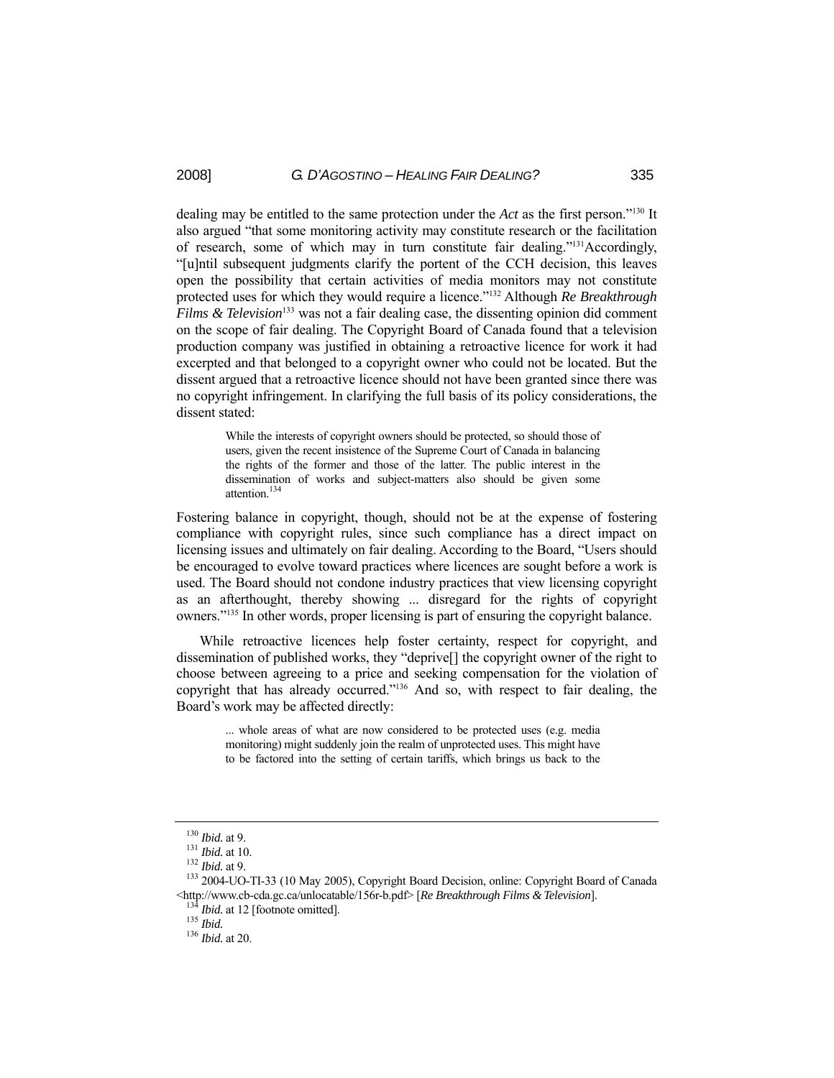dealing may be entitled to the same protection under the *Act* as the first person."130 It also argued "that some monitoring activity may constitute research or the facilitation of research, some of which may in turn constitute fair dealing."<sup>131</sup>Accordingly, "[u]ntil subsequent judgments clarify the portent of the CCH decision, this leaves open the possibility that certain activities of media monitors may not constitute protected uses for which they would require a licence."132 Although *Re Breakthrough Films & Television*<sup>133</sup> was not a fair dealing case, the dissenting opinion did comment on the scope of fair dealing. The Copyright Board of Canada found that a television production company was justified in obtaining a retroactive licence for work it had excerpted and that belonged to a copyright owner who could not be located. But the dissent argued that a retroactive licence should not have been granted since there was no copyright infringement. In clarifying the full basis of its policy considerations, the dissent stated:

> While the interests of copyright owners should be protected, so should those of users, given the recent insistence of the Supreme Court of Canada in balancing the rights of the former and those of the latter. The public interest in the dissemination of works and subject-matters also should be given some attention.134

Fostering balance in copyright, though, should not be at the expense of fostering compliance with copyright rules, since such compliance has a direct impact on licensing issues and ultimately on fair dealing. According to the Board, "Users should be encouraged to evolve toward practices where licences are sought before a work is used. The Board should not condone industry practices that view licensing copyright as an afterthought, thereby showing ... disregard for the rights of copyright owners."135 In other words, proper licensing is part of ensuring the copyright balance.

 While retroactive licences help foster certainty, respect for copyright, and dissemination of published works, they "deprive[] the copyright owner of the right to choose between agreeing to a price and seeking compensation for the violation of copyright that has already occurred."136 And so, with respect to fair dealing, the Board's work may be affected directly:

> ... whole areas of what are now considered to be protected uses (e.g. media monitoring) might suddenly join the realm of unprotected uses. This might have to be factored into the setting of certain tariffs, which brings us back to the

<sup>&</sup>lt;sup>130</sup> *Ibid.* at 9.<br><sup>131</sup> *Ibid.* at 10.<br><sup>132</sup> *Ibid.* at 9.<br><sup>133</sup> 2004-UO-TI-33 (10 May 2005), Copyright Board Decision, online: Copyright Board of Canada <http://www.cb-cda.gc.ca/unlocatable/156r-b.pdf> [*Re Breakthrough Films & Television*]. 134 *Ibid.* at 12 [footnote omitted]. 135 *Ibid.* <sup>136</sup> *Ibid.* at 20.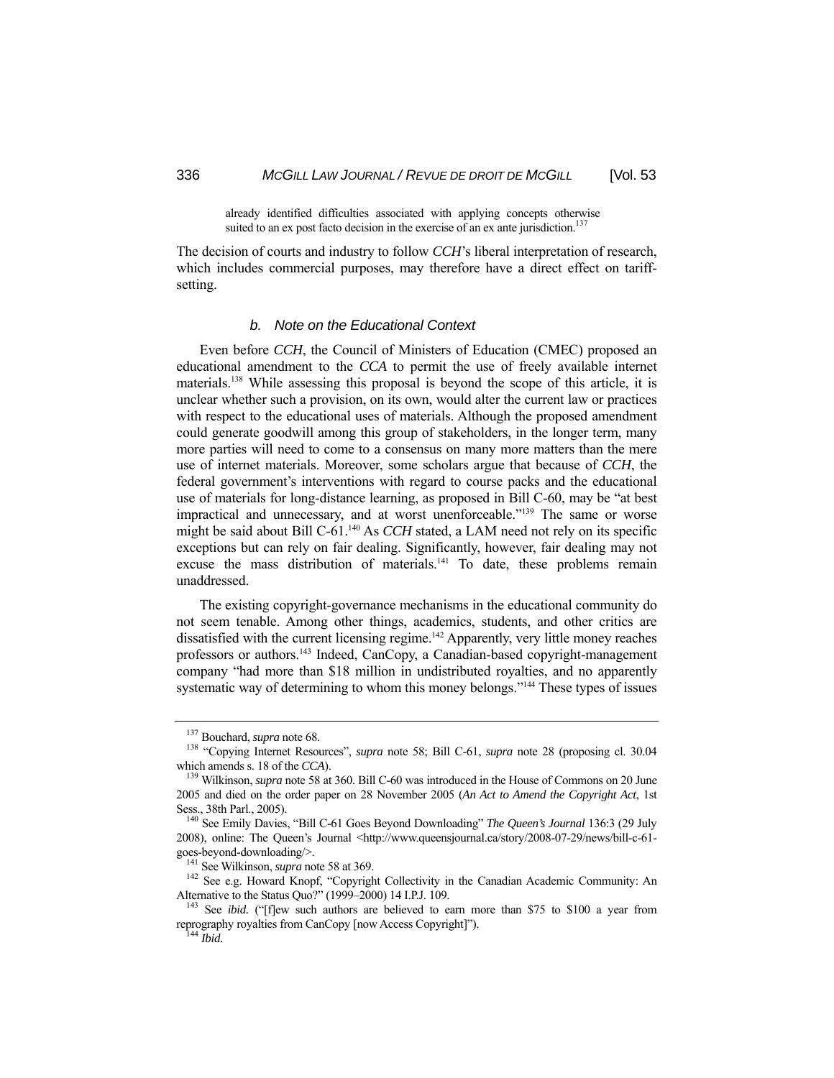already identified difficulties associated with applying concepts otherwise suited to an ex post facto decision in the exercise of an ex ante jurisdiction.<sup>137</sup>

The decision of courts and industry to follow *CCH*'s liberal interpretation of research, which includes commercial purposes, may therefore have a direct effect on tariffsetting.

#### *b. Note on the Educational Context*

 Even before *CCH*, the Council of Ministers of Education (CMEC) proposed an educational amendment to the *CCA* to permit the use of freely available internet materials.138 While assessing this proposal is beyond the scope of this article, it is unclear whether such a provision, on its own, would alter the current law or practices with respect to the educational uses of materials. Although the proposed amendment could generate goodwill among this group of stakeholders, in the longer term, many more parties will need to come to a consensus on many more matters than the mere use of internet materials. Moreover, some scholars argue that because of *CCH*, the federal government's interventions with regard to course packs and the educational use of materials for long-distance learning, as proposed in Bill C-60, may be "at best impractical and unnecessary, and at worst unenforceable."<sup>139</sup> The same or worse might be said about Bill C-61.<sup>140</sup> As *CCH* stated, a LAM need not rely on its specific exceptions but can rely on fair dealing. Significantly, however, fair dealing may not excuse the mass distribution of materials.<sup>141</sup> To date, these problems remain unaddressed.

 The existing copyright-governance mechanisms in the educational community do not seem tenable. Among other things, academics, students, and other critics are dissatisfied with the current licensing regime.<sup>142</sup> Apparently, very little money reaches professors or authors.<sup>143</sup> Indeed, CanCopy, a Canadian-based copyright-management company "had more than \$18 million in undistributed royalties, and no apparently systematic way of determining to whom this money belongs."<sup>144</sup> These types of issues

<sup>&</sup>lt;sup>137</sup> Bouchard, *supra* note 68.<br><sup>138</sup> "Copying Internet Resources", *supra* note 58; Bill C-61, *supra* note 28 (proposing cl. 30.04 which amends s. 18 of the *CCA*).<br><sup>139</sup> Wilkinson, *supra* note 58 at 360. Bill C-60 was introduced in the House of Commons on 20 June

<sup>2005</sup> and died on the order paper on 28 November 2005 (*An Act to Amend the Copyright Act*, 1st Sess., 38th Parl., 2005). 140 See Emily Davies, "Bill C-61 Goes Beyond Downloading" *The Queen's Journal* 136:3 (29 July

<sup>2008),</sup> online: The Queen's Journal <http://www.queensjournal.ca/story/2008-07-29/news/bill-c-61-

goes-beyond-downloading/>.<br><sup>141</sup> See Wilkinson, *supra* note 58 at 369.<br><sup>142</sup> See e.g. Howard Knopf, "Copyright Collectivity in the Canadian Academic Community: An<br>Alternative to the Status Quo?" (1999–2000) 14 I.P.J. 109.

<sup>&</sup>lt;sup>143</sup> See *ibid.* ("[f]ew such authors are believed to earn more than \$75 to \$100 a year from reprography royalties from CanCopy [now Access Copyright]"). 144 *Ibid.*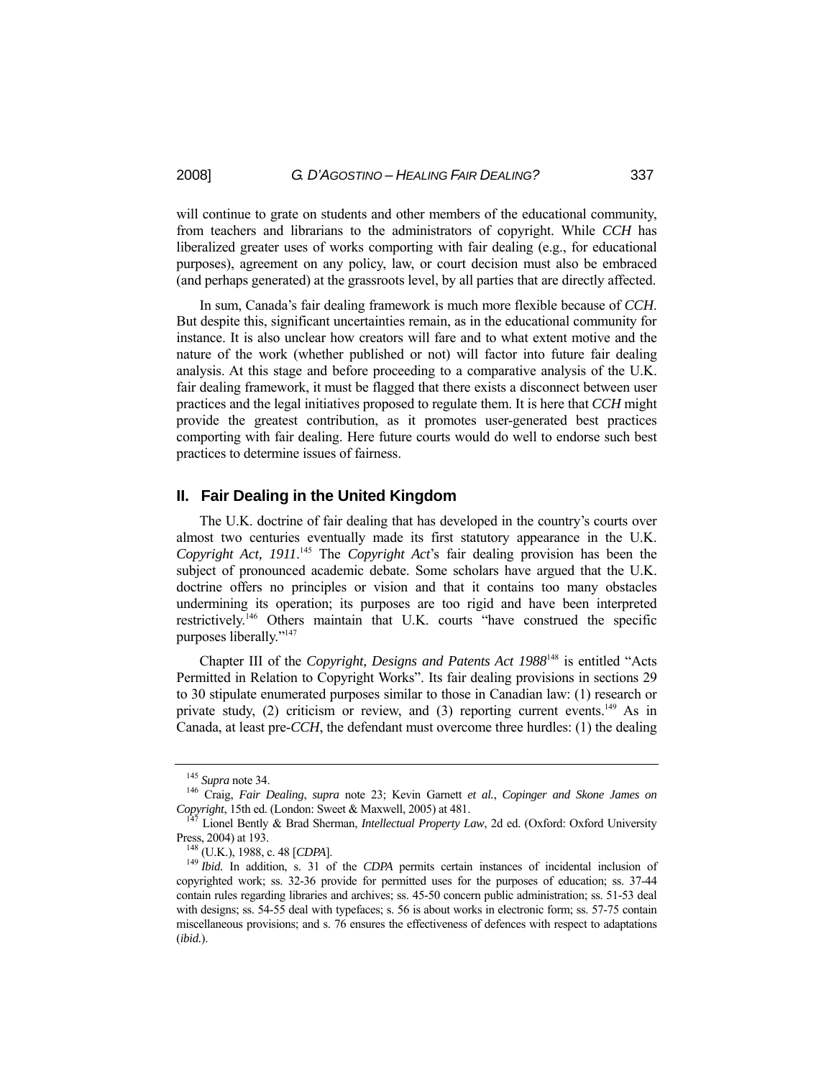will continue to grate on students and other members of the educational community, from teachers and librarians to the administrators of copyright. While *CCH* has liberalized greater uses of works comporting with fair dealing (e.g., for educational purposes), agreement on any policy, law, or court decision must also be embraced (and perhaps generated) at the grassroots level, by all parties that are directly affected.

In sum, Canada's fair dealing framework is much more flexible because of *CCH*. But despite this, significant uncertainties remain, as in the educational community for instance. It is also unclear how creators will fare and to what extent motive and the nature of the work (whether published or not) will factor into future fair dealing analysis. At this stage and before proceeding to a comparative analysis of the U.K. fair dealing framework, it must be flagged that there exists a disconnect between user practices and the legal initiatives proposed to regulate them. It is here that *CCH* might provide the greatest contribution, as it promotes user-generated best practices comporting with fair dealing. Here future courts would do well to endorse such best practices to determine issues of fairness.

#### **II. Fair Dealing in the United Kingdom**

 The U.K. doctrine of fair dealing that has developed in the country's courts over almost two centuries eventually made its first statutory appearance in the U.K. *Copyright Act, 1911*. 145 The *Copyright Act*'s fair dealing provision has been the subject of pronounced academic debate. Some scholars have argued that the U.K. doctrine offers no principles or vision and that it contains too many obstacles undermining its operation; its purposes are too rigid and have been interpreted restrictively.146 Others maintain that U.K. courts "have construed the specific purposes liberally."147

 Chapter III of the *Copyright, Designs and Patents Act 1988*148 is entitled "Acts Permitted in Relation to Copyright Works". Its fair dealing provisions in sections 29 to 30 stipulate enumerated purposes similar to those in Canadian law: (1) research or private study, (2) criticism or review, and (3) reporting current events.<sup>149</sup> As in Canada, at least pre-*CCH*, the defendant must overcome three hurdles: (1) the dealing

<sup>145</sup> *Supra* note 34. 146 Craig, *Fair Dealing*, *supra* note 23; Kevin Garnett *et al.*, *Copinger and Skone James on Copyright*, 15th ed. (London: Sweet & Maxwell, 2005) at 481. 147 Lionel Bently & Brad Sherman, *Intellectual Property Law*, 2d ed. (Oxford: Oxford University

Press, 2004) at 193. 148 (U.K.), 1988, c. 48 [*CDPA*]. 149 *Ibid.* In addition, s. 31 of the *CDPA* permits certain instances of incidental inclusion of

copyrighted work; ss. 32-36 provide for permitted uses for the purposes of education; ss. 37-44 contain rules regarding libraries and archives; ss. 45-50 concern public administration; ss. 51-53 deal with designs; ss. 54-55 deal with typefaces; s. 56 is about works in electronic form; ss. 57-75 contain miscellaneous provisions; and s. 76 ensures the effectiveness of defences with respect to adaptations (*ibid.*).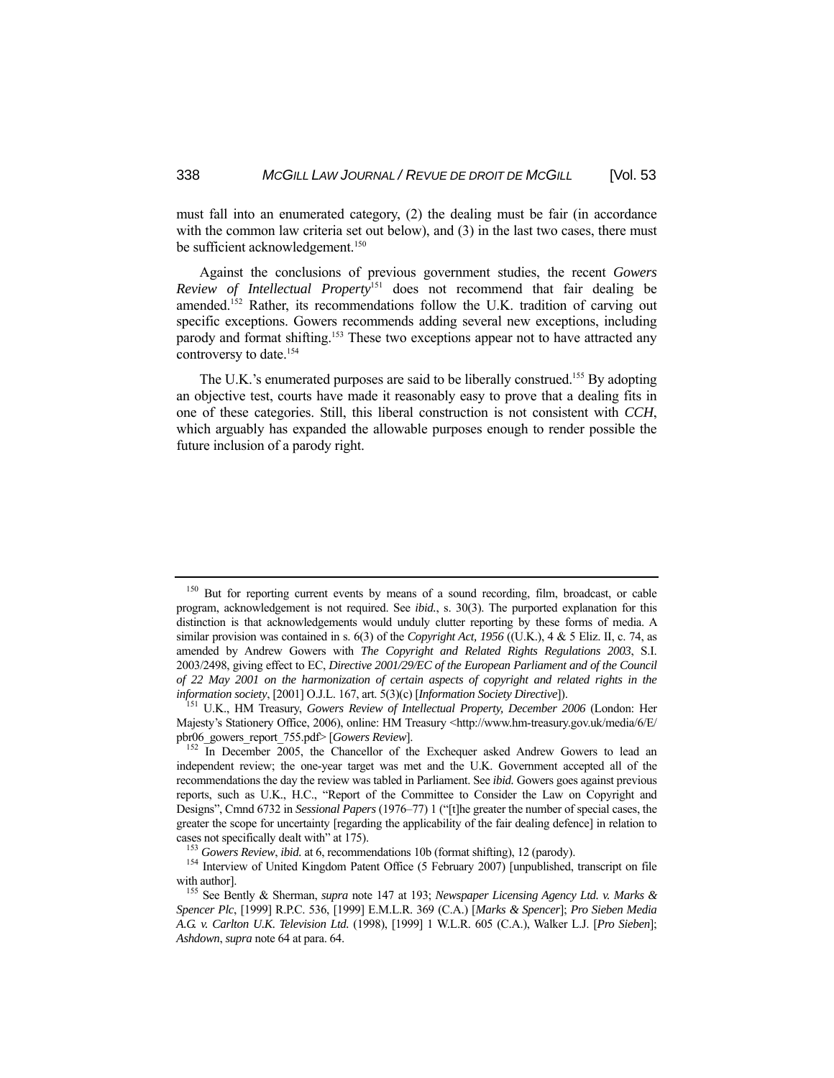must fall into an enumerated category, (2) the dealing must be fair (in accordance with the common law criteria set out below), and (3) in the last two cases, there must be sufficient acknowledgement.<sup>150</sup>

 Against the conclusions of previous government studies, the recent *Gowers Review of Intellectual Property*151 does not recommend that fair dealing be amended.<sup>152</sup> Rather, its recommendations follow the U.K. tradition of carving out specific exceptions. Gowers recommends adding several new exceptions, including parody and format shifting.<sup>153</sup> These two exceptions appear not to have attracted any controversy to date.<sup>154</sup>

The U.K.'s enumerated purposes are said to be liberally construed.<sup>155</sup> By adopting an objective test, courts have made it reasonably easy to prove that a dealing fits in one of these categories. Still, this liberal construction is not consistent with *CCH*, which arguably has expanded the allowable purposes enough to render possible the future inclusion of a parody right.

<sup>&</sup>lt;sup>150</sup> But for reporting current events by means of a sound recording, film, broadcast, or cable program, acknowledgement is not required. See *ibid.*, s. 30(3). The purported explanation for this distinction is that acknowledgements would unduly clutter reporting by these forms of media. A similar provision was contained in s. 6(3) of the *Copyright Act, 1956* ((U.K.), 4 & 5 Eliz. II, c. 74, as amended by Andrew Gowers with *The Copyright and Related Rights Regulations 2003*, S.I. 2003/2498, giving effect to EC, *Directive 2001/29/EC of the European Parliament and of the Council of 22 May 2001 on the harmonization of certain aspects of copyright and related rights in the information society*, [2001] O.J.L. 167, art. 5(3)(c) [*Information Society Directive*]). 151 U.K., HM Treasury, *Gowers Review of Intellectual Property, December 2006* (London: Her

Majesty's Stationery Office, 2006), online: HM Treasury <http://www.hm-treasury.gov.uk/media/6/E/ pbr06\_gowers\_report\_755.pdf> [*Gowers Review*].<br><sup>152</sup> In December 2005, the Chancellor of the Exchequer asked Andrew Gowers to lead an

independent review; the one-year target was met and the U.K. Government accepted all of the recommendations the day the review was tabled in Parliament. See *ibid.* Gowers goes against previous reports, such as U.K., H.C., "Report of the Committee to Consider the Law on Copyright and Designs", Cmnd 6732 in *Sessional Papers* (1976–77) 1 ("[t]he greater the number of special cases, the greater the scope for uncertainty [regarding the applicability of the fair dealing defence] in relation to cases not specifically dealt with" at 175).<br><sup>153</sup> Gowers Review, ibid. at 6, recommendations 10b (format shifting), 12 (parody).<br><sup>154</sup> Interview of United Kingdom Patent Office (5 February 2007) [unpublished, transcript on

with author].<br><sup>155</sup> See Bently & Sherman, *supra* note 147 at 193; *Newspaper Licensing Agency Ltd. v. Marks &* 

*Spencer Plc*, [1999] R.P.C. 536, [1999] E.M.L.R. 369 (C.A.) [*Marks & Spencer*]; *Pro Sieben Media A.G. v. Carlton U.K. Television Ltd.* (1998), [1999] 1 W.L.R. 605 (C.A.), Walker L.J. [*Pro Sieben*]; *Ashdown*, *supra* note 64 at para. 64.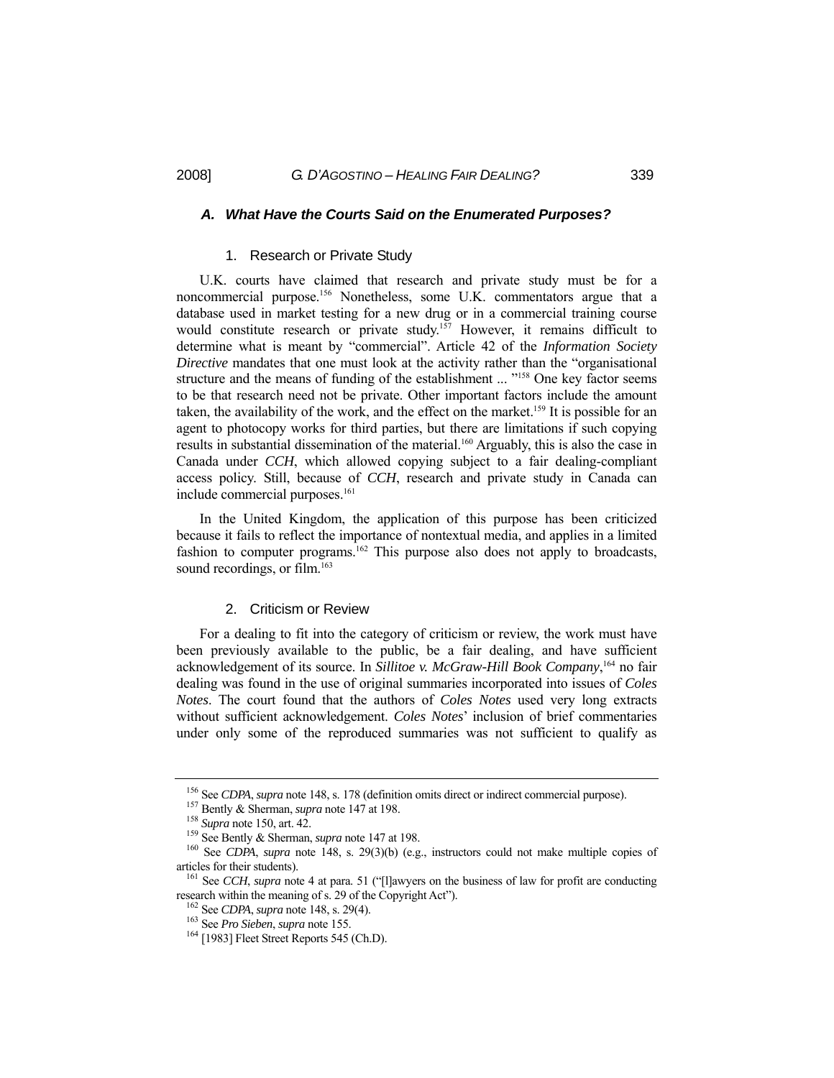#### *A. What Have the Courts Said on the Enumerated Purposes?*

#### 1. Research or Private Study

 U.K. courts have claimed that research and private study must be for a noncommercial purpose.156 Nonetheless, some U.K. commentators argue that a database used in market testing for a new drug or in a commercial training course would constitute research or private study.<sup>157</sup> However, it remains difficult to determine what is meant by "commercial". Article 42 of the *Information Society Directive* mandates that one must look at the activity rather than the "organisational structure and the means of funding of the establishment ... "<sup>158</sup> One key factor seems to be that research need not be private. Other important factors include the amount taken, the availability of the work, and the effect on the market.<sup>159</sup> It is possible for an agent to photocopy works for third parties, but there are limitations if such copying results in substantial dissemination of the material.160 Arguably, this is also the case in Canada under *CCH*, which allowed copying subject to a fair dealing-compliant access policy. Still, because of *CCH*, research and private study in Canada can include commercial purposes.<sup>161</sup>

 In the United Kingdom, the application of this purpose has been criticized because it fails to reflect the importance of nontextual media, and applies in a limited fashion to computer programs.<sup>162</sup> This purpose also does not apply to broadcasts, sound recordings, or film.<sup>163</sup>

#### 2. Criticism or Review

 For a dealing to fit into the category of criticism or review, the work must have been previously available to the public, be a fair dealing, and have sufficient acknowledgement of its source. In *Sillitoe v. McGraw-Hill Book Company*, 164 no fair dealing was found in the use of original summaries incorporated into issues of *Coles Notes*. The court found that the authors of *Coles Notes* used very long extracts without sufficient acknowledgement. *Coles Notes*' inclusion of brief commentaries under only some of the reproduced summaries was not sufficient to qualify as

<sup>&</sup>lt;sup>156</sup> See *CDPA*, *supra* note 148, s. 178 (definition omits direct or indirect commercial purpose).<br><sup>157</sup> Bently & Sherman, *supra* note 147 at 198.<br><sup>158</sup> Supra note 150, art. 42.<br><sup>159</sup> See Bently & Sherman, *supra* note articles for their students). 161 See *CCH*, *supra* note 4 at para. 51 ("[l]awyers on the business of law for profit are conducting

research within the meaning of s. 29 of the Copyright Act").<br><sup>162</sup> See *CDPA*, *supra* note 148, s. 29(4).<br><sup>163</sup> See *Pro Sieben*, *supra* note 155.<br><sup>164</sup> [1983] Fleet Street Reports 545 (Ch.D).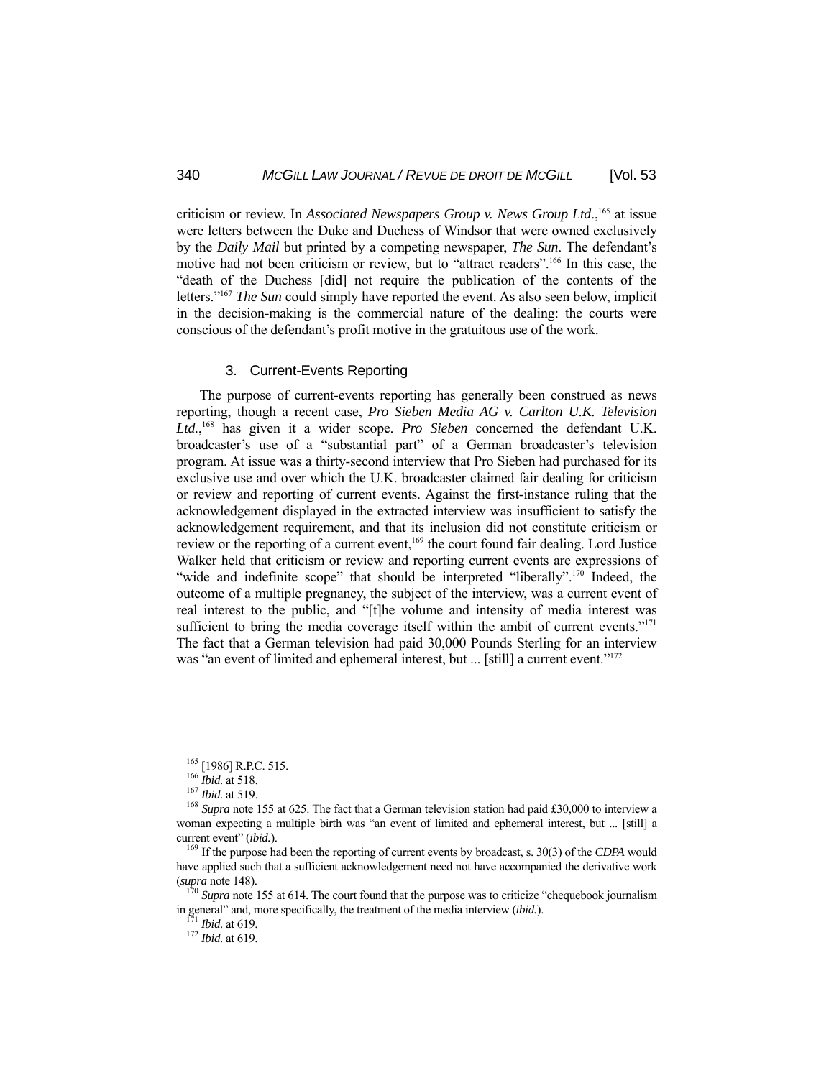criticism or review. In *Associated Newspapers Group v. News Group Ltd.*,<sup>165</sup> at issue were letters between the Duke and Duchess of Windsor that were owned exclusively by the *Daily Mail* but printed by a competing newspaper, *The Sun*. The defendant's motive had not been criticism or review, but to "attract readers".166 In this case, the "death of the Duchess [did] not require the publication of the contents of the letters."167 *The Sun* could simply have reported the event. As also seen below, implicit in the decision-making is the commercial nature of the dealing: the courts were conscious of the defendant's profit motive in the gratuitous use of the work.

#### 3. Current-Events Reporting

 The purpose of current-events reporting has generally been construed as news reporting, though a recent case, *Pro Sieben Media AG v. Carlton U.K. Television Ltd.*, 168 has given it a wider scope. *Pro Sieben* concerned the defendant U.K. broadcaster's use of a "substantial part" of a German broadcaster's television program. At issue was a thirty-second interview that Pro Sieben had purchased for its exclusive use and over which the U.K. broadcaster claimed fair dealing for criticism or review and reporting of current events. Against the first-instance ruling that the acknowledgement displayed in the extracted interview was insufficient to satisfy the acknowledgement requirement, and that its inclusion did not constitute criticism or review or the reporting of a current event,<sup>169</sup> the court found fair dealing. Lord Justice Walker held that criticism or review and reporting current events are expressions of "wide and indefinite scope" that should be interpreted "liberally".<sup>170</sup> Indeed, the outcome of a multiple pregnancy, the subject of the interview, was a current event of real interest to the public, and "[t]he volume and intensity of media interest was sufficient to bring the media coverage itself within the ambit of current events."<sup>171</sup> The fact that a German television had paid 30,000 Pounds Sterling for an interview was "an event of limited and ephemeral interest, but ... [still] a current event."<sup>172</sup>

<sup>&</sup>lt;sup>165</sup> [1986] R.P.C. 515.<br><sup>166</sup> *Ibid.* at 518.<br><sup>167</sup> *Ibid.* at 519.<br><sup>168</sup> *Supra* note 155 at 625. The fact that a German television station had paid £30,000 to interview a woman expecting a multiple birth was "an event of limited and ephemeral interest, but ... [still] a current event" (*ibid.*). 169 If the purpose had been the reporting of current events by broadcast, s. 30(3) of the *CDPA* would

have applied such that a sufficient acknowledgement need not have accompanied the derivative work (*supra* note 148). 170 *Supra* note 155 at 614. The court found that the purpose was to criticize "chequebook journalism

in general" and, more specifically, the treatment of the media interview (*ibid.*). 171 *Ibid.* at 619. 172 *Ibid.* at 619.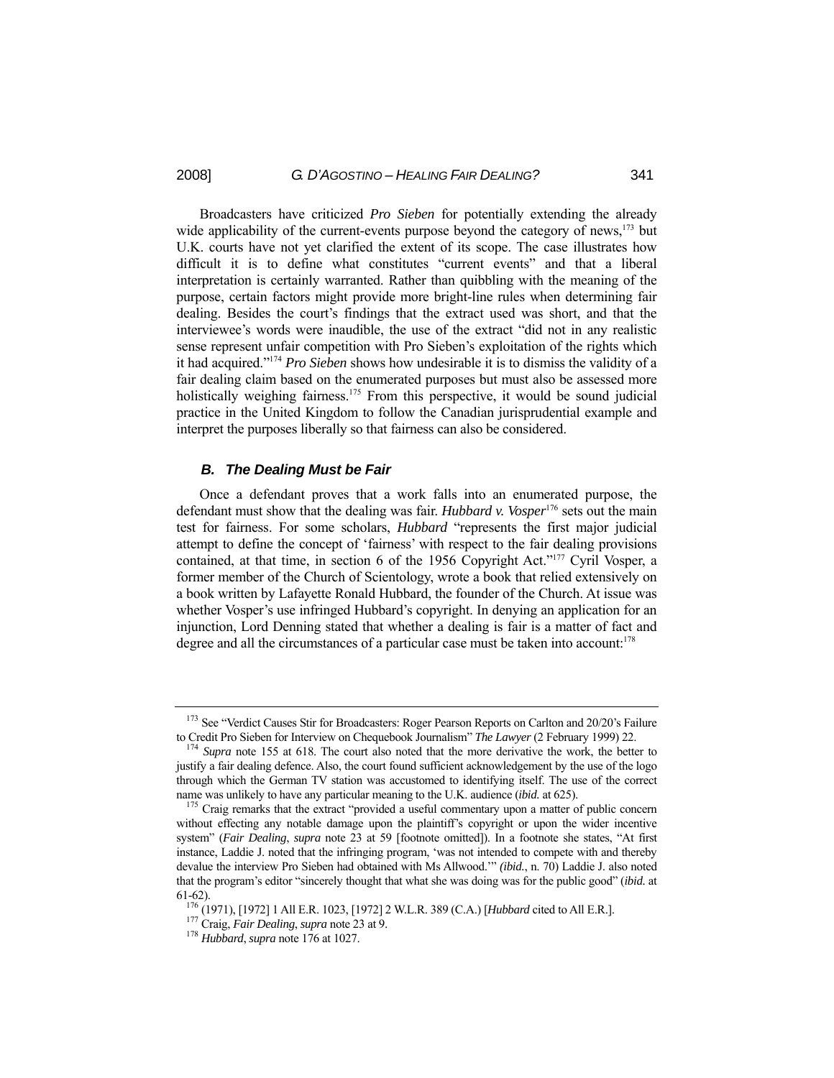Broadcasters have criticized *Pro Sieben* for potentially extending the already wide applicability of the current-events purpose beyond the category of news,<sup>173</sup> but U.K. courts have not yet clarified the extent of its scope. The case illustrates how difficult it is to define what constitutes "current events" and that a liberal interpretation is certainly warranted. Rather than quibbling with the meaning of the purpose, certain factors might provide more bright-line rules when determining fair dealing. Besides the court's findings that the extract used was short, and that the interviewee's words were inaudible, the use of the extract "did not in any realistic sense represent unfair competition with Pro Sieben's exploitation of the rights which it had acquired."174 *Pro Sieben* shows how undesirable it is to dismiss the validity of a fair dealing claim based on the enumerated purposes but must also be assessed more holistically weighing fairness.<sup>175</sup> From this perspective, it would be sound judicial practice in the United Kingdom to follow the Canadian jurisprudential example and interpret the purposes liberally so that fairness can also be considered.

#### *B. The Dealing Must be Fair*

 Once a defendant proves that a work falls into an enumerated purpose, the defendant must show that the dealing was fair. *Hubbard v. Vosper*176 sets out the main test for fairness. For some scholars, *Hubbard* "represents the first major judicial attempt to define the concept of 'fairness' with respect to the fair dealing provisions contained, at that time, in section 6 of the 1956 Copyright Act."177 Cyril Vosper, a former member of the Church of Scientology, wrote a book that relied extensively on a book written by Lafayette Ronald Hubbard, the founder of the Church. At issue was whether Vosper's use infringed Hubbard's copyright. In denying an application for an injunction, Lord Denning stated that whether a dealing is fair is a matter of fact and degree and all the circumstances of a particular case must be taken into account:<sup>178</sup>

<sup>&</sup>lt;sup>173</sup> See "Verdict Causes Stir for Broadcasters: Roger Pearson Reports on Carlton and 20/20's Failure to Credit Pro Sieben for Interview on Chequebook Journalism" *The Lawver* (2 February 1999) 22.

<sup>&</sup>lt;sup>174</sup> Supra note 155 at 618. The court also noted that the more derivative the work, the better to justify a fair dealing defence. Also, the court found sufficient acknowledgement by the use of the logo through which the German TV station was accustomed to identifying itself. The use of the correct name was unlikely to have any particular meaning to the U.K. audience (*ibid.* at 625).<br><sup>175</sup> Craig remarks that the extract "provided a useful commentary upon a matter of public concern

without effecting any notable damage upon the plaintiff's copyright or upon the wider incentive system" (*Fair Dealing*, *supra* note 23 at 59 [footnote omitted]). In a footnote she states, "At first instance, Laddie J. noted that the infringing program, 'was not intended to compete with and thereby devalue the interview Pro Sieben had obtained with Ms Allwood.'" *(ibid.*, n. 70) Laddie J. also noted that the program's editor "sincerely thought that what she was doing was for the public good" (*ibid.* at 61-62). 176 (1971), [1972] 1 All E.R. 1023, [1972] 2 W.L.R. 389 (C.A.) [*Hubbard* cited to All E.R.]. 177 Craig, *Fair Dealing*, *supra* note 23 at 9. 178 *Hubbard*, *supra* note 176 at 1027.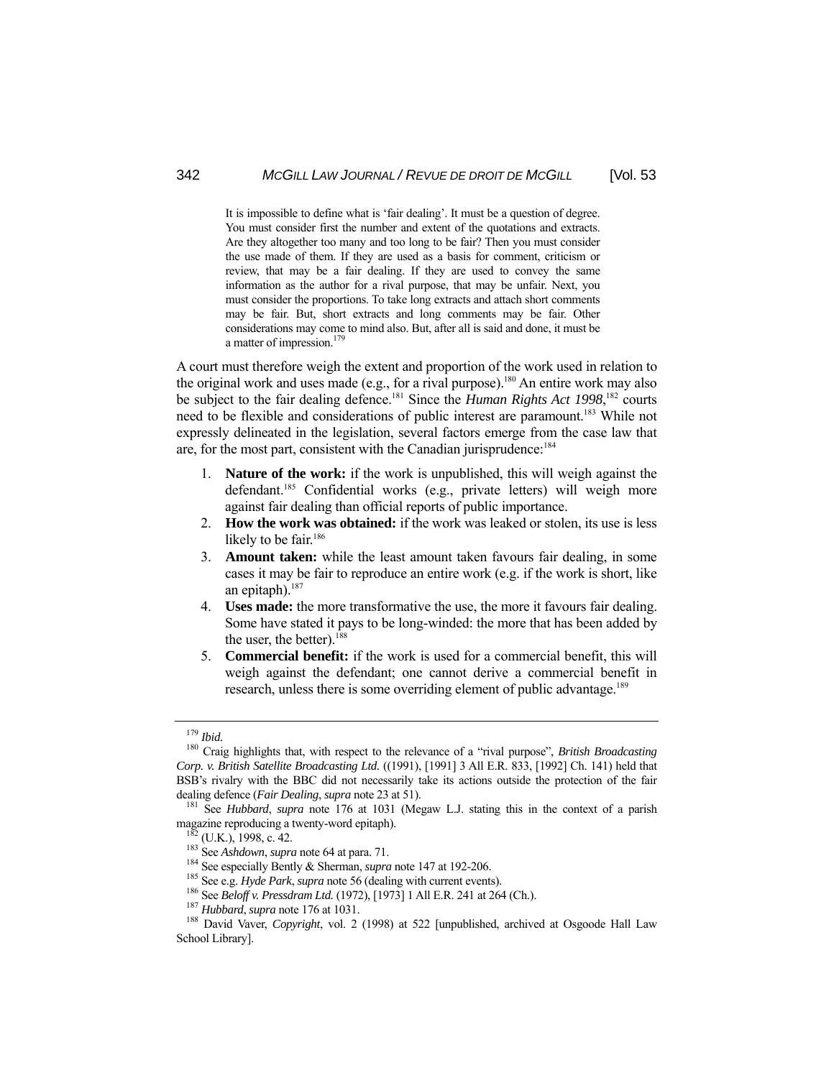It is impossible to define what is 'fair dealing'. It must be a question of degree. You must consider first the number and extent of the quotations and extracts. Are they altogether too many and too long to be fair? Then you must consider the use made of them. If they are used as a basis for comment, criticism or review, that may be a fair dealing. If they are used to convey the same information as the author for a rival purpose, that may be unfair. Next, you must consider the proportions. To take long extracts and attach short comments may be fair. But, short extracts and long comments may be fair. Other considerations may come to mind also. But, after all is said and done, it must be a matter of impression.<sup>179</sup>

A court must therefore weigh the extent and proportion of the work used in relation to the original work and uses made (e.g., for a rival purpose).180 An entire work may also be subject to the fair dealing defence.181 Since the *Human Rights Act 1998*, 182 courts need to be flexible and considerations of public interest are paramount.<sup>183</sup> While not expressly delineated in the legislation, several factors emerge from the case law that are, for the most part, consistent with the Canadian jurisprudence:184

- 1. **Nature of the work:** if the work is unpublished, this will weigh against the defendant.<sup>185</sup> Confidential works (e.g., private letters) will weigh more against fair dealing than official reports of public importance.
- 2. **How the work was obtained:** if the work was leaked or stolen, its use is less likely to be fair.<sup>186</sup>
- 3. **Amount taken:** while the least amount taken favours fair dealing, in some cases it may be fair to reproduce an entire work (e.g. if the work is short, like an epitaph). $187$
- 4. **Uses made:** the more transformative the use, the more it favours fair dealing. Some have stated it pays to be long-winded: the more that has been added by the user, the better). $188$
- 5. **Commercial benefit:** if the work is used for a commercial benefit, this will weigh against the defendant; one cannot derive a commercial benefit in research, unless there is some overriding element of public advantage.<sup>189</sup>

<sup>&</sup>lt;sup>179</sup> *Ibid.* 180 *Ibid.* 180 Craig highlights that, with respect to the relevance of a "rival purpose", *British Broadcasting Corp. v. British Satellite Broadcasting Ltd.* ((1991), [1991] 3 All E.R. 833, [1992] Ch. 141) held that BSB's rivalry with the BBC did not necessarily take its actions outside the protection of the fair dealing defence (*Fair Dealing*, *supra* note 23 at 51).<br><sup>181</sup> See *Hubbard*, *supra* note 176 at 1031 (Megaw L.J. stating this in the context of a parish

magazine reproducing a twenty-word epitaph).<br>
<sup>182</sup> (U.K.), 1998, c. 42.<br>
<sup>183</sup> See *Ashdown, supra* note 64 at para. 71.<br>
<sup>184</sup> See especially Bently & Sherman, *supra* note 147 at 192-206.<br>
<sup>185</sup> See e.g. *Hyde Park, su* 

School Library].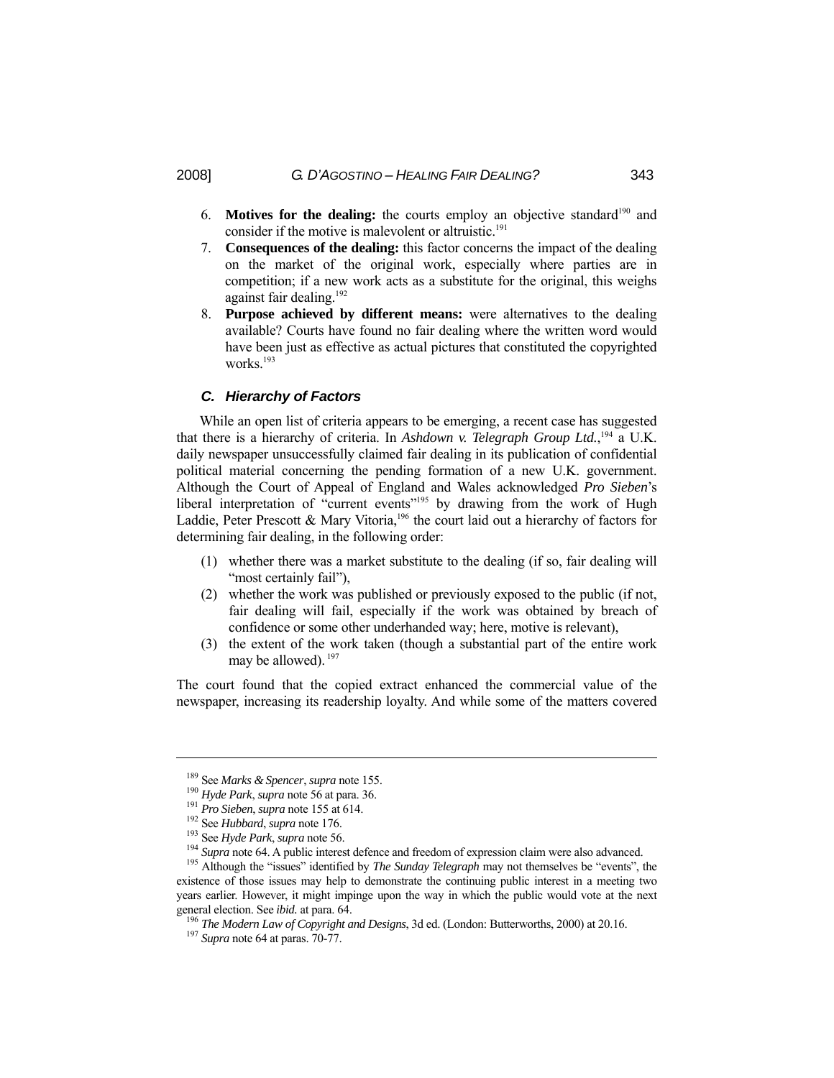- 6. **Motives for the dealing:** the courts employ an objective standard<sup>190</sup> and consider if the motive is malevolent or altruistic.<sup>191</sup>
- 7. **Consequences of the dealing:** this factor concerns the impact of the dealing on the market of the original work, especially where parties are in competition; if a new work acts as a substitute for the original, this weighs against fair dealing.192
- 8. **Purpose achieved by different means:** were alternatives to the dealing available? Courts have found no fair dealing where the written word would have been just as effective as actual pictures that constituted the copyrighted works<sup>193</sup>

## *C. Hierarchy of Factors*

 While an open list of criteria appears to be emerging, a recent case has suggested that there is a hierarchy of criteria. In *Ashdown v. Telegraph Group Ltd.*, 194 a U.K. daily newspaper unsuccessfully claimed fair dealing in its publication of confidential political material concerning the pending formation of a new U.K. government. Although the Court of Appeal of England and Wales acknowledged *Pro Sieben*'s liberal interpretation of "current events"<sup>195</sup> by drawing from the work of Hugh Laddie, Peter Prescott & Mary Vitoria,<sup>196</sup> the court laid out a hierarchy of factors for determining fair dealing, in the following order:

- (1) whether there was a market substitute to the dealing (if so, fair dealing will "most certainly fail"),
- (2) whether the work was published or previously exposed to the public (if not, fair dealing will fail, especially if the work was obtained by breach of confidence or some other underhanded way; here, motive is relevant),
- (3) the extent of the work taken (though a substantial part of the entire work may be allowed). <sup>197</sup>

The court found that the copied extract enhanced the commercial value of the newspaper, increasing its readership loyalty. And while some of the matters covered

-

<sup>&</sup>lt;sup>189</sup> See *Marks & Spencer*, *supra* note 155.<br><sup>190</sup> Hyde Park, *supra* note 56 at para. 36.<br><sup>191</sup> Pro Sieben, *supra* note 155 at 614.<br><sup>192</sup> See Hubbard, *supra* note 176.<br><sup>193</sup> See Hyde Park, *supra* note 56.<br><sup>194</sup> Supr existence of those issues may help to demonstrate the continuing public interest in a meeting two years earlier. However, it might impinge upon the way in which the public would vote at the next general election. See *ibid.* at para. 64.

<sup>&</sup>lt;sup>196</sup> *The Modern Law of Copyright and Designs*, 3d ed. (London: Butterworths, 2000) at 20.16. <sup>197</sup> *Supra* note 64 at paras. 70-77.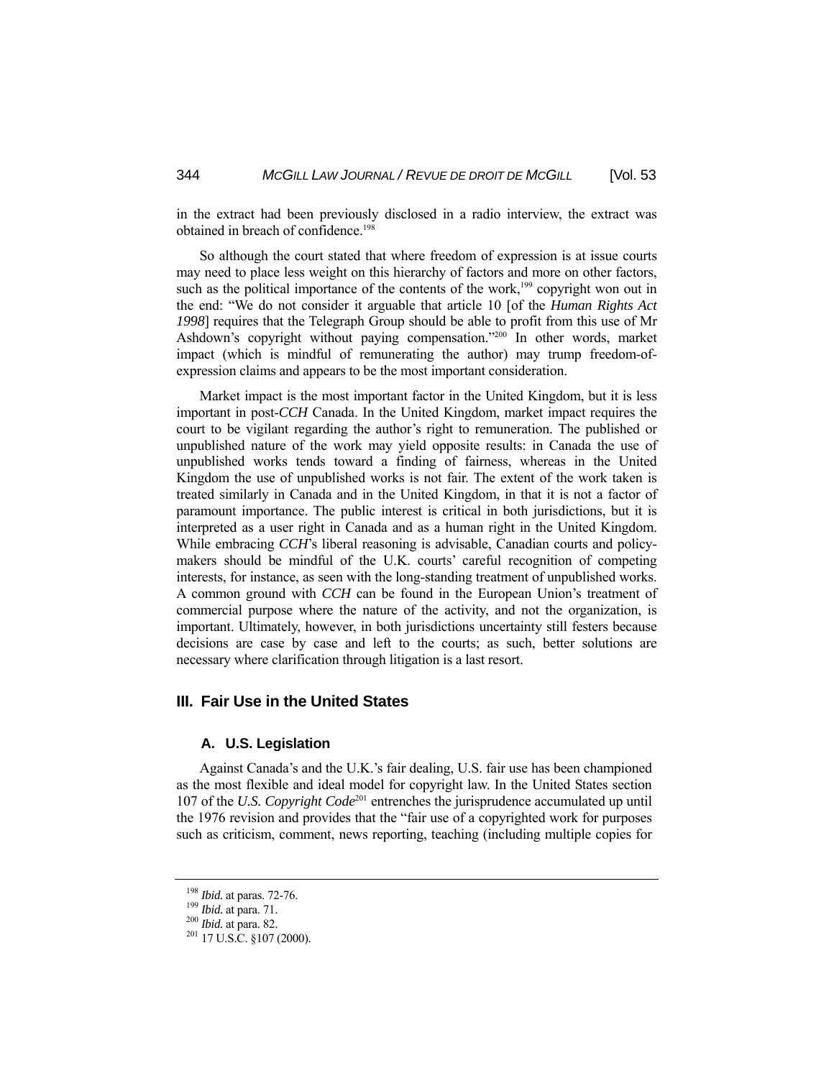in the extract had been previously disclosed in a radio interview, the extract was obtained in breach of confidence.<sup>198</sup>

 So although the court stated that where freedom of expression is at issue courts may need to place less weight on this hierarchy of factors and more on other factors, such as the political importance of the contents of the work, $199$  copyright won out in the end: "We do not consider it arguable that article 10 [of the *Human Rights Act 1998*] requires that the Telegraph Group should be able to profit from this use of Mr Ashdown's copyright without paying compensation."<sup>200</sup> In other words, market impact (which is mindful of remunerating the author) may trump freedom-ofexpression claims and appears to be the most important consideration.

 Market impact is the most important factor in the United Kingdom, but it is less important in post-*CCH* Canada. In the United Kingdom, market impact requires the court to be vigilant regarding the author's right to remuneration. The published or unpublished nature of the work may yield opposite results: in Canada the use of unpublished works tends toward a finding of fairness, whereas in the United Kingdom the use of unpublished works is not fair. The extent of the work taken is treated similarly in Canada and in the United Kingdom, in that it is not a factor of paramount importance. The public interest is critical in both jurisdictions, but it is interpreted as a user right in Canada and as a human right in the United Kingdom. While embracing *CCH*'s liberal reasoning is advisable, Canadian courts and policymakers should be mindful of the U.K. courts' careful recognition of competing interests, for instance, as seen with the long-standing treatment of unpublished works. A common ground with *CCH* can be found in the European Union's treatment of commercial purpose where the nature of the activity, and not the organization, is important. Ultimately, however, in both jurisdictions uncertainty still festers because decisions are case by case and left to the courts; as such, better solutions are necessary where clarification through litigation is a last resort.

## **III. Fair Use in the United States**

#### **A. U.S. Legislation**

 Against Canada's and the U.K.'s fair dealing, U.S. fair use has been championed as the most flexible and ideal model for copyright law. In the United States section 107 of the *U.S. Copyright Code*201 entrenches the jurisprudence accumulated up until the 1976 revision and provides that the "fair use of a copyrighted work for purposes such as criticism, comment, news reporting, teaching (including multiple copies for

<sup>&</sup>lt;sup>198</sup> *Ibid.* at paras. 72-76.<br><sup>199</sup> *Ibid.* at para. 71.<br><sup>200</sup> *Ibid.* at para. 82.<br><sup>201</sup> 17 U.S.C. §107 (2000).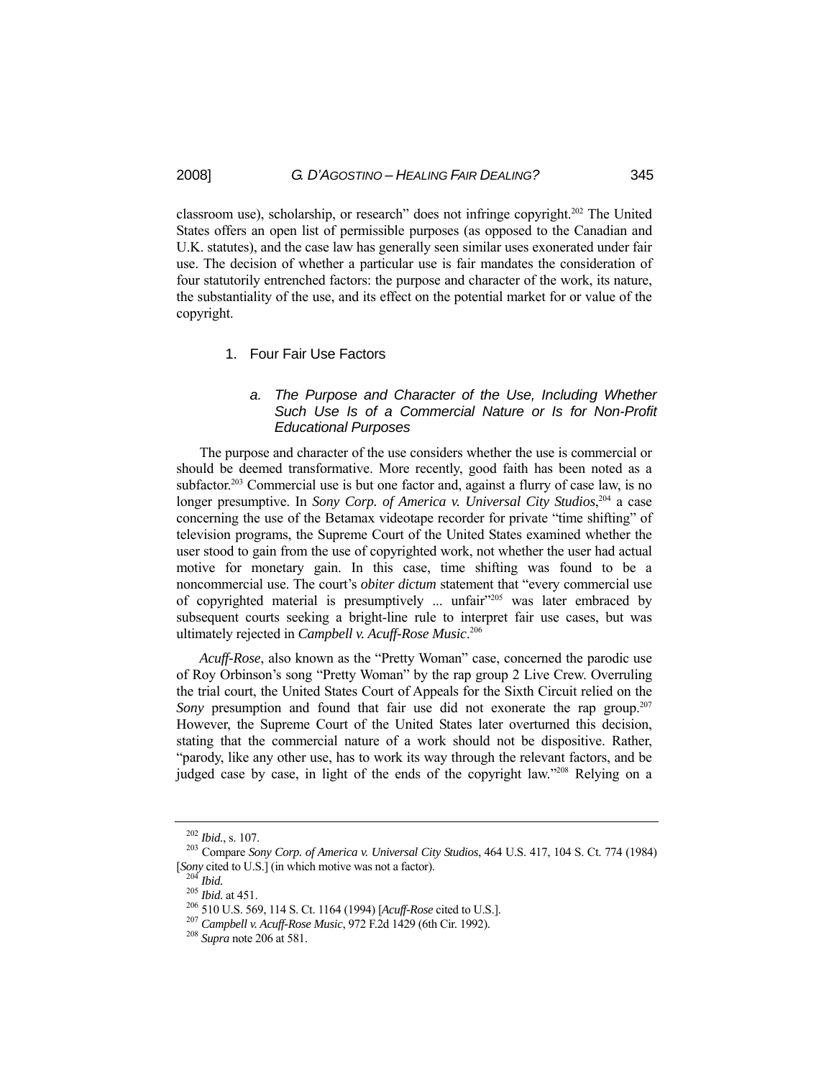classroom use), scholarship, or research" does not infringe copyright.202 The United States offers an open list of permissible purposes (as opposed to the Canadian and U.K. statutes), and the case law has generally seen similar uses exonerated under fair use. The decision of whether a particular use is fair mandates the consideration of four statutorily entrenched factors: the purpose and character of the work, its nature, the substantiality of the use, and its effect on the potential market for or value of the copyright.

### 1. Four Fair Use Factors

## *a. The Purpose and Character of the Use, Including Whether Such Use Is of a Commercial Nature or Is for Non-Profit Educational Purposes*

 The purpose and character of the use considers whether the use is commercial or should be deemed transformative. More recently, good faith has been noted as a subfactor.<sup>203</sup> Commercial use is but one factor and, against a flurry of case law, is no longer presumptive. In *Sony Corp. of America v. Universal City Studios*, 204 a case concerning the use of the Betamax videotape recorder for private "time shifting" of television programs, the Supreme Court of the United States examined whether the user stood to gain from the use of copyrighted work, not whether the user had actual motive for monetary gain. In this case, time shifting was found to be a noncommercial use. The court's *obiter dictum* statement that "every commercial use of copyrighted material is presumptively ... unfair"205 was later embraced by subsequent courts seeking a bright-line rule to interpret fair use cases, but was ultimately rejected in *Campbell v. Acuff-Rose Music*. 206

 *Acuff-Rose*, also known as the "Pretty Woman" case, concerned the parodic use of Roy Orbinson's song "Pretty Woman" by the rap group 2 Live Crew. Overruling the trial court, the United States Court of Appeals for the Sixth Circuit relied on the *Sony* presumption and found that fair use did not exonerate the rap group.<sup>207</sup> However, the Supreme Court of the United States later overturned this decision, stating that the commercial nature of a work should not be dispositive. Rather, "parody, like any other use, has to work its way through the relevant factors, and be judged case by case, in light of the ends of the copyright law."<sup>208</sup> Relying on a

<sup>202</sup> *Ibid.*, s. 107. 203 Compare *Sony Corp. of America v. Universal City Studios*, 464 U.S. 417, 104 S. Ct. 774 (1984) [Sony cited to U.S.] (in which motive was not a factor).<br>
<sup>204</sup> *Ibid.*<br>
<sup>205</sup> *Ibid.* at 451.<br>
<sup>206</sup> 510 U.S. 569, 114 S. Ct. 1164 (1994) [*Acuff-Rose* cited to U.S.].<br>
<sup>207</sup> *Campbell v. Acuff-Rose Music*, 972 F.2d 1429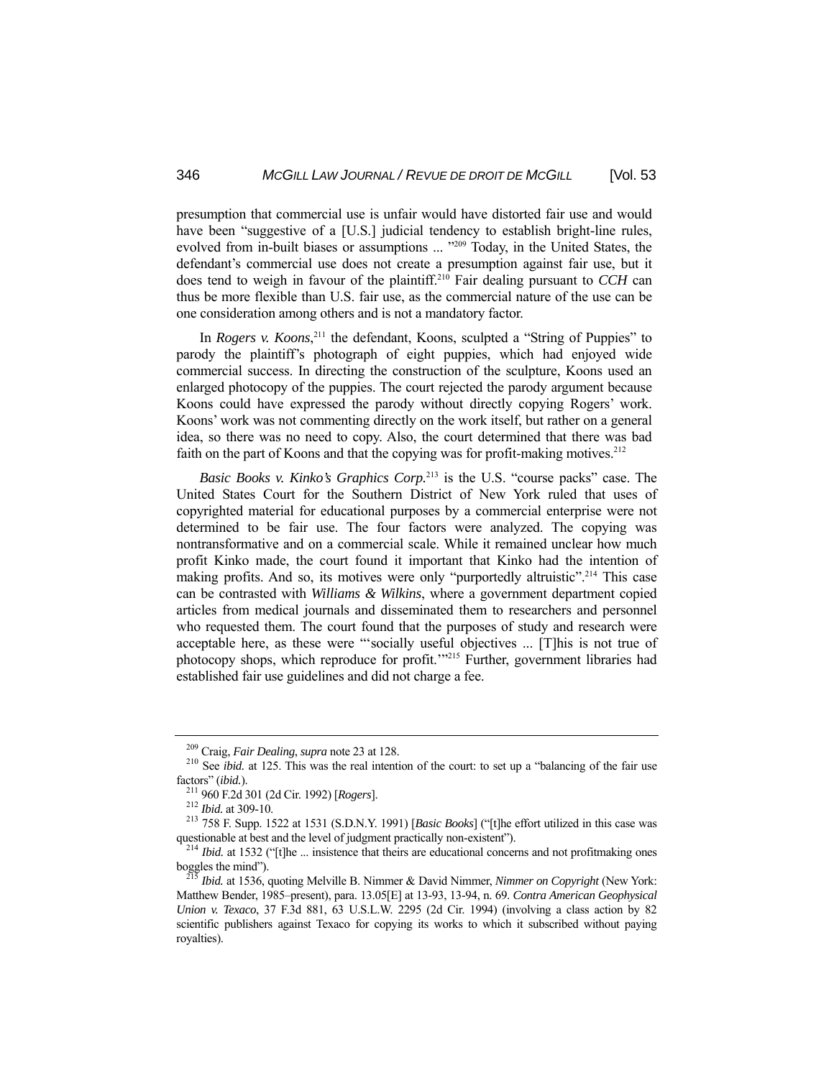presumption that commercial use is unfair would have distorted fair use and would have been "suggestive of a [U.S.] judicial tendency to establish bright-line rules, evolved from in-built biases or assumptions ... "<sup>209</sup> Today, in the United States, the defendant's commercial use does not create a presumption against fair use, but it does tend to weigh in favour of the plaintiff.210 Fair dealing pursuant to *CCH* can thus be more flexible than U.S. fair use, as the commercial nature of the use can be one consideration among others and is not a mandatory factor.

In *Rogers v. Koons*<sup>211</sup>, the defendant, Koons, sculpted a "String of Puppies" to parody the plaintiff's photograph of eight puppies, which had enjoyed wide commercial success. In directing the construction of the sculpture, Koons used an enlarged photocopy of the puppies. The court rejected the parody argument because Koons could have expressed the parody without directly copying Rogers' work. Koons' work was not commenting directly on the work itself, but rather on a general idea, so there was no need to copy. Also, the court determined that there was bad faith on the part of Koons and that the copying was for profit-making motives.<sup>212</sup>

 *Basic Books v. Kinko's Graphics Corp.*213 is the U.S. "course packs" case. The United States Court for the Southern District of New York ruled that uses of copyrighted material for educational purposes by a commercial enterprise were not determined to be fair use. The four factors were analyzed. The copying was nontransformative and on a commercial scale. While it remained unclear how much profit Kinko made, the court found it important that Kinko had the intention of making profits. And so, its motives were only "purportedly altruistic".<sup>214</sup> This case can be contrasted with *Williams & Wilkins*, where a government department copied articles from medical journals and disseminated them to researchers and personnel who requested them. The court found that the purposes of study and research were acceptable here, as these were "'socially useful objectives ... [T]his is not true of photocopy shops, which reproduce for profit.'"215 Further, government libraries had established fair use guidelines and did not charge a fee.

<sup>&</sup>lt;sup>209</sup> Craig, *Fair Dealing*, *supra* note 23 at 128.<br><sup>210</sup> See *ibid.* at 125. This was the real intention of the court: to set up a "balancing of the fair use factors" (*ibid.*).<br><sup>211</sup> 960 F.2d 301 (2d Cir. 1992) [*Rogers*].<br><sup>212</sup> *Ibid.* at 309-10.<br><sup>213</sup> 758 F. Supp. 1522 at 1531 (S.D.N.Y. 1991) [*Basic Books*] ("[t]he effort utilized in this case was

questionable at best and the level of judgment practically non-existent").<br><sup>214</sup> *Ibid.* at 1532 ("[t]he ... insistence that theirs are educational concerns and not profitmaking ones boggles the mind").

*Ibid.* at 1536, quoting Melville B. Nimmer & David Nimmer, *Nimmer on Copyright* (New York: Matthew Bender, 1985–present), para. 13.05[E] at 13-93, 13-94, n. 69. *Contra American Geophysical Union v. Texaco*, 37 F.3d 881, 63 U.S.L.W. 2295 (2d Cir. 1994) (involving a class action by 82 scientific publishers against Texaco for copying its works to which it subscribed without paying royalties).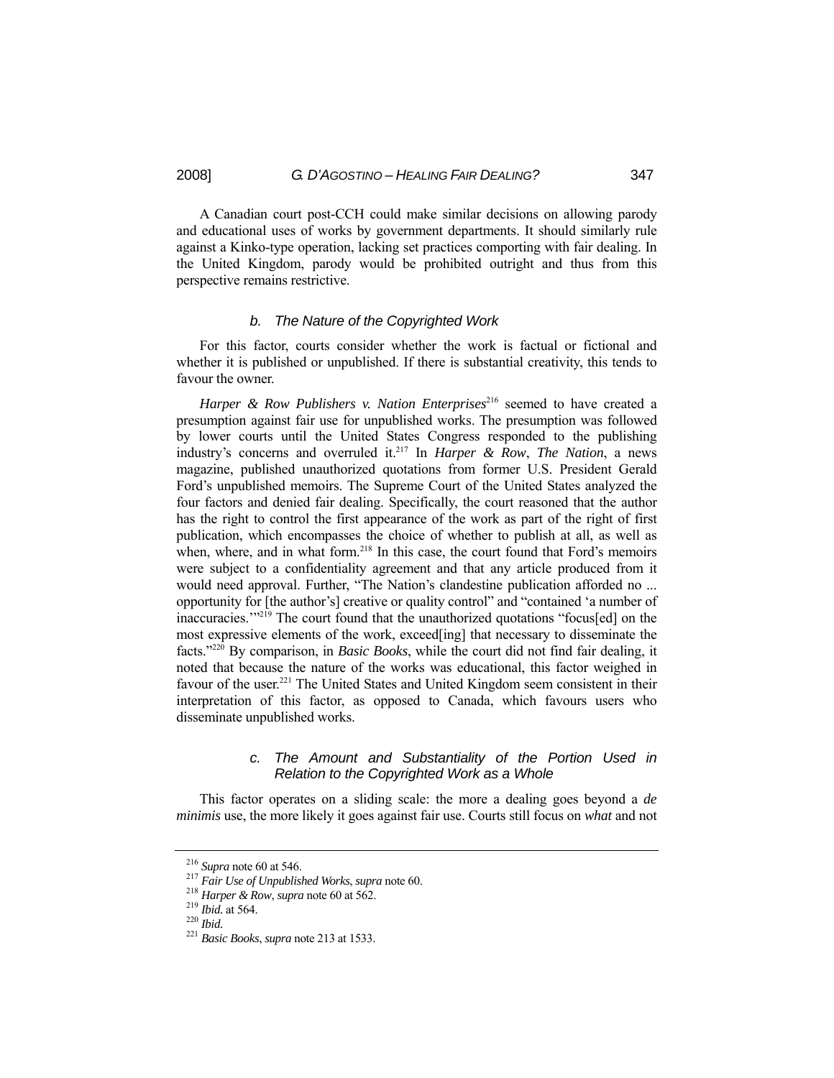A Canadian court post-CCH could make similar decisions on allowing parody and educational uses of works by government departments. It should similarly rule against a Kinko-type operation, lacking set practices comporting with fair dealing. In the United Kingdom, parody would be prohibited outright and thus from this perspective remains restrictive.

#### *b. The Nature of the Copyrighted Work*

 For this factor, courts consider whether the work is factual or fictional and whether it is published or unpublished. If there is substantial creativity, this tends to favour the owner.

Harper & Row Publishers v. Nation Enterprises<sup>216</sup> seemed to have created a presumption against fair use for unpublished works. The presumption was followed by lower courts until the United States Congress responded to the publishing industry's concerns and overruled it.217 In *Harper & Row*, *The Nation*, a news magazine, published unauthorized quotations from former U.S. President Gerald Ford's unpublished memoirs. The Supreme Court of the United States analyzed the four factors and denied fair dealing. Specifically, the court reasoned that the author has the right to control the first appearance of the work as part of the right of first publication, which encompasses the choice of whether to publish at all, as well as when, where, and in what form.<sup>218</sup> In this case, the court found that Ford's memoirs were subject to a confidentiality agreement and that any article produced from it would need approval. Further, "The Nation's clandestine publication afforded no ... opportunity for [the author's] creative or quality control" and "contained 'a number of inaccuracies.'"219 The court found that the unauthorized quotations "focus[ed] on the most expressive elements of the work, exceed[ing] that necessary to disseminate the facts."220 By comparison, in *Basic Books*, while the court did not find fair dealing, it noted that because the nature of the works was educational, this factor weighed in favour of the user.<sup>221</sup> The United States and United Kingdom seem consistent in their interpretation of this factor, as opposed to Canada, which favours users who disseminate unpublished works.

## *c. The Amount and Substantiality of the Portion Used in Relation to the Copyrighted Work as a Whole*

 This factor operates on a sliding scale: the more a dealing goes beyond a *de minimis* use, the more likely it goes against fair use. Courts still focus on *what* and not

<sup>&</sup>lt;sup>216</sup> Supra note 60 at 546.<br><sup>217</sup> Fair Use of Unpublished Works, supra note 60.<br><sup>218</sup> Harper & Row, supra note 60 at 562.<br><sup>219</sup> Ibid. at 564.<br><sup>220</sup> Ibid.<br><sup>221</sup> Basic Books, supra note 213 at 1533.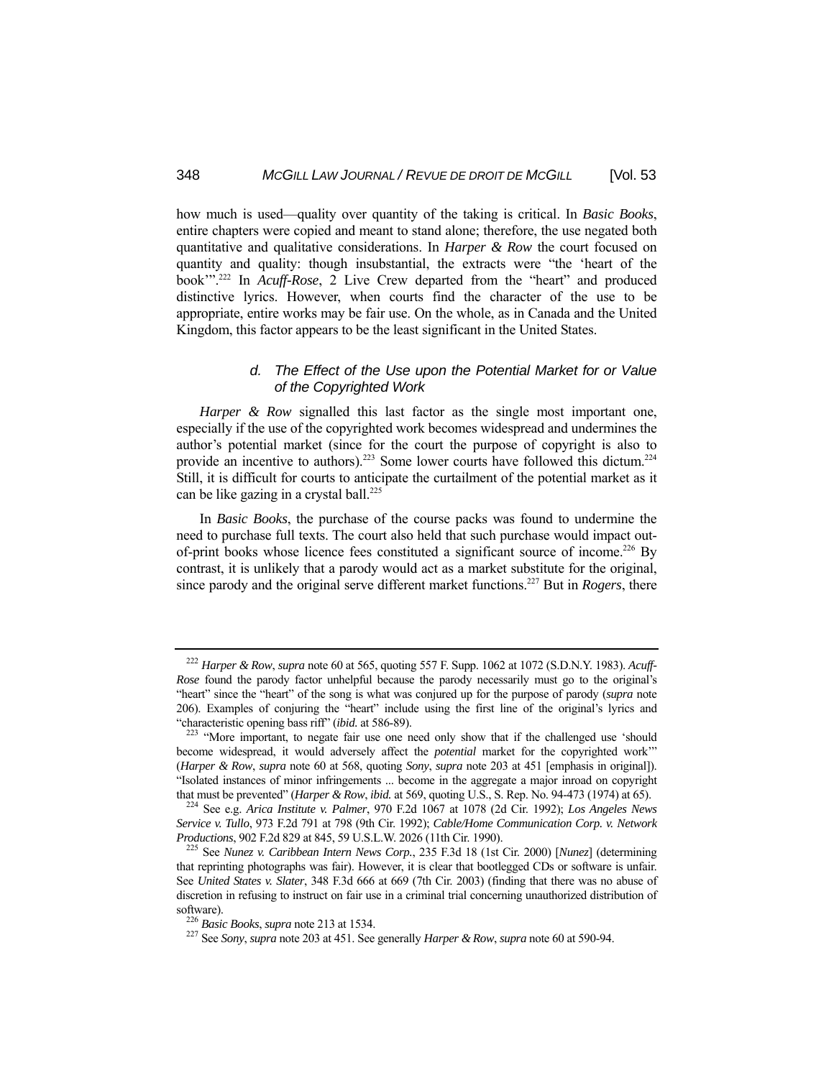how much is used—quality over quantity of the taking is critical. In *Basic Books*, entire chapters were copied and meant to stand alone; therefore, the use negated both quantitative and qualitative considerations. In *Harper & Row* the court focused on quantity and quality: though insubstantial, the extracts were "the 'heart of the book'".222 In *Acuff-Rose*, 2 Live Crew departed from the "heart" and produced distinctive lyrics. However, when courts find the character of the use to be appropriate, entire works may be fair use. On the whole, as in Canada and the United Kingdom, this factor appears to be the least significant in the United States.

## *d. The Effect of the Use upon the Potential Market for or Value of the Copyrighted Work*

*Harper & Row* signalled this last factor as the single most important one, especially if the use of the copyrighted work becomes widespread and undermines the author's potential market (since for the court the purpose of copyright is also to provide an incentive to authors).<sup>223</sup> Some lower courts have followed this dictum.<sup>224</sup> Still, it is difficult for courts to anticipate the curtailment of the potential market as it can be like gazing in a crystal ball.<sup>225</sup>

 In *Basic Books*, the purchase of the course packs was found to undermine the need to purchase full texts. The court also held that such purchase would impact outof-print books whose licence fees constituted a significant source of income.<sup>226</sup> By contrast, it is unlikely that a parody would act as a market substitute for the original, since parody and the original serve different market functions.227 But in *Rogers*, there

<sup>222</sup> *Harper & Row*, *supra* note 60 at 565, quoting 557 F. Supp. 1062 at 1072 (S.D.N.Y. 1983). *Acuff-Rose* found the parody factor unhelpful because the parody necessarily must go to the original's "heart" since the "heart" of the song is what was conjured up for the purpose of parody (*supra* note 206). Examples of conjuring the "heart" include using the first line of the original's lyrics and "characteristic opening bass riff" (*ibid.* at 586-89). 223 "More important, to negate fair use one need only show that if the challenged use 'should

become widespread, it would adversely affect the *potential* market for the copyrighted work'" (*Harper & Row*, *supra* note 60 at 568, quoting *Sony*, *supra* note 203 at 451 [emphasis in original]). "Isolated instances of minor infringements ... become in the aggregate a major inroad on copyright that must be prevented" (*Harper & Row*, *ibid.* at 569, quoting U.S., S. Rep. No. 94-473 (1974) at 65). 224 See e.g. *Arica Institute v. Palmer*, 970 F.2d 1067 at 1078 (2d Cir. 1992); *Los Angeles News* 

*Service v. Tullo*, 973 F.2d 791 at 798 (9th Cir. 1992); *Cable/Home Communication Corp. v. Network* 

*Productions*, 902 F.2d 829 at 845, 59 U.S.L.W. 2026 (11th Cir. 1990). 225 See *Nunez v. Caribbean Intern News Corp.*, 235 F.3d 18 (1st Cir. 2000) [*Nunez*] (determining that reprinting photographs was fair). However, it is clear that bootlegged CDs or software is unfair. See *United States v. Slater*, 348 F.3d 666 at 669 (7th Cir. 2003) (finding that there was no abuse of discretion in refusing to instruct on fair use in a criminal trial concerning unauthorized distribution of software). 226 *Basic Books*, *supra* note 213 at 1534. 227 See *Sony*, *supra* note 203 at 451. See generally *Harper & Row*, *supra* note 60 at 590-94.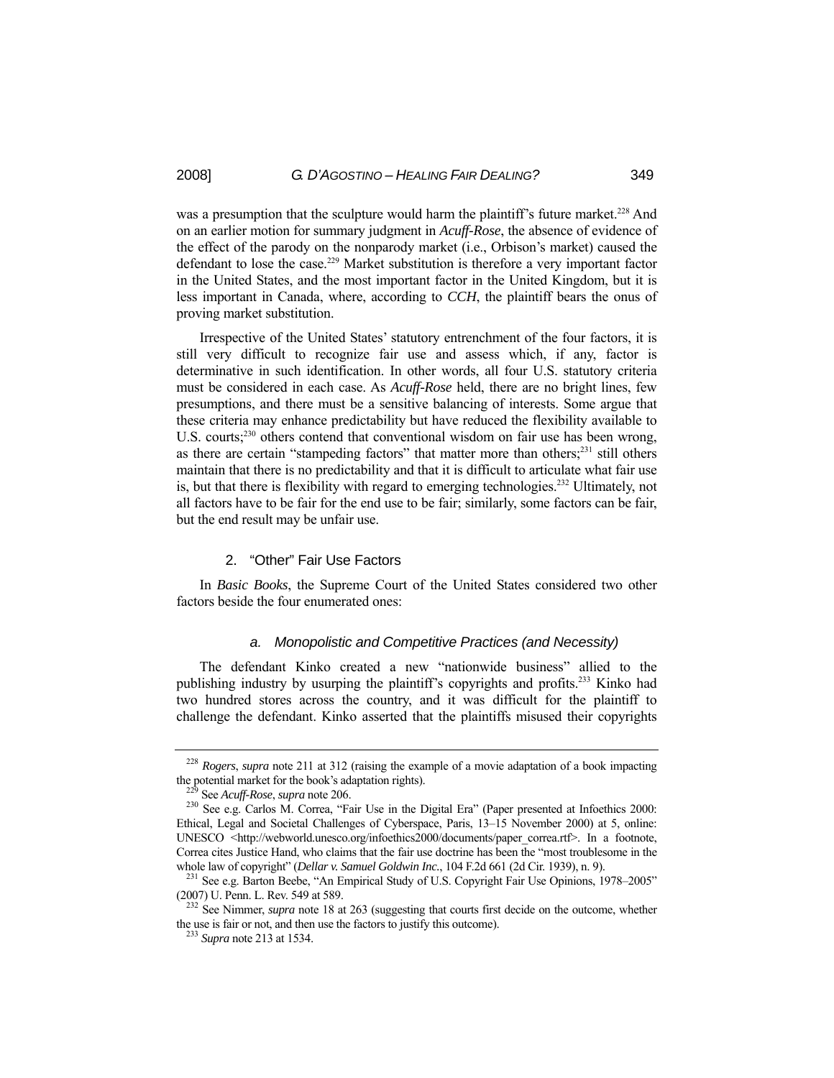was a presumption that the sculpture would harm the plaintiff's future market.<sup>228</sup> And on an earlier motion for summary judgment in *Acuff-Rose*, the absence of evidence of the effect of the parody on the nonparody market (i.e., Orbison's market) caused the defendant to lose the case.<sup>229</sup> Market substitution is therefore a very important factor in the United States, and the most important factor in the United Kingdom, but it is less important in Canada, where, according to *CCH*, the plaintiff bears the onus of proving market substitution.

 Irrespective of the United States' statutory entrenchment of the four factors, it is still very difficult to recognize fair use and assess which, if any, factor is determinative in such identification. In other words, all four U.S. statutory criteria must be considered in each case. As *Acuff-Rose* held, there are no bright lines, few presumptions, and there must be a sensitive balancing of interests. Some argue that these criteria may enhance predictability but have reduced the flexibility available to U.S. courts;<sup>230</sup> others contend that conventional wisdom on fair use has been wrong, as there are certain "stampeding factors" that matter more than others;<sup>231</sup> still others maintain that there is no predictability and that it is difficult to articulate what fair use is, but that there is flexibility with regard to emerging technologies.232 Ultimately, not all factors have to be fair for the end use to be fair; similarly, some factors can be fair, but the end result may be unfair use.

#### 2. "Other" Fair Use Factors

 In *Basic Books*, the Supreme Court of the United States considered two other factors beside the four enumerated ones:

#### *a. Monopolistic and Competitive Practices (and Necessity)*

 The defendant Kinko created a new "nationwide business" allied to the publishing industry by usurping the plaintiff's copyrights and profits.233 Kinko had two hundred stores across the country, and it was difficult for the plaintiff to challenge the defendant. Kinko asserted that the plaintiffs misused their copyrights

<sup>&</sup>lt;sup>228</sup> *Rogers*, *supra* note 211 at 312 (raising the example of a movie adaptation of a book impacting the potential market for the book's adaptation rights).

<sup>&</sup>lt;sup>229</sup> See *Acuff-Rose*, *supra* note 206.<br><sup>230</sup> See e.g. Carlos M. Correa, "Fair Use in the Digital Era" (Paper presented at Infoethics 2000: Ethical, Legal and Societal Challenges of Cyberspace, Paris, 13–15 November 2000) at 5, online: UNESCO <http://webworld.unesco.org/infoethics2000/documents/paper\_correa.rtf>. In a footnote, Correa cites Justice Hand, who claims that the fair use doctrine has been the "most troublesome in the

whole law of copyright" (*Dellar v. Samuel Goldwin Inc.*, 104 F.2d 661 (2d Cir. 1939), n. 9).<br><sup>231</sup> See e.g. Barton Beebe, "An Empirical Study of U.S. Copyright Fair Use Opinions, 1978–2005"<br>(2007) U. Penn. L. Rev. 549 at

<sup>&</sup>lt;sup>232</sup> See Nimmer, *supra* note 18 at 263 (suggesting that courts first decide on the outcome, whether the use is fair or not, and then use the factors to justify this outcome). 233 *Supra* note 213 at 1534.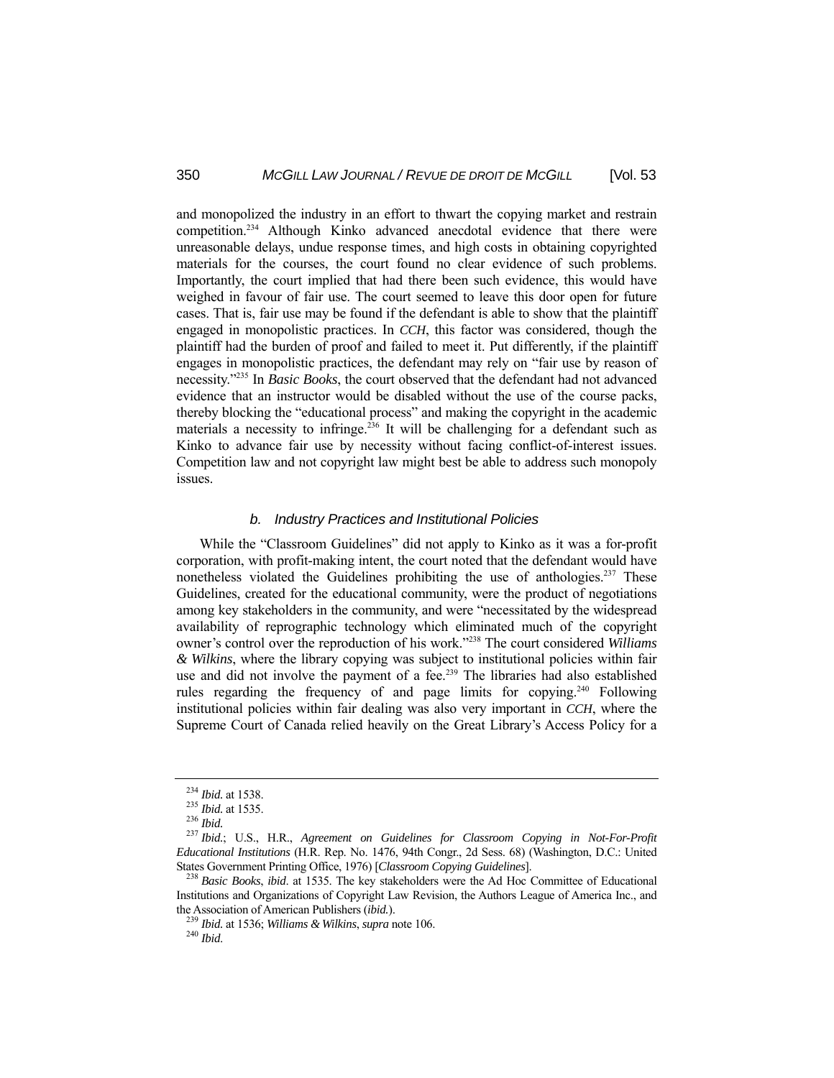and monopolized the industry in an effort to thwart the copying market and restrain competition.234 Although Kinko advanced anecdotal evidence that there were unreasonable delays, undue response times, and high costs in obtaining copyrighted materials for the courses, the court found no clear evidence of such problems. Importantly, the court implied that had there been such evidence, this would have weighed in favour of fair use. The court seemed to leave this door open for future cases. That is, fair use may be found if the defendant is able to show that the plaintiff engaged in monopolistic practices. In *CCH*, this factor was considered, though the plaintiff had the burden of proof and failed to meet it. Put differently, if the plaintiff engages in monopolistic practices, the defendant may rely on "fair use by reason of necessity."235 In *Basic Books*, the court observed that the defendant had not advanced evidence that an instructor would be disabled without the use of the course packs, thereby blocking the "educational process" and making the copyright in the academic materials a necessity to infringe.<sup>236</sup> It will be challenging for a defendant such as Kinko to advance fair use by necessity without facing conflict-of-interest issues. Competition law and not copyright law might best be able to address such monopoly issues.

#### *b. Industry Practices and Institutional Policies*

 While the "Classroom Guidelines" did not apply to Kinko as it was a for-profit corporation, with profit-making intent, the court noted that the defendant would have nonetheless violated the Guidelines prohibiting the use of anthologies.<sup>237</sup> These Guidelines, created for the educational community, were the product of negotiations among key stakeholders in the community, and were "necessitated by the widespread availability of reprographic technology which eliminated much of the copyright owner's control over the reproduction of his work."238 The court considered *Williams & Wilkins*, where the library copying was subject to institutional policies within fair use and did not involve the payment of a fee.<sup>239</sup> The libraries had also established rules regarding the frequency of and page limits for copying.<sup>240</sup> Following institutional policies within fair dealing was also very important in *CCH*, where the Supreme Court of Canada relied heavily on the Great Library's Access Policy for a

<sup>234</sup> *Ibid.* at 1538. 235 *Ibid.* at 1535. 236 *Ibid.* <sup>237</sup> *Ibid.*; U.S., H.R., *Agreement on Guidelines for Classroom Copying in Not-For-Profit Educational Institutions* (H.R. Rep. No. 1476, 94th Congr., 2d Sess. 68) (Washington, D.C.: United States Government Printing Office, 1976) [*Classroom Copying Guidelines*]. 238 *Basic Books*, *ibid*. at 1535. The key stakeholders were the Ad Hoc Committee of Educational

Institutions and Organizations of Copyright Law Revision, the Authors League of America Inc., and the Association of American Publishers (*ibid.*). 239 *Ibid.* at 1536; *Williams & Wilkins*, *supra* note 106. 240 *Ibid*.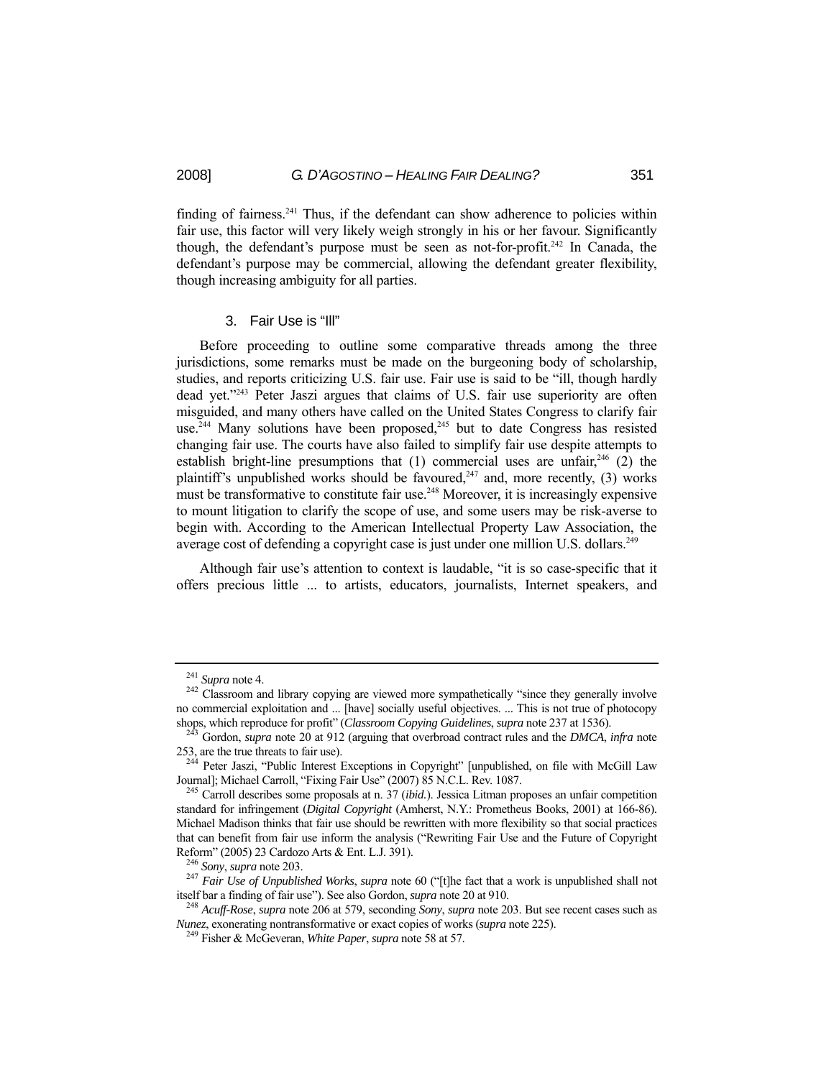finding of fairness.<sup>241</sup> Thus, if the defendant can show adherence to policies within fair use, this factor will very likely weigh strongly in his or her favour. Significantly though, the defendant's purpose must be seen as not-for-profit.<sup>242</sup> In Canada, the defendant's purpose may be commercial, allowing the defendant greater flexibility, though increasing ambiguity for all parties.

## 3. Fair Use is "Ill"

 Before proceeding to outline some comparative threads among the three jurisdictions, some remarks must be made on the burgeoning body of scholarship, studies, and reports criticizing U.S. fair use. Fair use is said to be "ill, though hardly dead yet."243 Peter Jaszi argues that claims of U.S. fair use superiority are often misguided, and many others have called on the United States Congress to clarify fair use.<sup>244</sup> Many solutions have been proposed,<sup>245</sup> but to date Congress has resisted changing fair use. The courts have also failed to simplify fair use despite attempts to establish bright-line presumptions that  $(1)$  commercial uses are unfair,<sup>246</sup>  $(2)$  the plaintiff's unpublished works should be favoured, $247$  and, more recently, (3) works must be transformative to constitute fair use.<sup>248</sup> Moreover, it is increasingly expensive to mount litigation to clarify the scope of use, and some users may be risk-averse to begin with. According to the American Intellectual Property Law Association, the average cost of defending a copyright case is just under one million U.S. dollars.<sup>249</sup>

 Although fair use's attention to context is laudable, "it is so case-specific that it offers precious little ... to artists, educators, journalists, Internet speakers, and

<sup>&</sup>lt;sup>241</sup> *Supra* note 4. <sup>242</sup> Classroom and library copying are viewed more sympathetically "since they generally involve no commercial exploitation and ... [have] socially useful objectives. ... This is not true of photocopy shops, which reproduce for profit" (*Classroom Copying Guidelines*, *supra* note 237 at 1536). 243 Gordon, *supra* note 20 at 912 (arguing that overbroad contract rules and the *DMCA*, *infra* note

<sup>253,</sup> are the true threats to fair use). 244 Peter Jaszi, "Public Interest Exceptions in Copyright" [unpublished, on file with McGill Law

Journal]; Michael Carroll, "Fixing Fair Use" (2007) 85 N.C.L. Rev. 1087. 245 Carroll describes some proposals at n. 37 (*ibid.*). Jessica Litman proposes an unfair competition

standard for infringement (*Digital Copyright* (Amherst, N.Y.: Prometheus Books, 2001) at 166-86). Michael Madison thinks that fair use should be rewritten with more flexibility so that social practices that can benefit from fair use inform the analysis ("Rewriting Fair Use and the Future of Copyright

Reform" (2005) 23 Cardozo Arts & Ent. L.J. 391). 246 *Sony*, *supra* note 203. 247 *Fair Use of Unpublished Works*, *supra* note 60 ("[t]he fact that a work is unpublished shall not itself bar a finding of fair use"). See also Gordon, *supra* note 20 at 910. 248 *Acuff-Rose*, *supra* note 206 at 579, seconding *Sony*, *supra* note 203. But see recent cases such as

*Nunez*, exonerating nontransformative or exact copies of works (*supra* note 225). 249 Fisher & McGeveran, *White Paper*, *supra* note 58 at 57.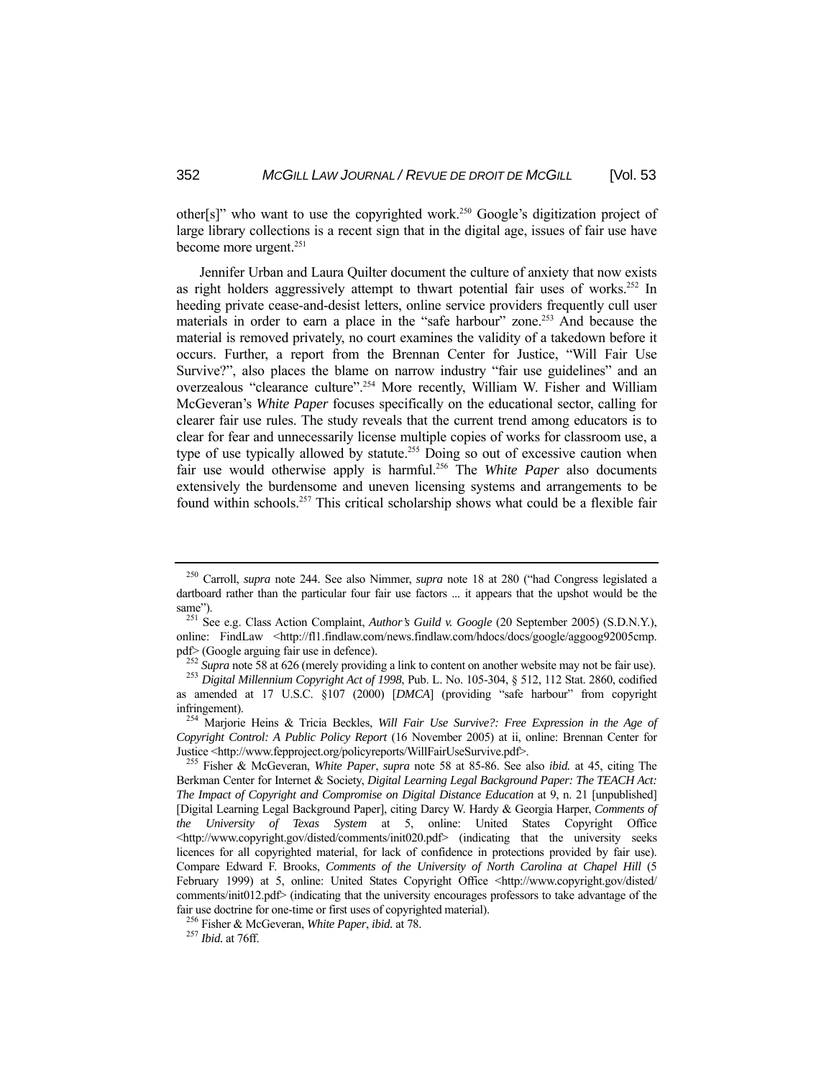other[s]" who want to use the copyrighted work.250 Google's digitization project of large library collections is a recent sign that in the digital age, issues of fair use have become more urgent.<sup>251</sup>

 Jennifer Urban and Laura Quilter document the culture of anxiety that now exists as right holders aggressively attempt to thwart potential fair uses of works.<sup>252</sup> In heeding private cease-and-desist letters, online service providers frequently cull user materials in order to earn a place in the "safe harbour" zone.<sup>253</sup> And because the material is removed privately, no court examines the validity of a takedown before it occurs. Further, a report from the Brennan Center for Justice, "Will Fair Use Survive?", also places the blame on narrow industry "fair use guidelines" and an overzealous "clearance culture".254 More recently, William W. Fisher and William McGeveran's *White Paper* focuses specifically on the educational sector, calling for clearer fair use rules. The study reveals that the current trend among educators is to clear for fear and unnecessarily license multiple copies of works for classroom use, a type of use typically allowed by statute.<sup>255</sup> Doing so out of excessive caution when fair use would otherwise apply is harmful.256 The *White Paper* also documents extensively the burdensome and uneven licensing systems and arrangements to be found within schools.257 This critical scholarship shows what could be a flexible fair

<sup>250</sup> Carroll, *supra* note 244. See also Nimmer, *supra* note 18 at 280 ("had Congress legislated a dartboard rather than the particular four fair use factors ... it appears that the upshot would be the

same").<br><sup>251</sup> See e.g. Class Action Complaint, *Author's Guild v. Google* (20 September 2005) (S.D.N.Y.), online: FindLaw <http://fl1.findlaw.com/news.findlaw.com/hdocs/docs/google/aggoog92005cmp.

pdf> (Google arguing fair use in defence).<br><sup>252</sup> Supra note 58 at 626 (merely providing a link to content on another website may not be fair use).<br><sup>253</sup> Digital Millennium Copyright Act of 1998, Pub. L. No. 105-304, § 512,

as amended at 17 U.S.C. §107 (2000) [*DMCA*] (providing "safe harbour" from copyright infringement). 254 Marjorie Heins & Tricia Beckles, *Will Fair Use Survive?: Free Expression in the Age of* 

*Copyright Control: A Public Policy Report* (16 November 2005) at ii, online: Brennan Center for Justice <http://www.fepproject.org/policyreports/WillFairUseSurvive.pdf>. 255 Fisher & McGeveran, *White Paper*, *supra* note 58 at 85-86. See also *ibid.* at 45, citing The

Berkman Center for Internet & Society, *Digital Learning Legal Background Paper: The TEACH Act: The Impact of Copyright and Compromise on Digital Distance Education* at 9, n. 21 [unpublished] [Digital Learning Legal Background Paper], citing Darcy W. Hardy & Georgia Harper, *Comments of the University of Texas System* at 5, online: United States Copyright Office <http://www.copyright.gov/disted/comments/init020.pdf> (indicating that the university seeks licences for all copyrighted material, for lack of confidence in protections provided by fair use). Compare Edward F. Brooks, *Comments of the University of North Carolina at Chapel Hill* (5 February 1999) at 5, online: United States Copyright Office <http://www.copyright.gov/disted/ comments/init012.pdf> (indicating that the university encourages professors to take advantage of the fair use doctrine for one-time or first uses of copyrighted material). 256 Fisher & McGeveran, *White Paper*, *ibid.* at 78. 257 *Ibid.* at 76ff.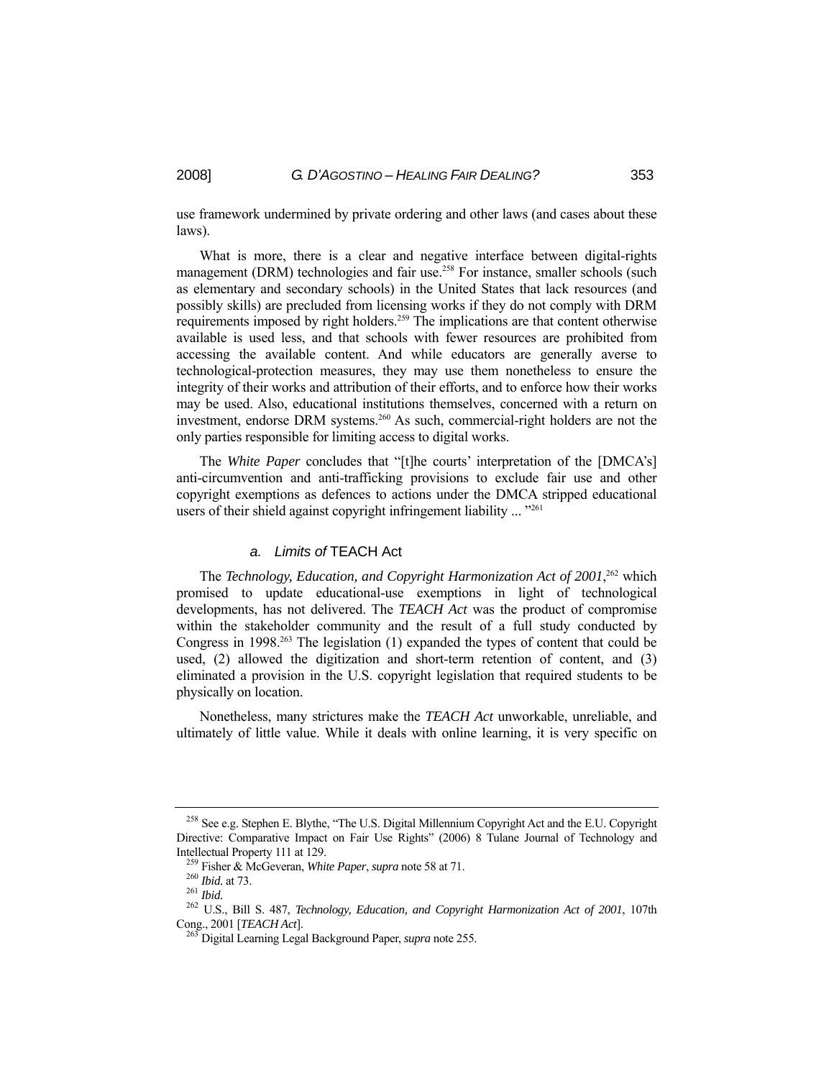use framework undermined by private ordering and other laws (and cases about these laws).

 What is more, there is a clear and negative interface between digital-rights management (DRM) technologies and fair use.<sup>258</sup> For instance, smaller schools (such as elementary and secondary schools) in the United States that lack resources (and possibly skills) are precluded from licensing works if they do not comply with DRM requirements imposed by right holders.259 The implications are that content otherwise available is used less, and that schools with fewer resources are prohibited from accessing the available content. And while educators are generally averse to technological-protection measures, they may use them nonetheless to ensure the integrity of their works and attribution of their efforts, and to enforce how their works may be used. Also, educational institutions themselves, concerned with a return on investment, endorse DRM systems.<sup>260</sup> As such, commercial-right holders are not the only parties responsible for limiting access to digital works.

 The *White Paper* concludes that "[t]he courts' interpretation of the [DMCA's] anti-circumvention and anti-trafficking provisions to exclude fair use and other copyright exemptions as defences to actions under the DMCA stripped educational users of their shield against copyright infringement liability ... "<sup>261</sup>

#### *a. Limits of* TEACH Act

The *Technology, Education, and Copyright Harmonization Act of 2001*,<sup>262</sup> which promised to update educational-use exemptions in light of technological developments, has not delivered. The *TEACH Act* was the product of compromise within the stakeholder community and the result of a full study conducted by Congress in 1998<sup>263</sup> The legislation (1) expanded the types of content that could be used, (2) allowed the digitization and short-term retention of content, and (3) eliminated a provision in the U.S. copyright legislation that required students to be physically on location.

 Nonetheless, many strictures make the *TEACH Act* unworkable, unreliable, and ultimately of little value. While it deals with online learning, it is very specific on

<sup>&</sup>lt;sup>258</sup> See e.g. Stephen E. Blythe, "The U.S. Digital Millennium Copyright Act and the E.U. Copyright Directive: Comparative Impact on Fair Use Rights" (2006) 8 Tulane Journal of Technology and Intellectual Property 111 at 129.<br>
<sup>259</sup> Fisher & McGeveran, *White Paper*, *supra* note 58 at 71.<br>
<sup>260</sup> *Ibid.* at 73.<br>
<sup>261</sup> *Ibid.*<br>
<sup>262</sup> U.S., Bill S. 487, *Technology, Education, and Copyright Harmonization Act of 2* 

Cong., 2001 [*TEACH Act*]. 263 Digital Learning Legal Background Paper, *supra* note 255.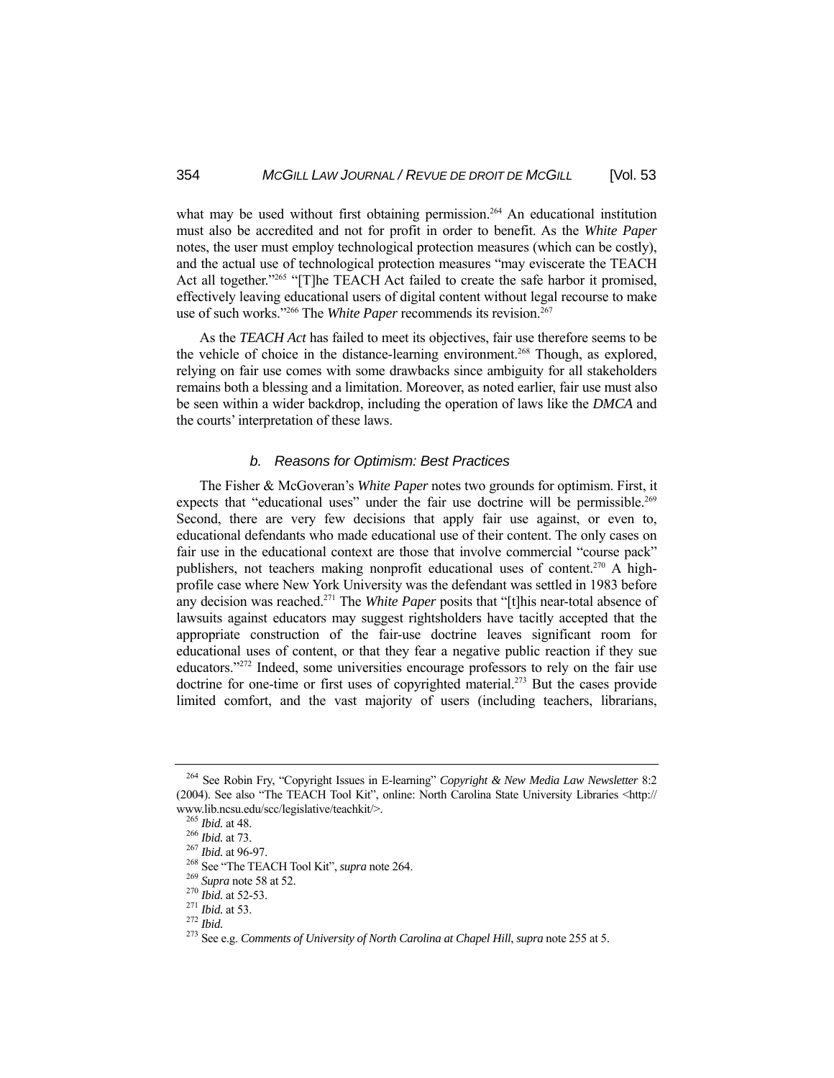what may be used without first obtaining permission.<sup>264</sup> An educational institution must also be accredited and not for profit in order to benefit. As the *White Paper* notes, the user must employ technological protection measures (which can be costly), and the actual use of technological protection measures "may eviscerate the TEACH Act all together."<sup>265</sup> "[T]he TEACH Act failed to create the safe harbor it promised, effectively leaving educational users of digital content without legal recourse to make use of such works."<sup>266</sup> The *White Paper* recommends its revision.<sup>267</sup>

 As the *TEACH Act* has failed to meet its objectives, fair use therefore seems to be the vehicle of choice in the distance-learning environment.<sup>268</sup> Though, as explored, relying on fair use comes with some drawbacks since ambiguity for all stakeholders remains both a blessing and a limitation. Moreover, as noted earlier, fair use must also be seen within a wider backdrop, including the operation of laws like the *DMCA* and the courts' interpretation of these laws.

#### *b. Reasons for Optimism: Best Practices*

 The Fisher & McGoveran's *White Paper* notes two grounds for optimism. First, it expects that "educational uses" under the fair use doctrine will be permissible.<sup>269</sup> Second, there are very few decisions that apply fair use against, or even to, educational defendants who made educational use of their content. The only cases on fair use in the educational context are those that involve commercial "course pack" publishers, not teachers making nonprofit educational uses of content.<sup>270</sup> A highprofile case where New York University was the defendant was settled in 1983 before any decision was reached.271 The *White Paper* posits that "[t]his near-total absence of lawsuits against educators may suggest rightsholders have tacitly accepted that the appropriate construction of the fair-use doctrine leaves significant room for educational uses of content, or that they fear a negative public reaction if they sue educators."272 Indeed, some universities encourage professors to rely on the fair use doctrine for one-time or first uses of copyrighted material.<sup>273</sup> But the cases provide limited comfort, and the vast majority of users (including teachers, librarians,

<sup>264</sup> See Robin Fry, "Copyright Issues in E-learning" *Copyright & New Media Law Newsletter* 8:2 (2004). See also "The TEACH Tool Kit", online: North Carolina State University Libraries <http:// www.lib.ncsu.edu/scc/legislative/teachkit/>.<br><sup>265</sup> Ibid. at 48.<br><sup>266</sup> Ibid. at 73.<br><sup>266</sup> Ibid. at 96-97.<br><sup>268</sup> See "The TEACH Tool Kit", *supra* note 264.<br><sup>269</sup> Supra note 58 at 52.<br><sup>270</sup> Ibid. at 52-53.<br><sup>270</sup> Ibid. at 53.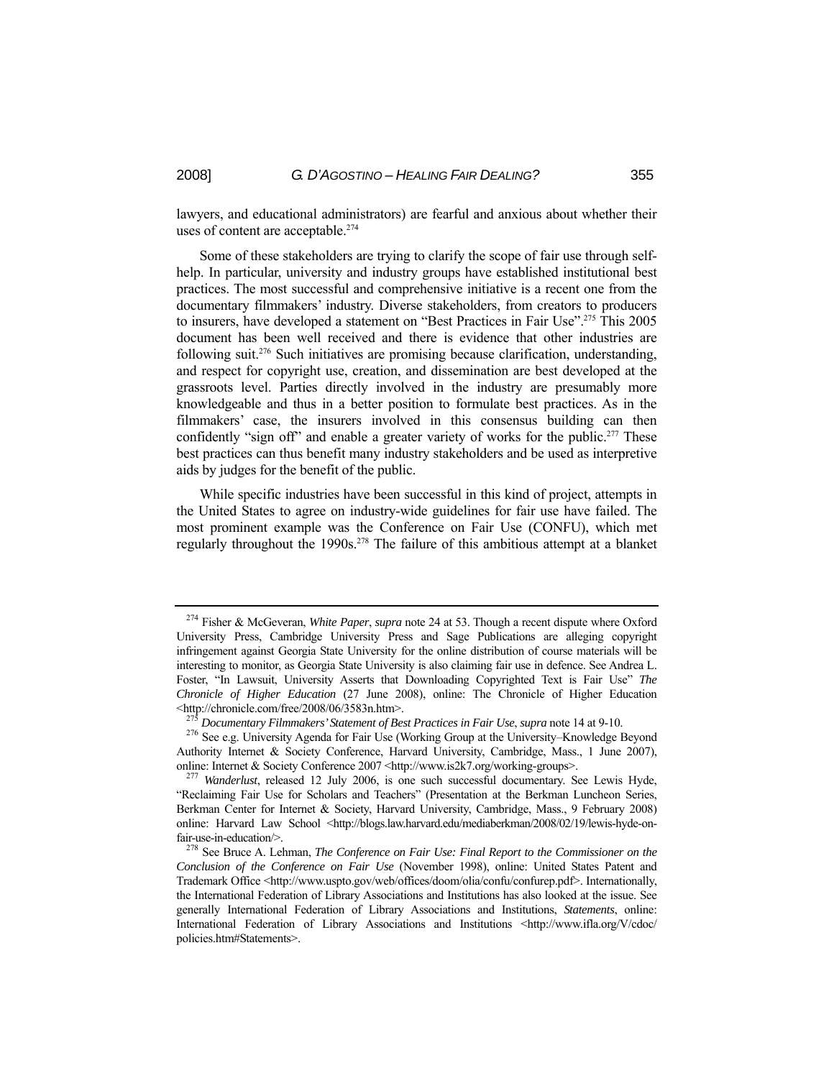lawyers, and educational administrators) are fearful and anxious about whether their uses of content are acceptable.<sup>274</sup>

 Some of these stakeholders are trying to clarify the scope of fair use through selfhelp. In particular, university and industry groups have established institutional best practices. The most successful and comprehensive initiative is a recent one from the documentary filmmakers' industry. Diverse stakeholders, from creators to producers to insurers, have developed a statement on "Best Practices in Fair Use".<sup>275</sup> This 2005 document has been well received and there is evidence that other industries are following suit.276 Such initiatives are promising because clarification, understanding, and respect for copyright use, creation, and dissemination are best developed at the grassroots level. Parties directly involved in the industry are presumably more knowledgeable and thus in a better position to formulate best practices. As in the filmmakers' case, the insurers involved in this consensus building can then confidently "sign off" and enable a greater variety of works for the public.<sup>277</sup> These best practices can thus benefit many industry stakeholders and be used as interpretive aids by judges for the benefit of the public.

 While specific industries have been successful in this kind of project, attempts in the United States to agree on industry-wide guidelines for fair use have failed. The most prominent example was the Conference on Fair Use (CONFU), which met regularly throughout the 1990s.<sup>278</sup> The failure of this ambitious attempt at a blanket

<sup>274</sup> Fisher & McGeveran, *White Paper*, *supra* note 24 at 53. Though a recent dispute where Oxford University Press, Cambridge University Press and Sage Publications are alleging copyright infringement against Georgia State University for the online distribution of course materials will be interesting to monitor, as Georgia State University is also claiming fair use in defence. See Andrea L. Foster, "In Lawsuit, University Asserts that Downloading Copyrighted Text is Fair Use" *The Chronicle of Higher Education* (27 June 2008), online: The Chronicle of Higher Education

<sup>&</sup>lt;http://chronicle.com/free/2008/06/3583n.htm>.<br><sup>275</sup> Documentary Filmmakers' Statement of Best Practices in Fair Use, supra note 14 at 9-10.<br><sup>276</sup> See e.g. University Agenda for Fair Use (Working Group at the University–Kn Authority Internet & Society Conference, Harvard University, Cambridge, Mass., 1 June 2007), online: Internet & Society Conference 2007 <http://www.is2k7.org/working-groups>. <sup>277</sup> *Wanderlust*, released 12 July 2006, is one such successful documentary. See Lewis Hyde,

<sup>&</sup>quot;Reclaiming Fair Use for Scholars and Teachers" (Presentation at the Berkman Luncheon Series, Berkman Center for Internet & Society, Harvard University, Cambridge, Mass., 9 February 2008) online: Harvard Law School <http://blogs.law.harvard.edu/mediaberkman/2008/02/19/lewis-hyde-onfair-use-in-education/>.<br><sup>278</sup> See Bruce A. Lehman, *The Conference on Fair Use: Final Report to the Commissioner on the* 

*Conclusion of the Conference on Fair Use* (November 1998), online: United States Patent and Trademark Office <http://www.uspto.gov/web/offices/doom/olia/confu/confurep.pdf>. Internationally, the International Federation of Library Associations and Institutions has also looked at the issue. See generally International Federation of Library Associations and Institutions, *Statements*, online: International Federation of Library Associations and Institutions <http://www.ifla.org/V/cdoc/ policies.htm#Statements>.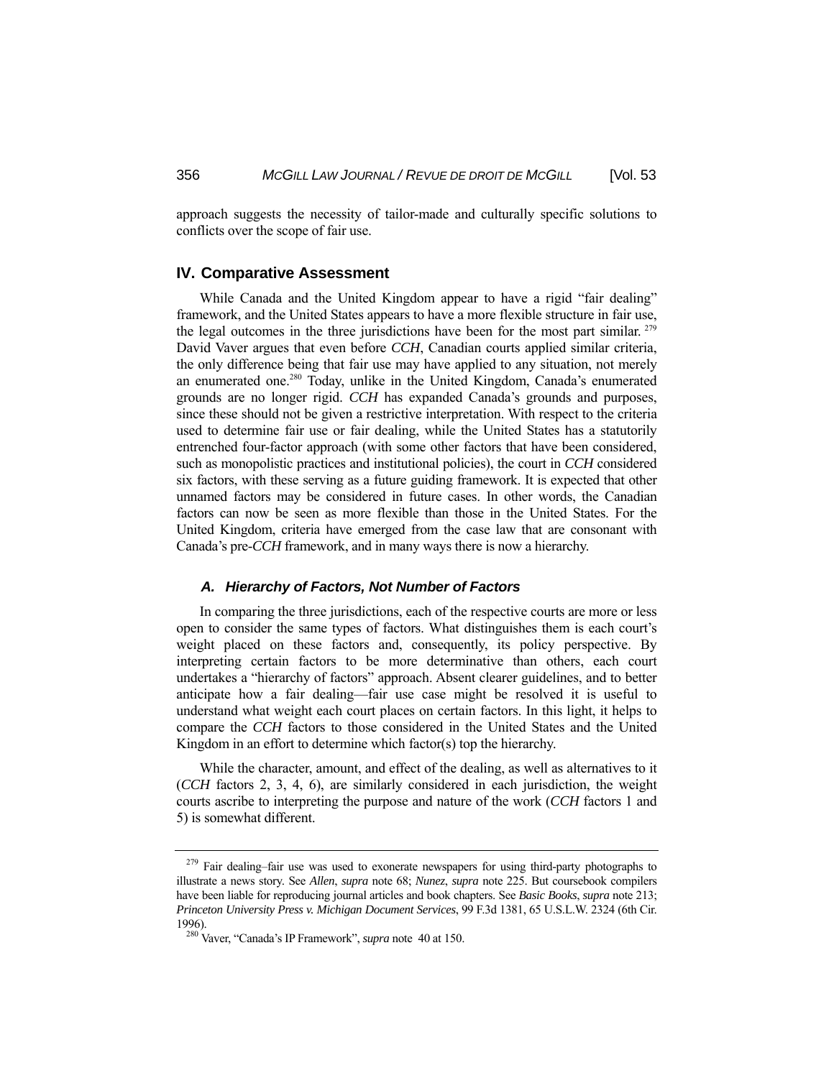approach suggests the necessity of tailor-made and culturally specific solutions to conflicts over the scope of fair use.

#### **IV. Comparative Assessment**

 While Canada and the United Kingdom appear to have a rigid "fair dealing" framework, and the United States appears to have a more flexible structure in fair use, the legal outcomes in the three jurisdictions have been for the most part similar. 279 David Vaver argues that even before *CCH*, Canadian courts applied similar criteria, the only difference being that fair use may have applied to any situation, not merely an enumerated one.280 Today, unlike in the United Kingdom, Canada's enumerated grounds are no longer rigid. *CCH* has expanded Canada's grounds and purposes, since these should not be given a restrictive interpretation. With respect to the criteria used to determine fair use or fair dealing, while the United States has a statutorily entrenched four-factor approach (with some other factors that have been considered, such as monopolistic practices and institutional policies), the court in *CCH* considered six factors, with these serving as a future guiding framework. It is expected that other unnamed factors may be considered in future cases. In other words, the Canadian factors can now be seen as more flexible than those in the United States. For the United Kingdom, criteria have emerged from the case law that are consonant with Canada's pre-*CCH* framework, and in many ways there is now a hierarchy.

#### *A. Hierarchy of Factors, Not Number of Factors*

 In comparing the three jurisdictions, each of the respective courts are more or less open to consider the same types of factors. What distinguishes them is each court's weight placed on these factors and, consequently, its policy perspective. By interpreting certain factors to be more determinative than others, each court undertakes a "hierarchy of factors" approach. Absent clearer guidelines, and to better anticipate how a fair dealing—fair use case might be resolved it is useful to understand what weight each court places on certain factors. In this light, it helps to compare the *CCH* factors to those considered in the United States and the United Kingdom in an effort to determine which factor(s) top the hierarchy.

 While the character, amount, and effect of the dealing, as well as alternatives to it (*CCH* factors 2, 3, 4, 6), are similarly considered in each jurisdiction, the weight courts ascribe to interpreting the purpose and nature of the work (*CCH* factors 1 and 5) is somewhat different.

<sup>&</sup>lt;sup>279</sup> Fair dealing–fair use was used to exonerate newspapers for using third-party photographs to illustrate a news story. See *Allen*, *supra* note 68; *Nunez*, *supra* note 225. But coursebook compilers have been liable for reproducing journal articles and book chapters. See *Basic Books*, *supra* note 213; *Princeton University Press v. Michigan Document Services*, 99 F.3d 1381, 65 U.S.L.W. 2324 (6th Cir. 1996). 280 Vaver, "Canada's IP Framework", *supra* note 40 at 150.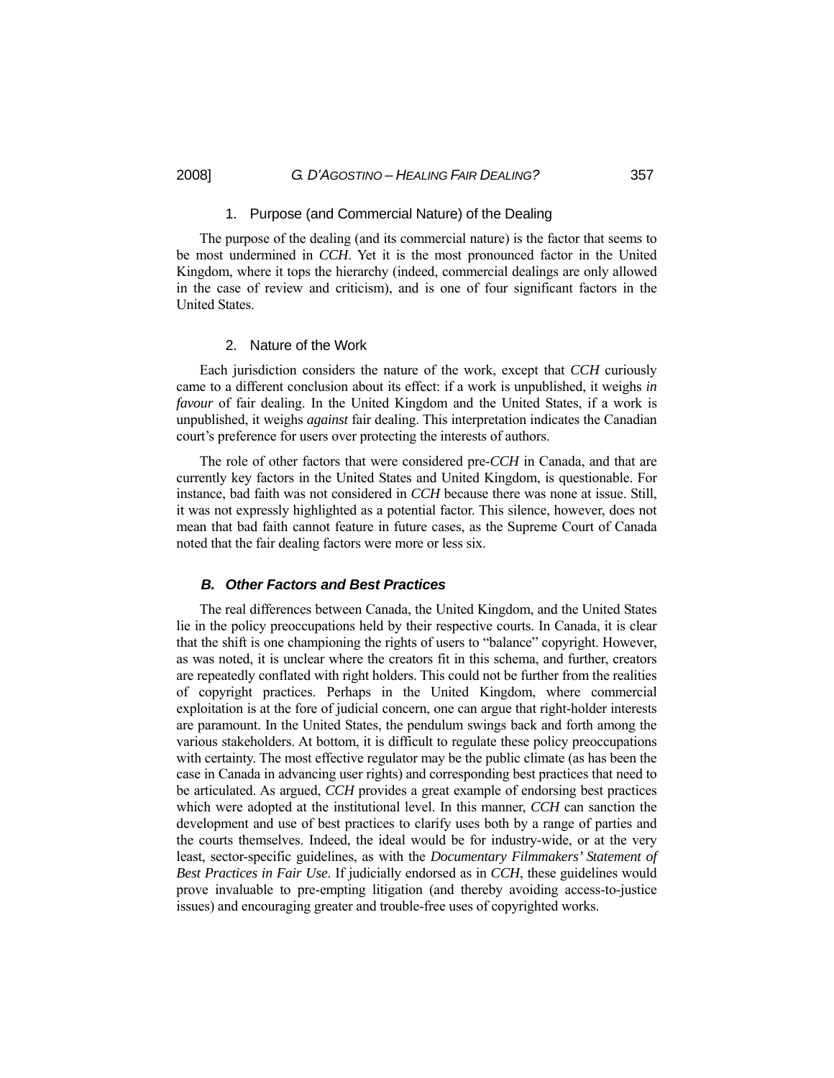#### 1. Purpose (and Commercial Nature) of the Dealing

 The purpose of the dealing (and its commercial nature) is the factor that seems to be most undermined in *CCH*. Yet it is the most pronounced factor in the United Kingdom, where it tops the hierarchy (indeed, commercial dealings are only allowed in the case of review and criticism), and is one of four significant factors in the United States.

#### 2. Nature of the Work

 Each jurisdiction considers the nature of the work, except that *CCH* curiously came to a different conclusion about its effect: if a work is unpublished, it weighs *in favour* of fair dealing. In the United Kingdom and the United States, if a work is unpublished, it weighs *against* fair dealing. This interpretation indicates the Canadian court's preference for users over protecting the interests of authors.

 The role of other factors that were considered pre-*CCH* in Canada, and that are currently key factors in the United States and United Kingdom, is questionable. For instance, bad faith was not considered in *CCH* because there was none at issue. Still, it was not expressly highlighted as a potential factor. This silence, however, does not mean that bad faith cannot feature in future cases, as the Supreme Court of Canada noted that the fair dealing factors were more or less six.

#### *B. Other Factors and Best Practices*

 The real differences between Canada, the United Kingdom, and the United States lie in the policy preoccupations held by their respective courts. In Canada, it is clear that the shift is one championing the rights of users to "balance" copyright. However, as was noted, it is unclear where the creators fit in this schema, and further, creators are repeatedly conflated with right holders. This could not be further from the realities of copyright practices. Perhaps in the United Kingdom, where commercial exploitation is at the fore of judicial concern, one can argue that right-holder interests are paramount. In the United States, the pendulum swings back and forth among the various stakeholders. At bottom, it is difficult to regulate these policy preoccupations with certainty. The most effective regulator may be the public climate (as has been the case in Canada in advancing user rights) and corresponding best practices that need to be articulated. As argued, *CCH* provides a great example of endorsing best practices which were adopted at the institutional level. In this manner, *CCH* can sanction the development and use of best practices to clarify uses both by a range of parties and the courts themselves. Indeed, the ideal would be for industry-wide, or at the very least, sector-specific guidelines, as with the *Documentary Filmmakers' Statement of Best Practices in Fair Use*. If judicially endorsed as in *CCH*, these guidelines would prove invaluable to pre-empting litigation (and thereby avoiding access-to-justice issues) and encouraging greater and trouble-free uses of copyrighted works.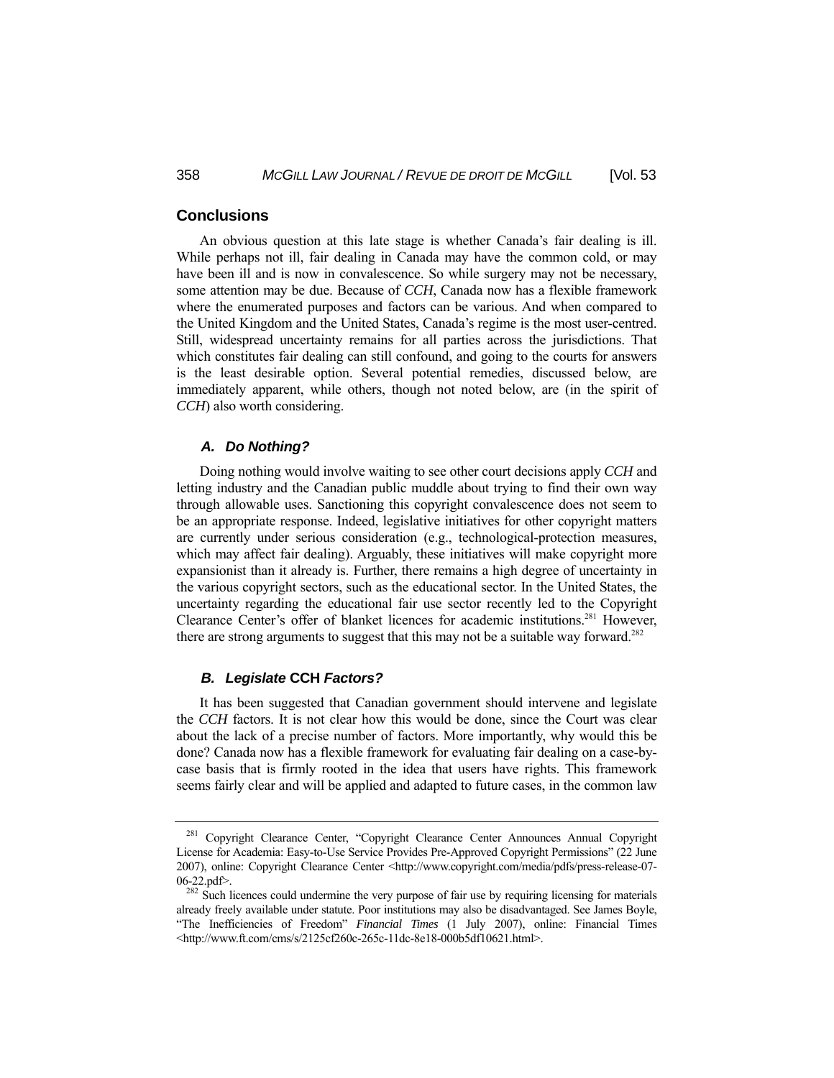#### **Conclusions**

 An obvious question at this late stage is whether Canada's fair dealing is ill. While perhaps not ill, fair dealing in Canada may have the common cold, or may have been ill and is now in convalescence. So while surgery may not be necessary, some attention may be due. Because of *CCH*, Canada now has a flexible framework where the enumerated purposes and factors can be various. And when compared to the United Kingdom and the United States, Canada's regime is the most user-centred. Still, widespread uncertainty remains for all parties across the jurisdictions. That which constitutes fair dealing can still confound, and going to the courts for answers is the least desirable option. Several potential remedies, discussed below, are immediately apparent, while others, though not noted below, are (in the spirit of *CCH*) also worth considering.

#### *A. Do Nothing?*

 Doing nothing would involve waiting to see other court decisions apply *CCH* and letting industry and the Canadian public muddle about trying to find their own way through allowable uses. Sanctioning this copyright convalescence does not seem to be an appropriate response. Indeed, legislative initiatives for other copyright matters are currently under serious consideration (e.g., technological-protection measures, which may affect fair dealing). Arguably, these initiatives will make copyright more expansionist than it already is. Further, there remains a high degree of uncertainty in the various copyright sectors, such as the educational sector. In the United States, the uncertainty regarding the educational fair use sector recently led to the Copyright Clearance Center's offer of blanket licences for academic institutions.281 However, there are strong arguments to suggest that this may not be a suitable way forward.<sup>282</sup>

#### *B. Legislate* **CCH** *Factors?*

 It has been suggested that Canadian government should intervene and legislate the *CCH* factors. It is not clear how this would be done, since the Court was clear about the lack of a precise number of factors. More importantly, why would this be done? Canada now has a flexible framework for evaluating fair dealing on a case-bycase basis that is firmly rooted in the idea that users have rights. This framework seems fairly clear and will be applied and adapted to future cases, in the common law

<sup>&</sup>lt;sup>281</sup> Copyright Clearance Center, "Copyright Clearance Center Announces Annual Copyright License for Academia: Easy-to-Use Service Provides Pre-Approved Copyright Permissions" (22 June 2007), online: Copyright Clearance Center <http://www.copyright.com/media/pdfs/press-release-07- 06-22.pdf>.<br><sup>282</sup> Such licences could undermine the very purpose of fair use by requiring licensing for materials

already freely available under statute. Poor institutions may also be disadvantaged. See James Boyle, "The Inefficiencies of Freedom" *Financial Times* (1 July 2007), online: Financial Times <http://www.ft.com/cms/s/2125cf260c-265c-11dc-8e18-000b5df10621.html>.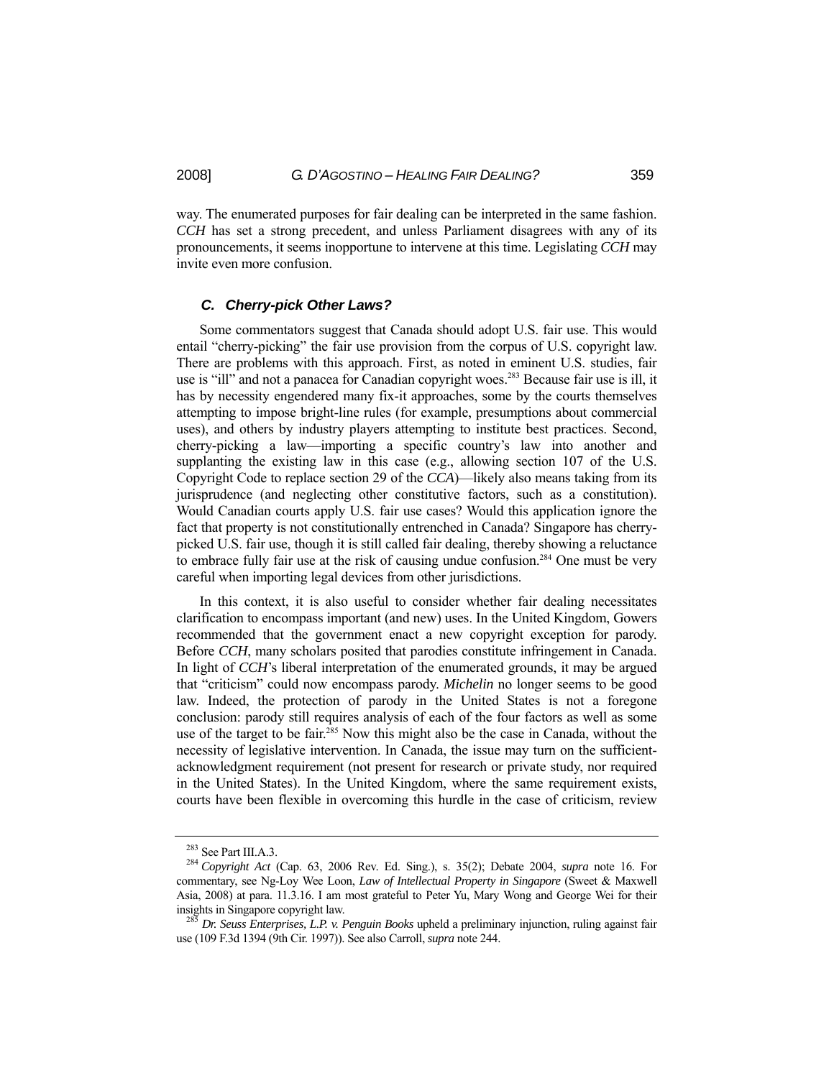way. The enumerated purposes for fair dealing can be interpreted in the same fashion. *CCH* has set a strong precedent, and unless Parliament disagrees with any of its pronouncements, it seems inopportune to intervene at this time. Legislating *CCH* may invite even more confusion.

#### *C. Cherry-pick Other Laws?*

 Some commentators suggest that Canada should adopt U.S. fair use. This would entail "cherry-picking" the fair use provision from the corpus of U.S. copyright law. There are problems with this approach. First, as noted in eminent U.S. studies, fair use is "ill" and not a panacea for Canadian copyright woes.<sup>283</sup> Because fair use is ill, it has by necessity engendered many fix-it approaches, some by the courts themselves attempting to impose bright-line rules (for example, presumptions about commercial uses), and others by industry players attempting to institute best practices. Second, cherry-picking a law—importing a specific country's law into another and supplanting the existing law in this case (e.g., allowing section 107 of the U.S. Copyright Code to replace section 29 of the *CCA*)—likely also means taking from its jurisprudence (and neglecting other constitutive factors, such as a constitution). Would Canadian courts apply U.S. fair use cases? Would this application ignore the fact that property is not constitutionally entrenched in Canada? Singapore has cherrypicked U.S. fair use, though it is still called fair dealing, thereby showing a reluctance to embrace fully fair use at the risk of causing undue confusion.<sup>284</sup> One must be very careful when importing legal devices from other jurisdictions.

 In this context, it is also useful to consider whether fair dealing necessitates clarification to encompass important (and new) uses. In the United Kingdom, Gowers recommended that the government enact a new copyright exception for parody. Before *CCH*, many scholars posited that parodies constitute infringement in Canada. In light of *CCH*'s liberal interpretation of the enumerated grounds, it may be argued that "criticism" could now encompass parody. *Michelin* no longer seems to be good law. Indeed, the protection of parody in the United States is not a foregone conclusion: parody still requires analysis of each of the four factors as well as some use of the target to be fair.<sup>285</sup> Now this might also be the case in Canada, without the necessity of legislative intervention. In Canada, the issue may turn on the sufficientacknowledgment requirement (not present for research or private study, nor required in the United States). In the United Kingdom, where the same requirement exists, courts have been flexible in overcoming this hurdle in the case of criticism, review

<sup>283</sup> See Part III.A.3. 284 *Copyright Act* (Cap. 63, 2006 Rev. Ed. Sing.), s. 35(2); Debate 2004, *supra* note 16. For commentary, see Ng-Loy Wee Loon, *Law of Intellectual Property in Singapore* (Sweet & Maxwell Asia, 2008) at para. 11.3.16. I am most grateful to Peter Yu, Mary Wong and George Wei for their insights in Singapore copyright law. 285 *Dr. Seuss Enterprises, L.P. v. Penguin Books* upheld a preliminary injunction, ruling against fair

use (109 F.3d 1394 (9th Cir. 1997)). See also Carroll, *supra* note 244.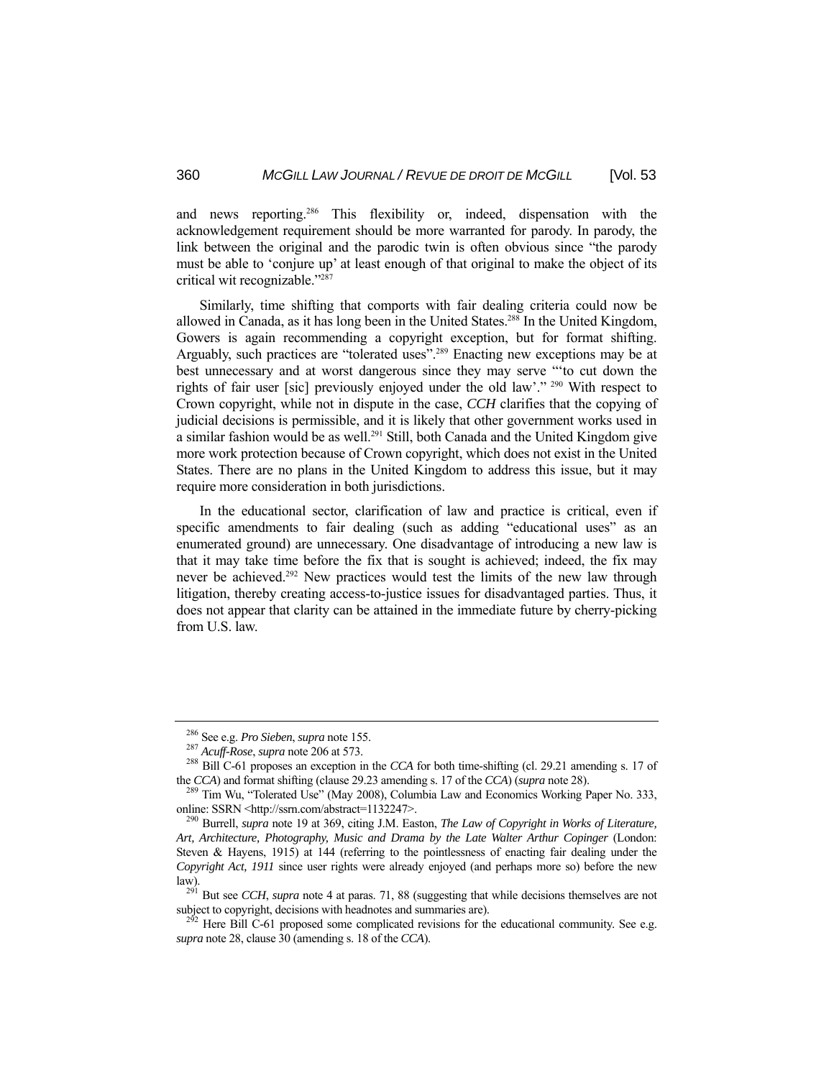and news reporting.286 This flexibility or, indeed, dispensation with the acknowledgement requirement should be more warranted for parody. In parody, the link between the original and the parodic twin is often obvious since "the parody must be able to 'conjure up' at least enough of that original to make the object of its critical wit recognizable."287

 Similarly, time shifting that comports with fair dealing criteria could now be allowed in Canada, as it has long been in the United States.<sup>288</sup> In the United Kingdom, Gowers is again recommending a copyright exception, but for format shifting. Arguably, such practices are "tolerated uses".289 Enacting new exceptions may be at best unnecessary and at worst dangerous since they may serve "'to cut down the rights of fair user [sic] previously enjoyed under the old law'." 290 With respect to Crown copyright, while not in dispute in the case, *CCH* clarifies that the copying of judicial decisions is permissible, and it is likely that other government works used in a similar fashion would be as well.<sup>291</sup> Still, both Canada and the United Kingdom give more work protection because of Crown copyright, which does not exist in the United States. There are no plans in the United Kingdom to address this issue, but it may require more consideration in both jurisdictions.

 In the educational sector, clarification of law and practice is critical, even if specific amendments to fair dealing (such as adding "educational uses" as an enumerated ground) are unnecessary. One disadvantage of introducing a new law is that it may take time before the fix that is sought is achieved; indeed, the fix may never be achieved.<sup>292</sup> New practices would test the limits of the new law through litigation, thereby creating access-to-justice issues for disadvantaged parties. Thus, it does not appear that clarity can be attained in the immediate future by cherry-picking from U.S. law.

<sup>&</sup>lt;sup>286</sup> See e.g. *Pro Sieben, supra* note 155.<br><sup>287</sup> *Acuff-Rose, supra* note 206 at 573.<br><sup>288</sup> Bill C-61 proposes an exception in the *CCA* for both time-shifting (cl. 29.21 amending s. 17 of the *CCA*) and format shifting (clause 29.23 amending s. 17 of the *CCA*) (*supra* note 28).<br><sup>289</sup> Tim Wu, "Tolerated Use" (May 2008), Columbia Law and Economics Working Paper No. 333,

online: SSRN <http://ssrn.com/abstract=1132247>. 290 Burrell, *supra* note 19 at 369, citing J.M. Easton, *The Law of Copyright in Works of Literature,* 

*Art, Architecture, Photography, Music and Drama by the Late Walter Arthur Copinger* (London: Steven & Hayens, 1915) at 144 (referring to the pointlessness of enacting fair dealing under the *Copyright Act, 1911* since user rights were already enjoyed (and perhaps more so) before the new

law). 291 But see *CCH*, *supra* note 4 at paras. 71, 88 (suggesting that while decisions themselves are not

 $2^{52}$  Here Bill C-61 proposed some complicated revisions for the educational community. See e.g. *supra* note 28, clause 30 (amending s. 18 of the *CCA*).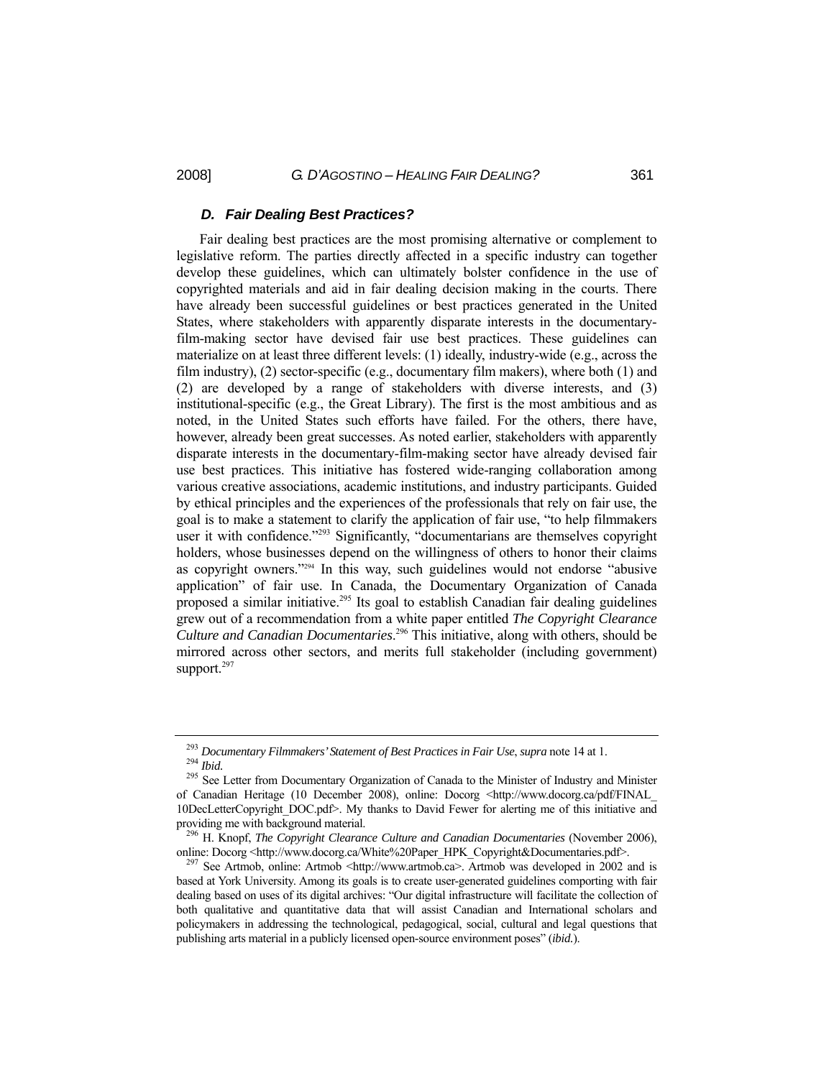#### *D. Fair Dealing Best Practices?*

 Fair dealing best practices are the most promising alternative or complement to legislative reform. The parties directly affected in a specific industry can together develop these guidelines, which can ultimately bolster confidence in the use of copyrighted materials and aid in fair dealing decision making in the courts. There have already been successful guidelines or best practices generated in the United States, where stakeholders with apparently disparate interests in the documentaryfilm-making sector have devised fair use best practices. These guidelines can materialize on at least three different levels: (1) ideally, industry-wide (e.g., across the film industry), (2) sector-specific (e.g., documentary film makers), where both (1) and (2) are developed by a range of stakeholders with diverse interests, and (3) institutional-specific (e.g., the Great Library). The first is the most ambitious and as noted, in the United States such efforts have failed. For the others, there have, however, already been great successes. As noted earlier, stakeholders with apparently disparate interests in the documentary-film-making sector have already devised fair use best practices. This initiative has fostered wide-ranging collaboration among various creative associations, academic institutions, and industry participants. Guided by ethical principles and the experiences of the professionals that rely on fair use, the goal is to make a statement to clarify the application of fair use, "to help filmmakers user it with confidence."<sup>293</sup> Significantly, "documentarians are themselves copyright holders, whose businesses depend on the willingness of others to honor their claims as copyright owners."294 In this way, such guidelines would not endorse "abusive application" of fair use. In Canada, the Documentary Organization of Canada proposed a similar initiative.295 Its goal to establish Canadian fair dealing guidelines grew out of a recommendation from a white paper entitled *The Copyright Clearance Culture and Canadian Documentaries*. 296 This initiative, along with others, should be mirrored across other sectors, and merits full stakeholder (including government) support.<sup>297</sup>

<sup>&</sup>lt;sup>293</sup> *Documentary Filmmakers' Statement of Best Practices in Fair Use, supra* note 14 at 1.<br><sup>294</sup> *Ibid.* 295 See Letter from Documentary Organization of Canada to the Minister of Industry and Minister

of Canadian Heritage (10 December 2008), online: Docorg <http://www.docorg.ca/pdf/FINAL\_ 10DecLetterCopyright\_DOC.pdf>. My thanks to David Fewer for alerting me of this initiative and providing me with background material. 296 H. Knopf, *The Copyright Clearance Culture and Canadian Documentaries* (November 2006),

online: Docorg <http://www.docorg.ca/White%20Paper\_HPK\_Copyright&Documentaries.pdf>. <sup>297</sup> See Artmob, online: Artmob <http://www.artmob.ca>. Artmob was developed in 2002 and is

based at York University. Among its goals is to create user-generated guidelines comporting with fair dealing based on uses of its digital archives: "Our digital infrastructure will facilitate the collection of both qualitative and quantitative data that will assist Canadian and International scholars and policymakers in addressing the technological, pedagogical, social, cultural and legal questions that publishing arts material in a publicly licensed open-source environment poses" (*ibid.*).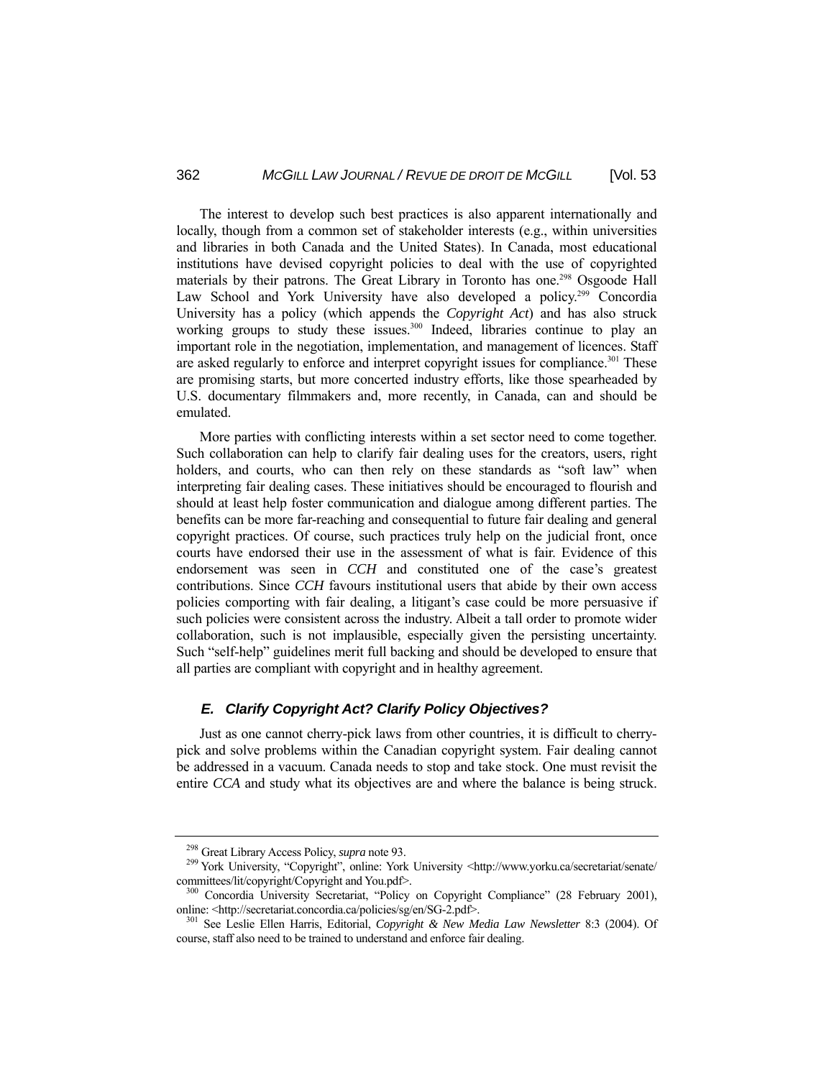The interest to develop such best practices is also apparent internationally and locally, though from a common set of stakeholder interests (e.g., within universities and libraries in both Canada and the United States). In Canada, most educational institutions have devised copyright policies to deal with the use of copyrighted materials by their patrons. The Great Library in Toronto has one.<sup>298</sup> Osgoode Hall Law School and York University have also developed a policy.<sup>299</sup> Concordia University has a policy (which appends the *Copyright Act*) and has also struck working groups to study these issues.<sup>300</sup> Indeed, libraries continue to play an important role in the negotiation, implementation, and management of licences. Staff are asked regularly to enforce and interpret copyright issues for compliance.<sup>301</sup> These are promising starts, but more concerted industry efforts, like those spearheaded by U.S. documentary filmmakers and, more recently, in Canada, can and should be emulated.

 More parties with conflicting interests within a set sector need to come together. Such collaboration can help to clarify fair dealing uses for the creators, users, right holders, and courts, who can then rely on these standards as "soft law" when interpreting fair dealing cases. These initiatives should be encouraged to flourish and should at least help foster communication and dialogue among different parties. The benefits can be more far-reaching and consequential to future fair dealing and general copyright practices. Of course, such practices truly help on the judicial front, once courts have endorsed their use in the assessment of what is fair. Evidence of this endorsement was seen in *CCH* and constituted one of the case's greatest contributions. Since *CCH* favours institutional users that abide by their own access policies comporting with fair dealing, a litigant's case could be more persuasive if such policies were consistent across the industry. Albeit a tall order to promote wider collaboration, such is not implausible, especially given the persisting uncertainty. Such "self-help" guidelines merit full backing and should be developed to ensure that all parties are compliant with copyright and in healthy agreement.

## *E. Clarify Copyright Act? Clarify Policy Objectives?*

 Just as one cannot cherry-pick laws from other countries, it is difficult to cherrypick and solve problems within the Canadian copyright system. Fair dealing cannot be addressed in a vacuum. Canada needs to stop and take stock. One must revisit the entire *CCA* and study what its objectives are and where the balance is being struck.

<sup>&</sup>lt;sup>298</sup> Great Library Access Policy, *supra* note 93.<br><sup>299</sup> York University, "Copyright", online: York University <http://www.yorku.ca/secretariat/senate/ committees/lit/copyright/Copyright and You.pdf>.<br><sup>300</sup> Concordia University Secretariat, "Policy on Copyright Compliance" (28 February 2001),

online: <http://secretariat.concordia.ca/policies/sg/en/SG-2.pdf>. 301 See Leslie Ellen Harris, Editorial, *Copyright & New Media Law Newsletter* 8:3 (2004). Of

course, staff also need to be trained to understand and enforce fair dealing.